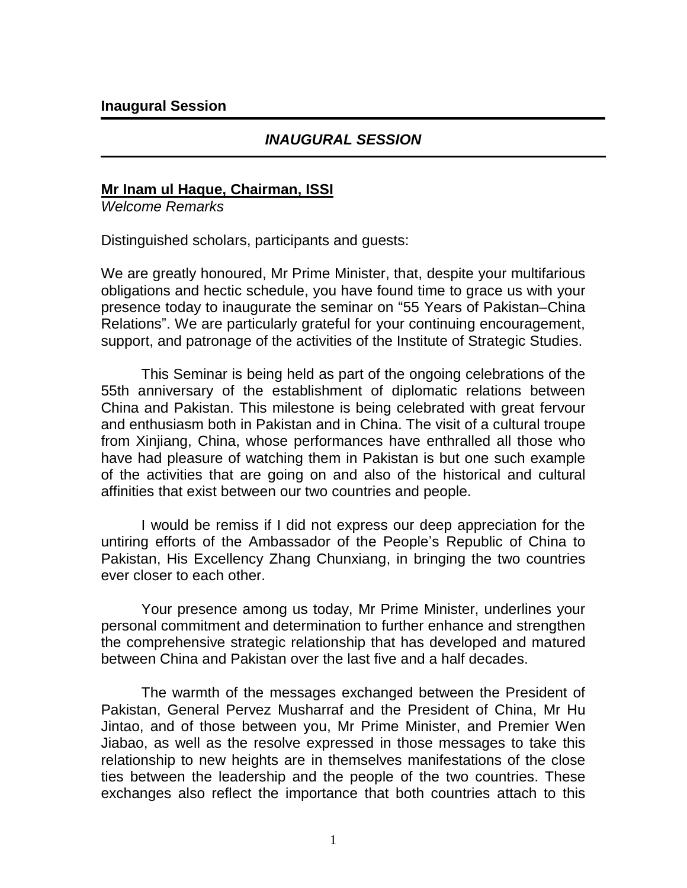## *INAUGURAL SESSION*

### **Mr Inam ul Haque, Chairman, ISSI**

*Welcome Remarks*

Distinguished scholars, participants and guests:

We are greatly honoured, Mr Prime Minister, that, despite your multifarious obligations and hectic schedule, you have found time to grace us with your presence today to inaugurate the seminar on "55 Years of Pakistan–China Relations". We are particularly grateful for your continuing encouragement, support, and patronage of the activities of the Institute of Strategic Studies.

This Seminar is being held as part of the ongoing celebrations of the 55th anniversary of the establishment of diplomatic relations between China and Pakistan. This milestone is being celebrated with great fervour and enthusiasm both in Pakistan and in China. The visit of a cultural troupe from Xinjiang, China, whose performances have enthralled all those who have had pleasure of watching them in Pakistan is but one such example of the activities that are going on and also of the historical and cultural affinities that exist between our two countries and people.

I would be remiss if I did not express our deep appreciation for the untiring efforts of the Ambassador of the People"s Republic of China to Pakistan, His Excellency Zhang Chunxiang, in bringing the two countries ever closer to each other.

Your presence among us today, Mr Prime Minister, underlines your personal commitment and determination to further enhance and strengthen the comprehensive strategic relationship that has developed and matured between China and Pakistan over the last five and a half decades.

The warmth of the messages exchanged between the President of Pakistan, General Pervez Musharraf and the President of China, Mr Hu Jintao, and of those between you, Mr Prime Minister, and Premier Wen Jiabao, as well as the resolve expressed in those messages to take this relationship to new heights are in themselves manifestations of the close ties between the leadership and the people of the two countries. These exchanges also reflect the importance that both countries attach to this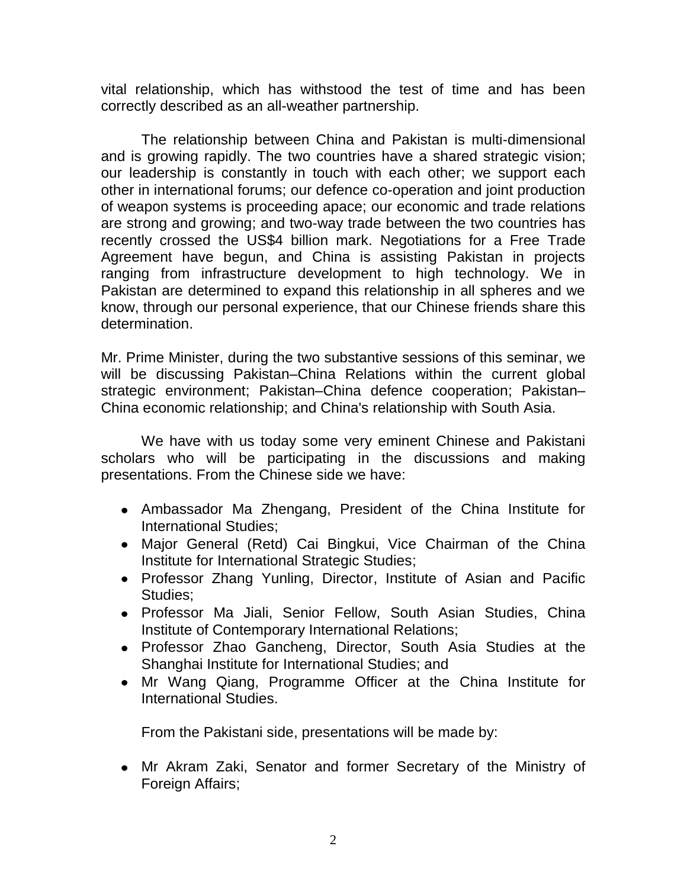vital relationship, which has withstood the test of time and has been correctly described as an all-weather partnership.

The relationship between China and Pakistan is multi-dimensional and is growing rapidly. The two countries have a shared strategic vision; our leadership is constantly in touch with each other; we support each other in international forums; our defence co-operation and joint production of weapon systems is proceeding apace; our economic and trade relations are strong and growing; and two-way trade between the two countries has recently crossed the US\$4 billion mark. Negotiations for a Free Trade Agreement have begun, and China is assisting Pakistan in projects ranging from infrastructure development to high technology. We in Pakistan are determined to expand this relationship in all spheres and we know, through our personal experience, that our Chinese friends share this determination.

Mr. Prime Minister, during the two substantive sessions of this seminar, we will be discussing Pakistan–China Relations within the current global strategic environment; Pakistan–China defence cooperation; Pakistan– China economic relationship; and China's relationship with South Asia.

We have with us today some very eminent Chinese and Pakistani scholars who will be participating in the discussions and making presentations. From the Chinese side we have:

- Ambassador Ma Zhengang, President of the China Institute for International Studies;
- Major General (Retd) Cai Bingkui, Vice Chairman of the China Institute for International Strategic Studies;
- Professor Zhang Yunling, Director, Institute of Asian and Pacific Studies;
- Professor Ma Jiali, Senior Fellow, South Asian Studies, China Institute of Contemporary International Relations;
- Professor Zhao Gancheng, Director, South Asia Studies at the Shanghai Institute for International Studies; and
- Mr Wang Qiang, Programme Officer at the China Institute for International Studies.

From the Pakistani side, presentations will be made by:

Mr Akram Zaki, Senator and former Secretary of the Ministry of Foreign Affairs;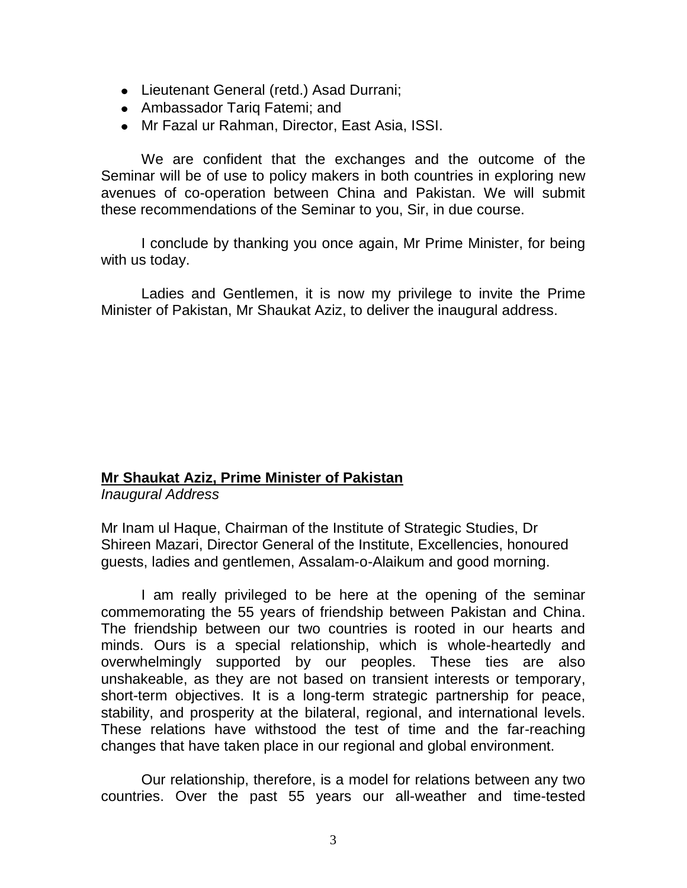- Lieutenant General (retd.) Asad Durrani;
- Ambassador Tariq Fatemi; and
- Mr Fazal ur Rahman, Director, East Asia, ISSI.

We are confident that the exchanges and the outcome of the Seminar will be of use to policy makers in both countries in exploring new avenues of co-operation between China and Pakistan. We will submit these recommendations of the Seminar to you, Sir, in due course.

I conclude by thanking you once again, Mr Prime Minister, for being with us today.

Ladies and Gentlemen, it is now my privilege to invite the Prime Minister of Pakistan, Mr Shaukat Aziz, to deliver the inaugural address.

### **Mr Shaukat Aziz, Prime Minister of Pakistan**

*Inaugural Address* 

Mr Inam ul Haque, Chairman of the Institute of Strategic Studies, Dr Shireen Mazari, Director General of the Institute, Excellencies, honoured guests, ladies and gentlemen, Assalam-o-Alaikum and good morning.

I am really privileged to be here at the opening of the seminar commemorating the 55 years of friendship between Pakistan and China. The friendship between our two countries is rooted in our hearts and minds. Ours is a special relationship, which is whole-heartedly and overwhelmingly supported by our peoples. These ties are also unshakeable, as they are not based on transient interests or temporary, short-term objectives. It is a long-term strategic partnership for peace, stability, and prosperity at the bilateral, regional, and international levels. These relations have withstood the test of time and the far-reaching changes that have taken place in our regional and global environment.

Our relationship, therefore, is a model for relations between any two countries. Over the past 55 years our all-weather and time-tested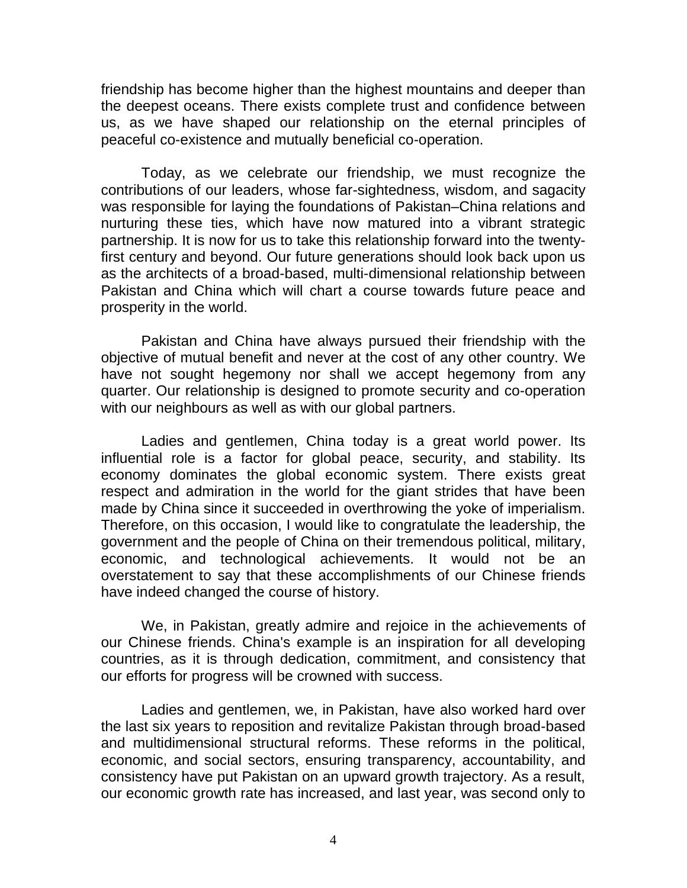friendship has become higher than the highest mountains and deeper than the deepest oceans. There exists complete trust and confidence between us, as we have shaped our relationship on the eternal principles of peaceful co-existence and mutually beneficial co-operation.

Today, as we celebrate our friendship, we must recognize the contributions of our leaders, whose far-sightedness, wisdom, and sagacity was responsible for laying the foundations of Pakistan–China relations and nurturing these ties, which have now matured into a vibrant strategic partnership. It is now for us to take this relationship forward into the twentyfirst century and beyond. Our future generations should look back upon us as the architects of a broad-based, multi-dimensional relationship between Pakistan and China which will chart a course towards future peace and prosperity in the world.

Pakistan and China have always pursued their friendship with the objective of mutual benefit and never at the cost of any other country. We have not sought hegemony nor shall we accept hegemony from any quarter. Our relationship is designed to promote security and co-operation with our neighbours as well as with our global partners.

Ladies and gentlemen, China today is a great world power. Its influential role is a factor for global peace, security, and stability. Its economy dominates the global economic system. There exists great respect and admiration in the world for the giant strides that have been made by China since it succeeded in overthrowing the yoke of imperialism. Therefore, on this occasion, I would like to congratulate the leadership, the government and the people of China on their tremendous political, military, economic, and technological achievements. It would not be an overstatement to say that these accomplishments of our Chinese friends have indeed changed the course of history.

We, in Pakistan, greatly admire and rejoice in the achievements of our Chinese friends. China's example is an inspiration for all developing countries, as it is through dedication, commitment, and consistency that our efforts for progress will be crowned with success.

Ladies and gentlemen, we, in Pakistan, have also worked hard over the last six years to reposition and revitalize Pakistan through broad-based and multidimensional structural reforms. These reforms in the political, economic, and social sectors, ensuring transparency, accountability, and consistency have put Pakistan on an upward growth trajectory. As a result, our economic growth rate has increased, and last year, was second only to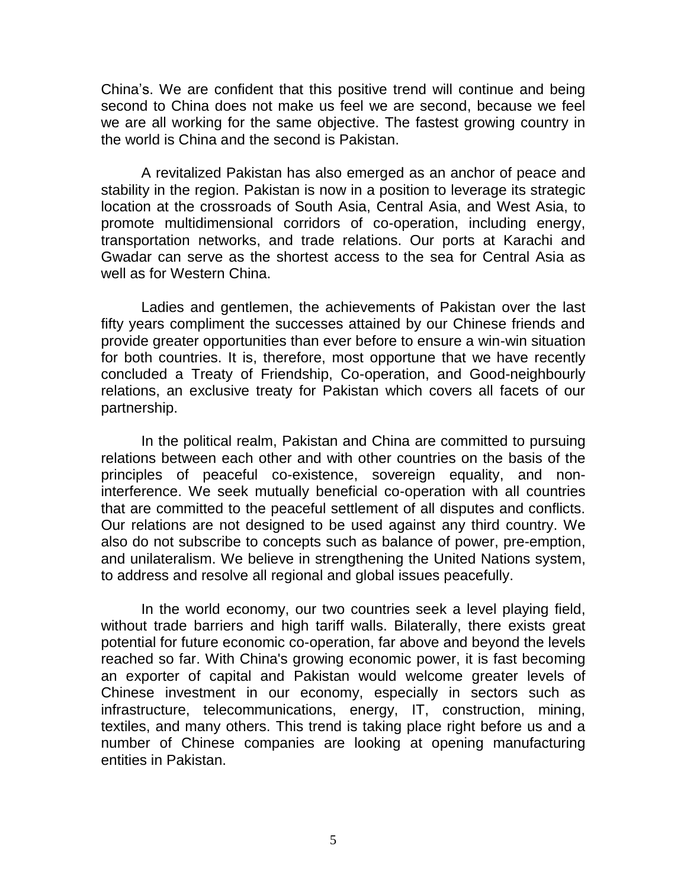China"s. We are confident that this positive trend will continue and being second to China does not make us feel we are second, because we feel we are all working for the same objective. The fastest growing country in the world is China and the second is Pakistan.

A revitalized Pakistan has also emerged as an anchor of peace and stability in the region. Pakistan is now in a position to leverage its strategic location at the crossroads of South Asia, Central Asia, and West Asia, to promote multidimensional corridors of co-operation, including energy, transportation networks, and trade relations. Our ports at Karachi and Gwadar can serve as the shortest access to the sea for Central Asia as well as for Western China.

Ladies and gentlemen, the achievements of Pakistan over the last fifty years compliment the successes attained by our Chinese friends and provide greater opportunities than ever before to ensure a win-win situation for both countries. It is, therefore, most opportune that we have recently concluded a Treaty of Friendship, Co-operation, and Good-neighbourly relations, an exclusive treaty for Pakistan which covers all facets of our partnership.

In the political realm, Pakistan and China are committed to pursuing relations between each other and with other countries on the basis of the principles of peaceful co-existence, sovereign equality, and noninterference. We seek mutually beneficial co-operation with all countries that are committed to the peaceful settlement of all disputes and conflicts. Our relations are not designed to be used against any third country. We also do not subscribe to concepts such as balance of power, pre-emption, and unilateralism. We believe in strengthening the United Nations system, to address and resolve all regional and global issues peacefully.

In the world economy, our two countries seek a level playing field, without trade barriers and high tariff walls. Bilaterally, there exists great potential for future economic co-operation, far above and beyond the levels reached so far. With China's growing economic power, it is fast becoming an exporter of capital and Pakistan would welcome greater levels of Chinese investment in our economy, especially in sectors such as infrastructure, telecommunications, energy, IT, construction, mining, textiles, and many others. This trend is taking place right before us and a number of Chinese companies are looking at opening manufacturing entities in Pakistan.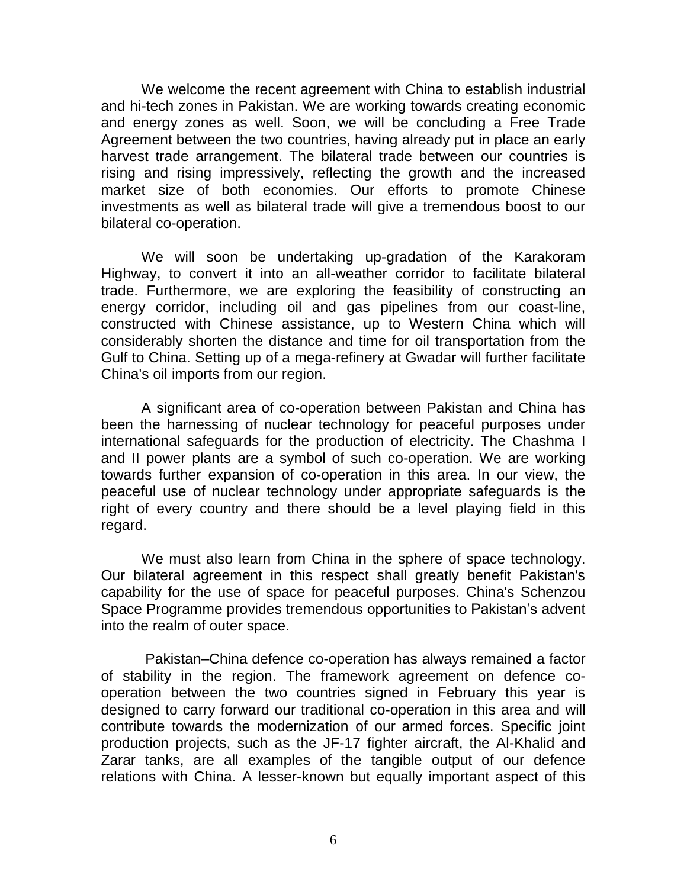We welcome the recent agreement with China to establish industrial and hi-tech zones in Pakistan. We are working towards creating economic and energy zones as well. Soon, we will be concluding a Free Trade Agreement between the two countries, having already put in place an early harvest trade arrangement. The bilateral trade between our countries is rising and rising impressively, reflecting the growth and the increased market size of both economies. Our efforts to promote Chinese investments as well as bilateral trade will give a tremendous boost to our bilateral co-operation.

We will soon be undertaking up-gradation of the Karakoram Highway, to convert it into an all-weather corridor to facilitate bilateral trade. Furthermore, we are exploring the feasibility of constructing an energy corridor, including oil and gas pipelines from our coast-line, constructed with Chinese assistance, up to Western China which will considerably shorten the distance and time for oil transportation from the Gulf to China. Setting up of a mega-refinery at Gwadar will further facilitate China's oil imports from our region.

A significant area of co-operation between Pakistan and China has been the harnessing of nuclear technology for peaceful purposes under international safeguards for the production of electricity. The Chashma I and II power plants are a symbol of such co-operation. We are working towards further expansion of co-operation in this area. In our view, the peaceful use of nuclear technology under appropriate safeguards is the right of every country and there should be a level playing field in this regard.

We must also learn from China in the sphere of space technology. Our bilateral agreement in this respect shall greatly benefit Pakistan's capability for the use of space for peaceful purposes. China's Schenzou Space Programme provides tremendous opportunities to Pakistan"s advent into the realm of outer space.

Pakistan–China defence co-operation has always remained a factor of stability in the region. The framework agreement on defence cooperation between the two countries signed in February this year is designed to carry forward our traditional co-operation in this area and will contribute towards the modernization of our armed forces. Specific joint production projects, such as the JF-17 fighter aircraft, the Al-Khalid and Zarar tanks, are all examples of the tangible output of our defence relations with China. A lesser-known but equally important aspect of this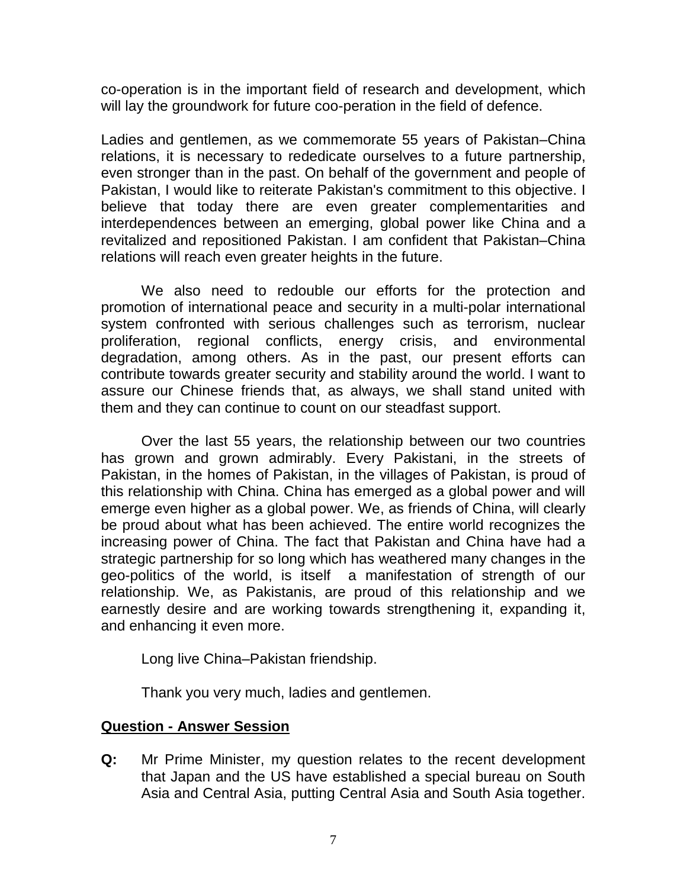co-operation is in the important field of research and development, which will lay the groundwork for future coo-peration in the field of defence.

Ladies and gentlemen, as we commemorate 55 years of Pakistan–China relations, it is necessary to rededicate ourselves to a future partnership, even stronger than in the past. On behalf of the government and people of Pakistan, I would like to reiterate Pakistan's commitment to this objective. I believe that today there are even greater complementarities and interdependences between an emerging, global power like China and a revitalized and repositioned Pakistan. I am confident that Pakistan–China relations will reach even greater heights in the future.

We also need to redouble our efforts for the protection and promotion of international peace and security in a multi-polar international system confronted with serious challenges such as terrorism, nuclear proliferation, regional conflicts, energy crisis, and environmental degradation, among others. As in the past, our present efforts can contribute towards greater security and stability around the world. I want to assure our Chinese friends that, as always, we shall stand united with them and they can continue to count on our steadfast support.

Over the last 55 years, the relationship between our two countries has grown and grown admirably. Every Pakistani, in the streets of Pakistan, in the homes of Pakistan, in the villages of Pakistan, is proud of this relationship with China. China has emerged as a global power and will emerge even higher as a global power. We, as friends of China, will clearly be proud about what has been achieved. The entire world recognizes the increasing power of China. The fact that Pakistan and China have had a strategic partnership for so long which has weathered many changes in the geo-politics of the world, is itself a manifestation of strength of our relationship. We, as Pakistanis, are proud of this relationship and we earnestly desire and are working towards strengthening it, expanding it, and enhancing it even more.

Long live China–Pakistan friendship.

Thank you very much, ladies and gentlemen.

### **Question - Answer Session**

**Q:** Mr Prime Minister, my question relates to the recent development that Japan and the US have established a special bureau on South Asia and Central Asia, putting Central Asia and South Asia together.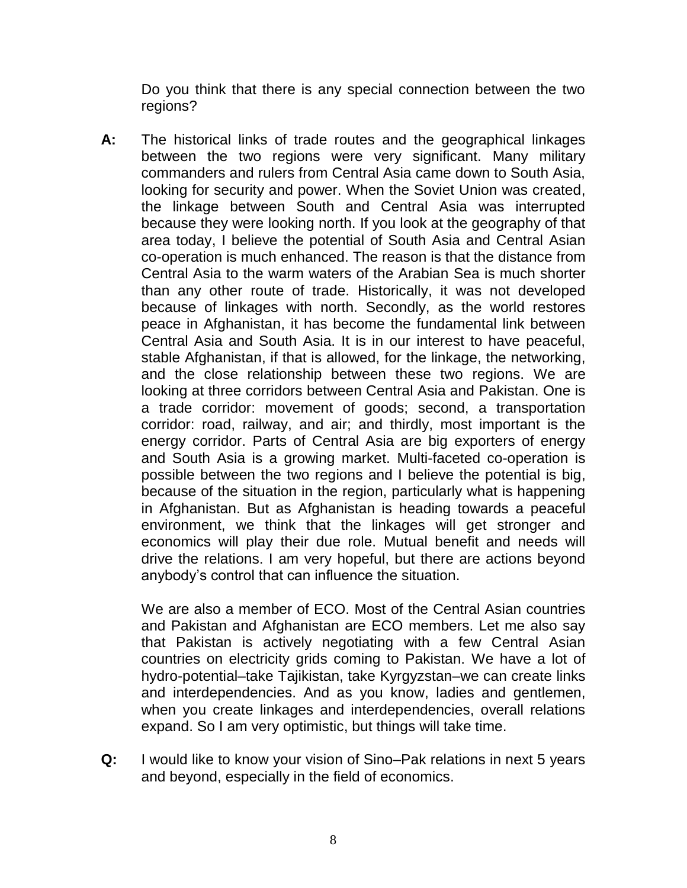Do you think that there is any special connection between the two regions?

**A:** The historical links of trade routes and the geographical linkages between the two regions were very significant. Many military commanders and rulers from Central Asia came down to South Asia, looking for security and power. When the Soviet Union was created, the linkage between South and Central Asia was interrupted because they were looking north. If you look at the geography of that area today, I believe the potential of South Asia and Central Asian co-operation is much enhanced. The reason is that the distance from Central Asia to the warm waters of the Arabian Sea is much shorter than any other route of trade. Historically, it was not developed because of linkages with north. Secondly, as the world restores peace in Afghanistan, it has become the fundamental link between Central Asia and South Asia. It is in our interest to have peaceful, stable Afghanistan, if that is allowed, for the linkage, the networking, and the close relationship between these two regions. We are looking at three corridors between Central Asia and Pakistan. One is a trade corridor: movement of goods; second, a transportation corridor: road, railway, and air; and thirdly, most important is the energy corridor. Parts of Central Asia are big exporters of energy and South Asia is a growing market. Multi-faceted co-operation is possible between the two regions and I believe the potential is big, because of the situation in the region, particularly what is happening in Afghanistan. But as Afghanistan is heading towards a peaceful environment, we think that the linkages will get stronger and economics will play their due role. Mutual benefit and needs will drive the relations. I am very hopeful, but there are actions beyond anybody"s control that can influence the situation.

We are also a member of ECO. Most of the Central Asian countries and Pakistan and Afghanistan are ECO members. Let me also say that Pakistan is actively negotiating with a few Central Asian countries on electricity grids coming to Pakistan. We have a lot of hydro-potential–take Tajikistan, take Kyrgyzstan–we can create links and interdependencies. And as you know, ladies and gentlemen, when you create linkages and interdependencies, overall relations expand. So I am very optimistic, but things will take time.

**Q:** I would like to know your vision of Sino–Pak relations in next 5 years and beyond, especially in the field of economics.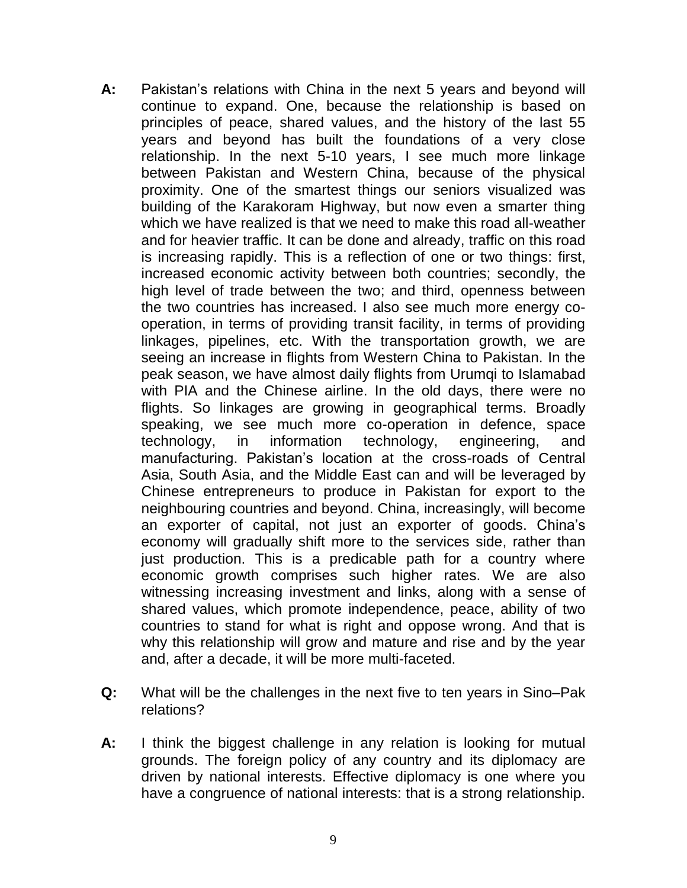- **A:** Pakistan"s relations with China in the next 5 years and beyond will continue to expand. One, because the relationship is based on principles of peace, shared values, and the history of the last 55 years and beyond has built the foundations of a very close relationship. In the next 5-10 years, I see much more linkage between Pakistan and Western China, because of the physical proximity. One of the smartest things our seniors visualized was building of the Karakoram Highway, but now even a smarter thing which we have realized is that we need to make this road all-weather and for heavier traffic. It can be done and already, traffic on this road is increasing rapidly. This is a reflection of one or two things: first, increased economic activity between both countries; secondly, the high level of trade between the two; and third, openness between the two countries has increased. I also see much more energy cooperation, in terms of providing transit facility, in terms of providing linkages, pipelines, etc. With the transportation growth, we are seeing an increase in flights from Western China to Pakistan. In the peak season, we have almost daily flights from Urumqi to Islamabad with PIA and the Chinese airline. In the old days, there were no flights. So linkages are growing in geographical terms. Broadly speaking, we see much more co-operation in defence, space technology, in information technology, engineering, and manufacturing. Pakistan"s location at the cross-roads of Central Asia, South Asia, and the Middle East can and will be leveraged by Chinese entrepreneurs to produce in Pakistan for export to the neighbouring countries and beyond. China, increasingly, will become an exporter of capital, not just an exporter of goods. China"s economy will gradually shift more to the services side, rather than just production. This is a predicable path for a country where economic growth comprises such higher rates. We are also witnessing increasing investment and links, along with a sense of shared values, which promote independence, peace, ability of two countries to stand for what is right and oppose wrong. And that is why this relationship will grow and mature and rise and by the year and, after a decade, it will be more multi-faceted.
- **Q:** What will be the challenges in the next five to ten years in Sino–Pak relations?
- **A:** I think the biggest challenge in any relation is looking for mutual grounds. The foreign policy of any country and its diplomacy are driven by national interests. Effective diplomacy is one where you have a congruence of national interests: that is a strong relationship.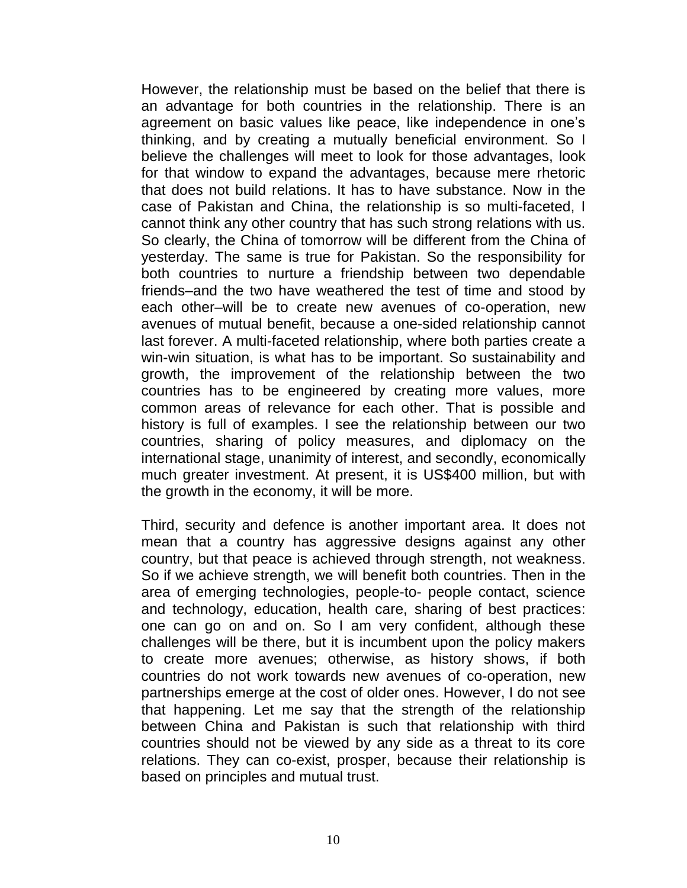However, the relationship must be based on the belief that there is an advantage for both countries in the relationship. There is an agreement on basic values like peace, like independence in one"s thinking, and by creating a mutually beneficial environment. So I believe the challenges will meet to look for those advantages, look for that window to expand the advantages, because mere rhetoric that does not build relations. It has to have substance. Now in the case of Pakistan and China, the relationship is so multi-faceted, I cannot think any other country that has such strong relations with us. So clearly, the China of tomorrow will be different from the China of yesterday. The same is true for Pakistan. So the responsibility for both countries to nurture a friendship between two dependable friends–and the two have weathered the test of time and stood by each other–will be to create new avenues of co-operation, new avenues of mutual benefit, because a one-sided relationship cannot last forever. A multi-faceted relationship, where both parties create a win-win situation, is what has to be important. So sustainability and growth, the improvement of the relationship between the two countries has to be engineered by creating more values, more common areas of relevance for each other. That is possible and history is full of examples. I see the relationship between our two countries, sharing of policy measures, and diplomacy on the international stage, unanimity of interest, and secondly, economically much greater investment. At present, it is US\$400 million, but with the growth in the economy, it will be more.

Third, security and defence is another important area. It does not mean that a country has aggressive designs against any other country, but that peace is achieved through strength, not weakness. So if we achieve strength, we will benefit both countries. Then in the area of emerging technologies, people-to- people contact, science and technology, education, health care, sharing of best practices: one can go on and on. So I am very confident, although these challenges will be there, but it is incumbent upon the policy makers to create more avenues; otherwise, as history shows, if both countries do not work towards new avenues of co-operation, new partnerships emerge at the cost of older ones. However, I do not see that happening. Let me say that the strength of the relationship between China and Pakistan is such that relationship with third countries should not be viewed by any side as a threat to its core relations. They can co-exist, prosper, because their relationship is based on principles and mutual trust.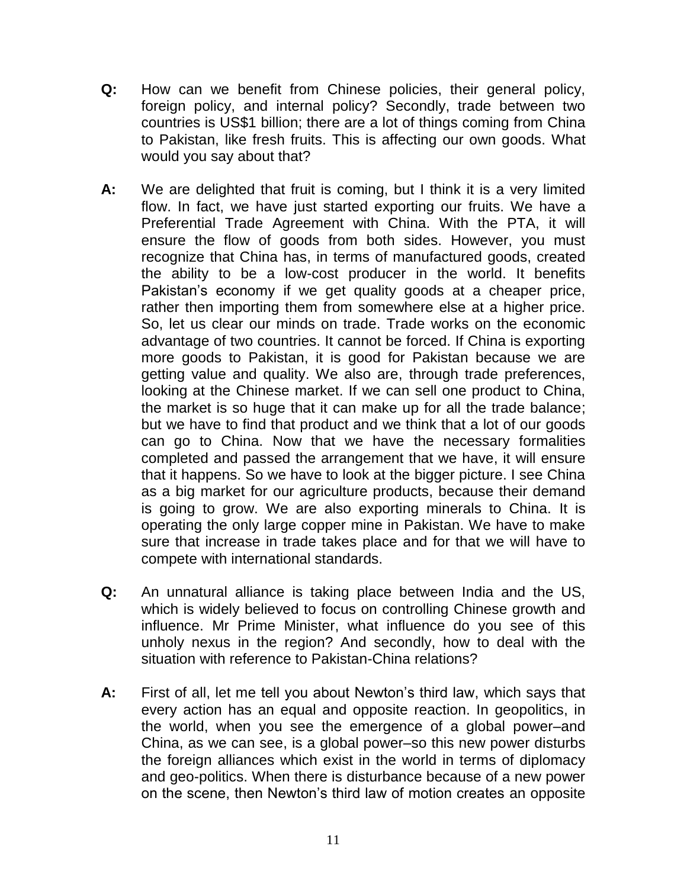- **Q:** How can we benefit from Chinese policies, their general policy, foreign policy, and internal policy? Secondly, trade between two countries is US\$1 billion; there are a lot of things coming from China to Pakistan, like fresh fruits. This is affecting our own goods. What would you say about that?
- **A:** We are delighted that fruit is coming, but I think it is a very limited flow. In fact, we have just started exporting our fruits. We have a Preferential Trade Agreement with China. With the PTA, it will ensure the flow of goods from both sides. However, you must recognize that China has, in terms of manufactured goods, created the ability to be a low-cost producer in the world. It benefits Pakistan's economy if we get quality goods at a cheaper price, rather then importing them from somewhere else at a higher price. So, let us clear our minds on trade. Trade works on the economic advantage of two countries. It cannot be forced. If China is exporting more goods to Pakistan, it is good for Pakistan because we are getting value and quality. We also are, through trade preferences, looking at the Chinese market. If we can sell one product to China, the market is so huge that it can make up for all the trade balance; but we have to find that product and we think that a lot of our goods can go to China. Now that we have the necessary formalities completed and passed the arrangement that we have, it will ensure that it happens. So we have to look at the bigger picture. I see China as a big market for our agriculture products, because their demand is going to grow. We are also exporting minerals to China. It is operating the only large copper mine in Pakistan. We have to make sure that increase in trade takes place and for that we will have to compete with international standards.
- **Q:** An unnatural alliance is taking place between India and the US, which is widely believed to focus on controlling Chinese growth and influence. Mr Prime Minister, what influence do you see of this unholy nexus in the region? And secondly, how to deal with the situation with reference to Pakistan-China relations?
- **A:** First of all, let me tell you about Newton"s third law, which says that every action has an equal and opposite reaction. In geopolitics, in the world, when you see the emergence of a global power–and China, as we can see, is a global power–so this new power disturbs the foreign alliances which exist in the world in terms of diplomacy and geo-politics. When there is disturbance because of a new power on the scene, then Newton"s third law of motion creates an opposite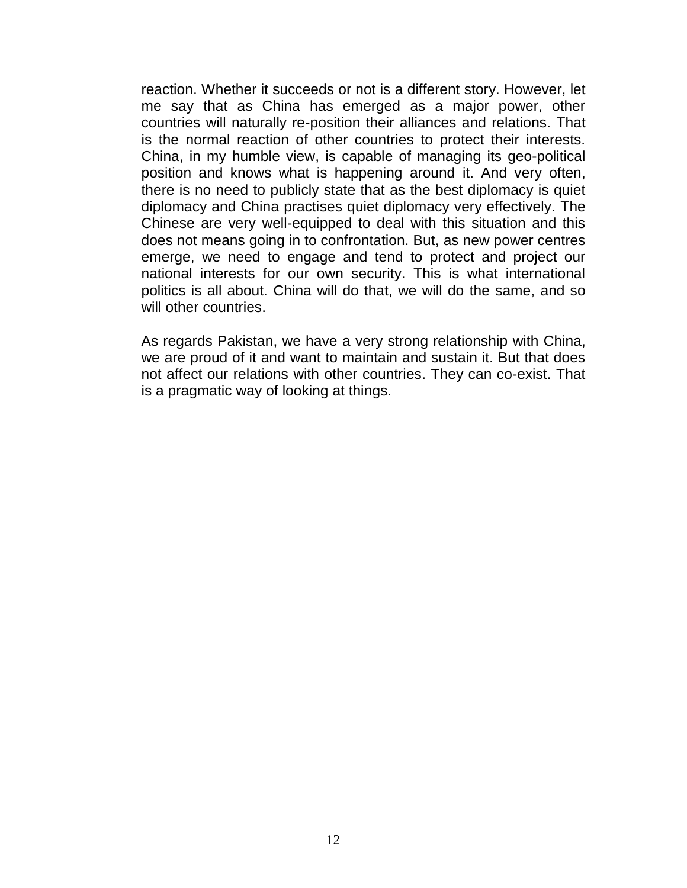reaction. Whether it succeeds or not is a different story. However, let me say that as China has emerged as a major power, other countries will naturally re-position their alliances and relations. That is the normal reaction of other countries to protect their interests. China, in my humble view, is capable of managing its geo-political position and knows what is happening around it. And very often, there is no need to publicly state that as the best diplomacy is quiet diplomacy and China practises quiet diplomacy very effectively. The Chinese are very well-equipped to deal with this situation and this does not means going in to confrontation. But, as new power centres emerge, we need to engage and tend to protect and project our national interests for our own security. This is what international politics is all about. China will do that, we will do the same, and so will other countries.

As regards Pakistan, we have a very strong relationship with China, we are proud of it and want to maintain and sustain it. But that does not affect our relations with other countries. They can co-exist. That is a pragmatic way of looking at things.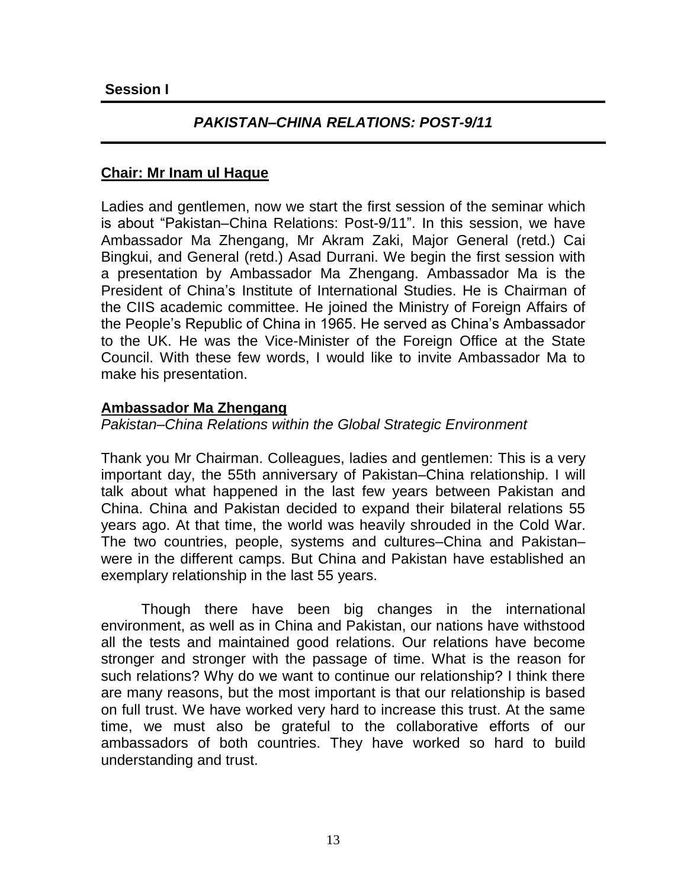# *PAKISTAN–CHINA RELATIONS: POST-9/11*

## **Chair: Mr Inam ul Haque**

Ladies and gentlemen, now we start the first session of the seminar which is about "Pakistan–China Relations: Post-9/11". In this session, we have Ambassador Ma Zhengang, Mr Akram Zaki, Major General (retd.) Cai Bingkui, and General (retd.) Asad Durrani. We begin the first session with a presentation by Ambassador Ma Zhengang. Ambassador Ma is the President of China"s Institute of International Studies. He is Chairman of the CIIS academic committee. He joined the Ministry of Foreign Affairs of the People"s Republic of China in 1965. He served as China"s Ambassador to the UK. He was the Vice-Minister of the Foreign Office at the State Council. With these few words, I would like to invite Ambassador Ma to make his presentation.

### **Ambassador Ma Zhengang**

*Pakistan–China Relations within the Global Strategic Environment*

Thank you Mr Chairman. Colleagues, ladies and gentlemen: This is a very important day, the 55th anniversary of Pakistan–China relationship. I will talk about what happened in the last few years between Pakistan and China. China and Pakistan decided to expand their bilateral relations 55 years ago. At that time, the world was heavily shrouded in the Cold War. The two countries, people, systems and cultures–China and Pakistan– were in the different camps. But China and Pakistan have established an exemplary relationship in the last 55 years.

Though there have been big changes in the international environment, as well as in China and Pakistan, our nations have withstood all the tests and maintained good relations. Our relations have become stronger and stronger with the passage of time. What is the reason for such relations? Why do we want to continue our relationship? I think there are many reasons, but the most important is that our relationship is based on full trust. We have worked very hard to increase this trust. At the same time, we must also be grateful to the collaborative efforts of our ambassadors of both countries. They have worked so hard to build understanding and trust.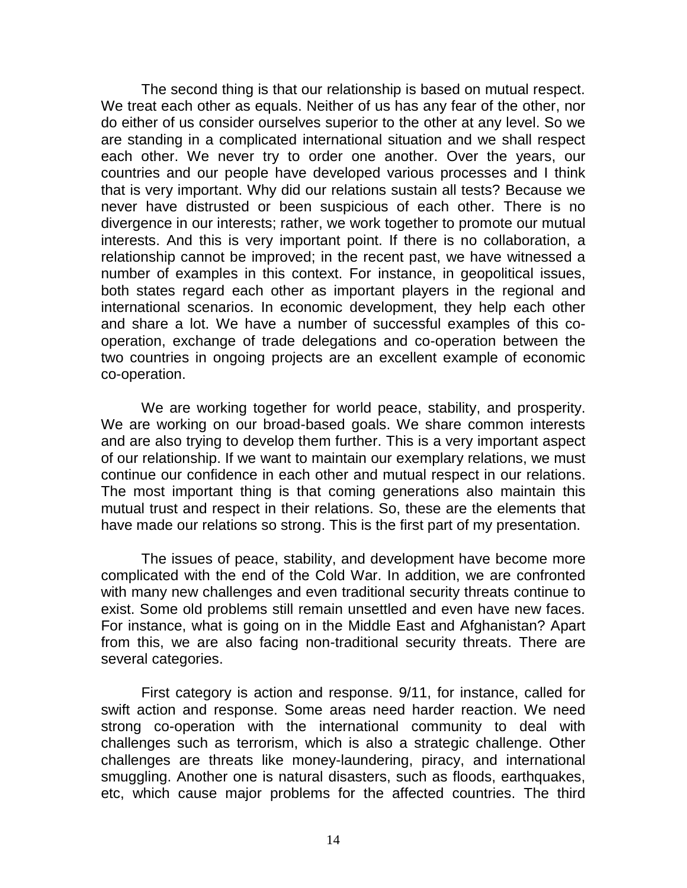The second thing is that our relationship is based on mutual respect. We treat each other as equals. Neither of us has any fear of the other, nor do either of us consider ourselves superior to the other at any level. So we are standing in a complicated international situation and we shall respect each other. We never try to order one another. Over the years, our countries and our people have developed various processes and I think that is very important. Why did our relations sustain all tests? Because we never have distrusted or been suspicious of each other. There is no divergence in our interests; rather, we work together to promote our mutual interests. And this is very important point. If there is no collaboration, a relationship cannot be improved; in the recent past, we have witnessed a number of examples in this context. For instance, in geopolitical issues, both states regard each other as important players in the regional and international scenarios. In economic development, they help each other and share a lot. We have a number of successful examples of this cooperation, exchange of trade delegations and co-operation between the two countries in ongoing projects are an excellent example of economic co-operation.

We are working together for world peace, stability, and prosperity. We are working on our broad-based goals. We share common interests and are also trying to develop them further. This is a very important aspect of our relationship. If we want to maintain our exemplary relations, we must continue our confidence in each other and mutual respect in our relations. The most important thing is that coming generations also maintain this mutual trust and respect in their relations. So, these are the elements that have made our relations so strong. This is the first part of my presentation.

The issues of peace, stability, and development have become more complicated with the end of the Cold War. In addition, we are confronted with many new challenges and even traditional security threats continue to exist. Some old problems still remain unsettled and even have new faces. For instance, what is going on in the Middle East and Afghanistan? Apart from this, we are also facing non-traditional security threats. There are several categories.

First category is action and response. 9/11, for instance, called for swift action and response. Some areas need harder reaction. We need strong co-operation with the international community to deal with challenges such as terrorism, which is also a strategic challenge. Other challenges are threats like money-laundering, piracy, and international smuggling. Another one is natural disasters, such as floods, earthquakes, etc, which cause major problems for the affected countries. The third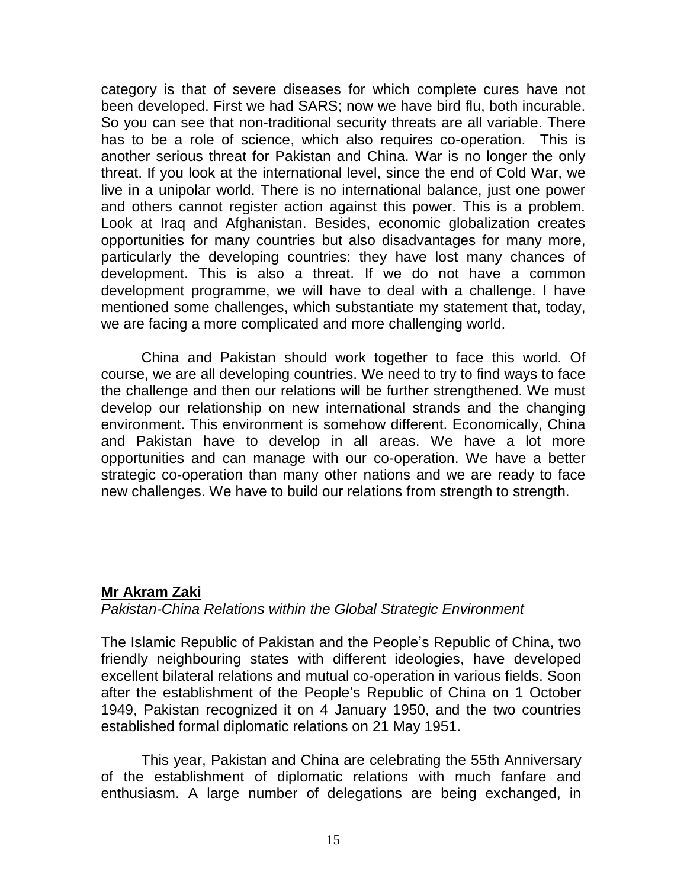category is that of severe diseases for which complete cures have not been developed. First we had SARS; now we have bird flu, both incurable. So you can see that non-traditional security threats are all variable. There has to be a role of science, which also requires co-operation. This is another serious threat for Pakistan and China. War is no longer the only threat. If you look at the international level, since the end of Cold War, we live in a unipolar world. There is no international balance, just one power and others cannot register action against this power. This is a problem. Look at Iraq and Afghanistan. Besides, economic globalization creates opportunities for many countries but also disadvantages for many more, particularly the developing countries: they have lost many chances of development. This is also a threat. If we do not have a common development programme, we will have to deal with a challenge. I have mentioned some challenges, which substantiate my statement that, today, we are facing a more complicated and more challenging world.

China and Pakistan should work together to face this world. Of course, we are all developing countries. We need to try to find ways to face the challenge and then our relations will be further strengthened. We must develop our relationship on new international strands and the changing environment. This environment is somehow different. Economically, China and Pakistan have to develop in all areas. We have a lot more opportunities and can manage with our co-operation. We have a better strategic co-operation than many other nations and we are ready to face new challenges. We have to build our relations from strength to strength.

### **Mr Akram Zaki**

### *Pakistan-China Relations within the Global Strategic Environment*

The Islamic Republic of Pakistan and the People"s Republic of China, two friendly neighbouring states with different ideologies, have developed excellent bilateral relations and mutual co-operation in various fields. Soon after the establishment of the People"s Republic of China on 1 October 1949, Pakistan recognized it on 4 January 1950, and the two countries established formal diplomatic relations on 21 May 1951.

This year, Pakistan and China are celebrating the 55th Anniversary of the establishment of diplomatic relations with much fanfare and enthusiasm. A large number of delegations are being exchanged, in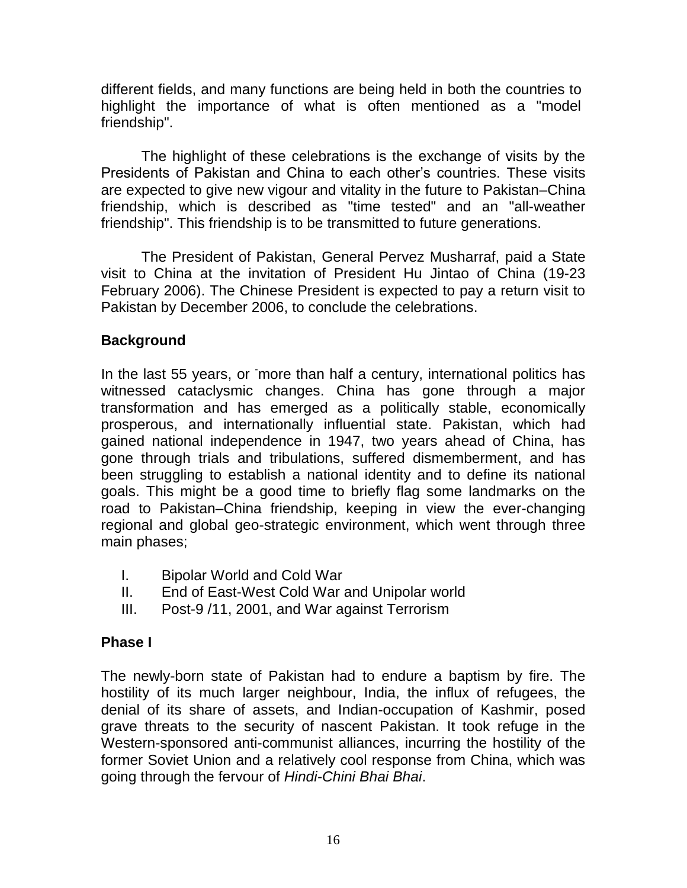different fields, and many functions are being held in both the countries to highlight the importance of what is often mentioned as a "model friendship".

The highlight of these celebrations is the exchange of visits by the Presidents of Pakistan and China to each other"s countries. These visits are expected to give new vigour and vitality in the future to Pakistan–China friendship, which is described as "time tested" and an "all-weather friendship". This friendship is to be transmitted to future generations.

The President of Pakistan, General Pervez Musharraf, paid a State visit to China at the invitation of President Hu Jintao of China (19-23 February 2006). The Chinese President is expected to pay a return visit to Pakistan by December 2006, to conclude the celebrations.

# **Background**

In the last 55 years, or more than half a century, international politics has witnessed cataclysmic changes. China has gone through a major transformation and has emerged as a politically stable, economically prosperous, and internationally influential state. Pakistan, which had gained national independence in 1947, two years ahead of China, has gone through trials and tribulations, suffered dismemberment, and has been struggling to establish a national identity and to define its national goals. This might be a good time to briefly flag some landmarks on the road to Pakistan–China friendship, keeping in view the ever-changing regional and global geo-strategic environment, which went through three main phases;

- I. Bipolar World and Cold War
- II. End of East-West Cold War and Unipolar world
- III. Post-9 /11, 2001, and War against Terrorism

# **Phase I**

The newly-born state of Pakistan had to endure a baptism by fire. The hostility of its much larger neighbour, India, the influx of refugees, the denial of its share of assets, and Indian-occupation of Kashmir, posed grave threats to the security of nascent Pakistan. It took refuge in the Western-sponsored anti-communist alliances, incurring the hostility of the former Soviet Union and a relatively cool response from China, which was going through the fervour of *Hindi-Chini Bhai Bhai*.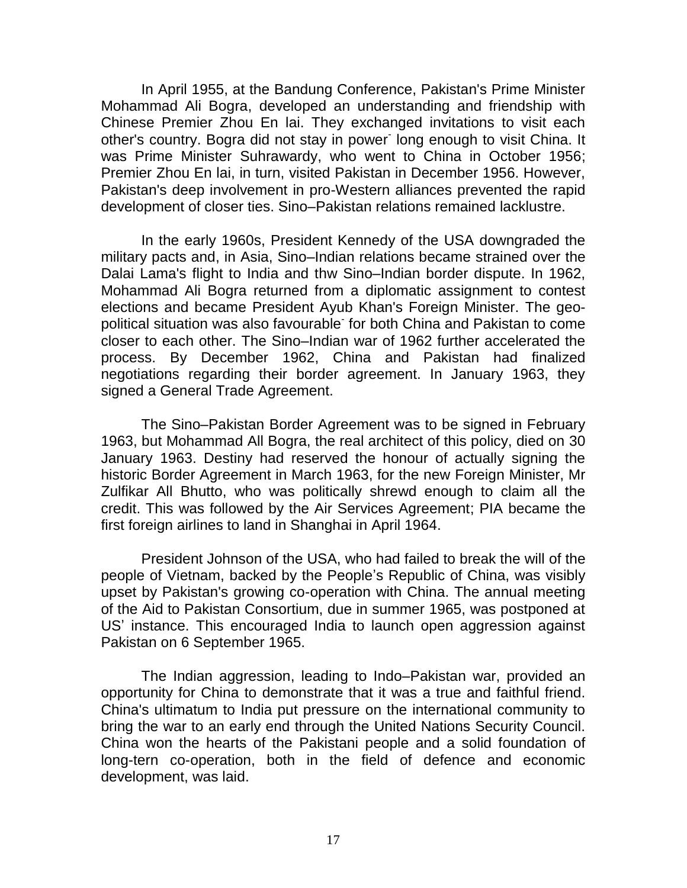In April 1955, at the Bandung Conference, Pakistan's Prime Minister Mohammad Ali Bogra, developed an understanding and friendship with Chinese Premier Zhou En lai. They exchanged invitations to visit each other's country. Bogra did not stay in power long enough to visit China. It was Prime Minister Suhrawardy, who went to China in October 1956; Premier Zhou En lai, in turn, visited Pakistan in December 1956. However, Pakistan's deep involvement in pro-Western alliances prevented the rapid development of closer ties. Sino–Pakistan relations remained lacklustre.

In the early 1960s, President Kennedy of the USA downgraded the military pacts and, in Asia, Sino–Indian relations became strained over the Dalai Lama's flight to India and thw Sino–Indian border dispute. In 1962, Mohammad Ali Bogra returned from a diplomatic assignment to contest elections and became President Ayub Khan's Foreign Minister. The geopolitical situation was also favourable for both China and Pakistan to come closer to each other. The Sino–Indian war of 1962 further accelerated the process. By December 1962, China and Pakistan had finalized negotiations regarding their border agreement. In January 1963, they signed a General Trade Agreement.

The Sino–Pakistan Border Agreement was to be signed in February 1963, but Mohammad All Bogra, the real architect of this policy, died on 30 January 1963. Destiny had reserved the honour of actually signing the historic Border Agreement in March 1963, for the new Foreign Minister, Mr Zulfikar All Bhutto, who was politically shrewd enough to claim all the credit. This was followed by the Air Services Agreement; PIA became the first foreign airlines to land in Shanghai in April 1964.

President Johnson of the USA, who had failed to break the will of the people of Vietnam, backed by the People"s Republic of China, was visibly upset by Pakistan's growing co-operation with China. The annual meeting of the Aid to Pakistan Consortium, due in summer 1965, was postponed at US" instance. This encouraged India to launch open aggression against Pakistan on 6 September 1965.

The Indian aggression, leading to Indo–Pakistan war, provided an opportunity for China to demonstrate that it was a true and faithful friend. China's ultimatum to India put pressure on the international community to bring the war to an early end through the United Nations Security Council. China won the hearts of the Pakistani people and a solid foundation of long-tern co-operation, both in the field of defence and economic development, was laid.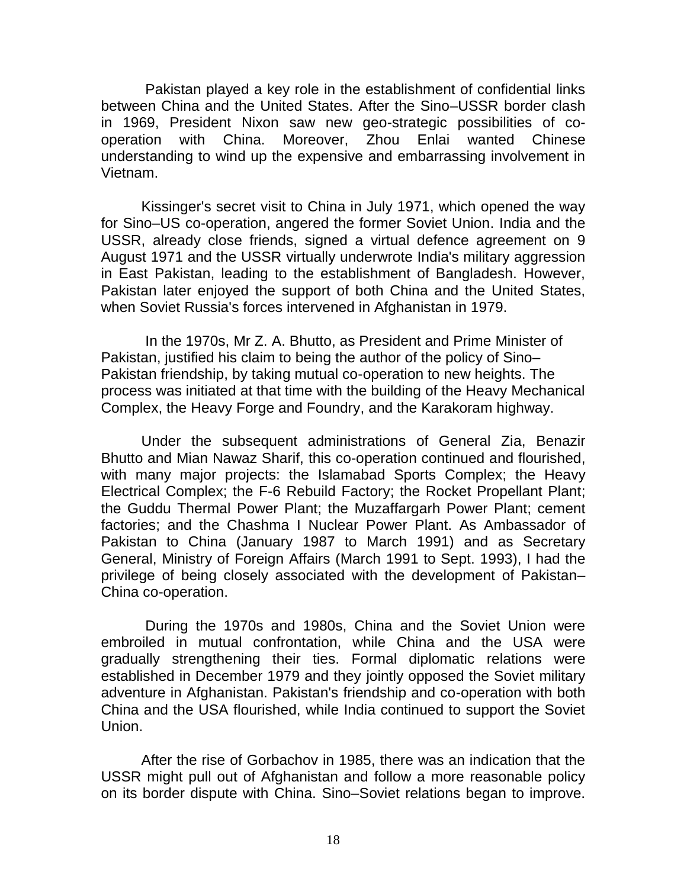Pakistan played a key role in the establishment of confidential links between China and the United States. After the Sino–USSR border clash in 1969, President Nixon saw new geo-strategic possibilities of cooperation with China. Moreover, Zhou Enlai wanted Chinese understanding to wind up the expensive and embarrassing involvement in Vietnam.

Kissinger's secret visit to China in July 1971, which opened the way for Sino–US co-operation, angered the former Soviet Union. India and the USSR, already close friends, signed a virtual defence agreement on 9 August 1971 and the USSR virtually underwrote India's military aggression in East Pakistan, leading to the establishment of Bangladesh. However, Pakistan later enjoyed the support of both China and the United States, when Soviet Russia's forces intervened in Afghanistan in 1979.

In the 1970s, Mr Z. A. Bhutto, as President and Prime Minister of Pakistan, justified his claim to being the author of the policy of Sino– Pakistan friendship, by taking mutual co-operation to new heights. The process was initiated at that time with the building of the Heavy Mechanical Complex, the Heavy Forge and Foundry, and the Karakoram highway.

Under the subsequent administrations of General Zia, Benazir Bhutto and Mian Nawaz Sharif, this co-operation continued and flourished, with many major projects: the Islamabad Sports Complex; the Heavy Electrical Complex; the F-6 Rebuild Factory; the Rocket Propellant Plant; the Guddu Thermal Power Plant; the Muzaffargarh Power Plant; cement factories; and the Chashma I Nuclear Power Plant. As Ambassador of Pakistan to China (January 1987 to March 1991) and as Secretary General, Ministry of Foreign Affairs (March 1991 to Sept. 1993), I had the privilege of being closely associated with the development of Pakistan– China co-operation.

During the 1970s and 1980s, China and the Soviet Union were embroiled in mutual confrontation, while China and the USA were gradually strengthening their ties. Formal diplomatic relations were established in December 1979 and they jointly opposed the Soviet military adventure in Afghanistan. Pakistan's friendship and co-operation with both China and the USA flourished, while India continued to support the Soviet Union.

After the rise of Gorbachov in 1985, there was an indication that the USSR might pull out of Afghanistan and follow a more reasonable policy on its border dispute with China. Sino–Soviet relations began to improve.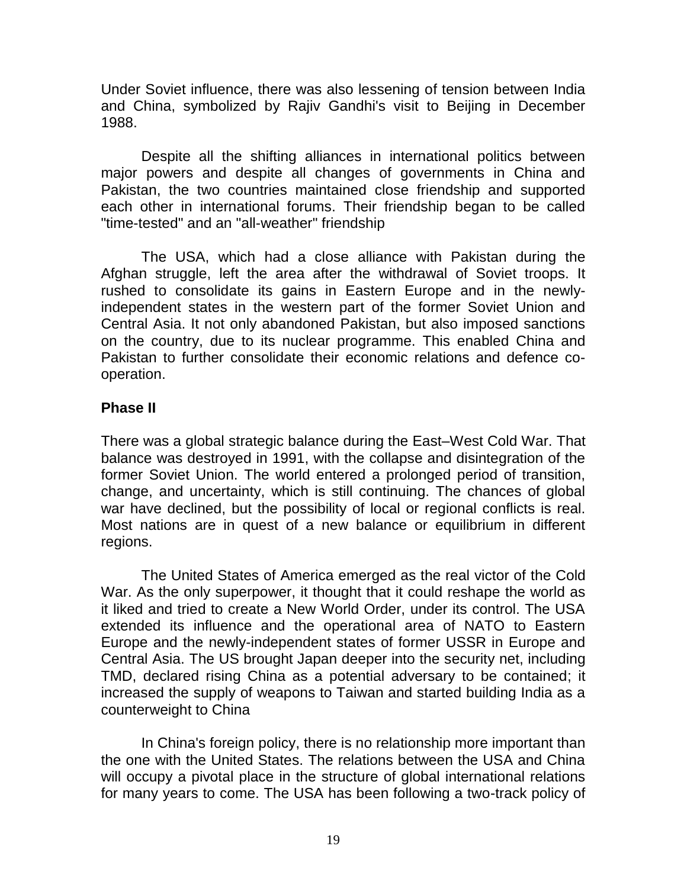Under Soviet influence, there was also lessening of tension between India and China, symbolized by Rajiv Gandhi's visit to Beijing in December 1988.

Despite all the shifting alliances in international politics between major powers and despite all changes of governments in China and Pakistan, the two countries maintained close friendship and supported each other in international forums. Their friendship began to be called "time-tested" and an "all-weather" friendship

The USA, which had a close alliance with Pakistan during the Afghan struggle, left the area after the withdrawal of Soviet troops. It rushed to consolidate its gains in Eastern Europe and in the newlyindependent states in the western part of the former Soviet Union and Central Asia. It not only abandoned Pakistan, but also imposed sanctions on the country, due to its nuclear programme. This enabled China and Pakistan to further consolidate their economic relations and defence cooperation.

## **Phase II**

There was a global strategic balance during the East–West Cold War. That balance was destroyed in 1991, with the collapse and disintegration of the former Soviet Union. The world entered a prolonged period of transition, change, and uncertainty, which is still continuing. The chances of global war have declined, but the possibility of local or regional conflicts is real. Most nations are in quest of a new balance or equilibrium in different regions.

The United States of America emerged as the real victor of the Cold War. As the only superpower, it thought that it could reshape the world as it liked and tried to create a New World Order, under its control. The USA extended its influence and the operational area of NATO to Eastern Europe and the newly-independent states of former USSR in Europe and Central Asia. The US brought Japan deeper into the security net, including TMD, declared rising China as a potential adversary to be contained; it increased the supply of weapons to Taiwan and started building India as a counterweight to China

In China's foreign policy, there is no relationship more important than the one with the United States. The relations between the USA and China will occupy a pivotal place in the structure of global international relations for many years to come. The USA has been following a two-track policy of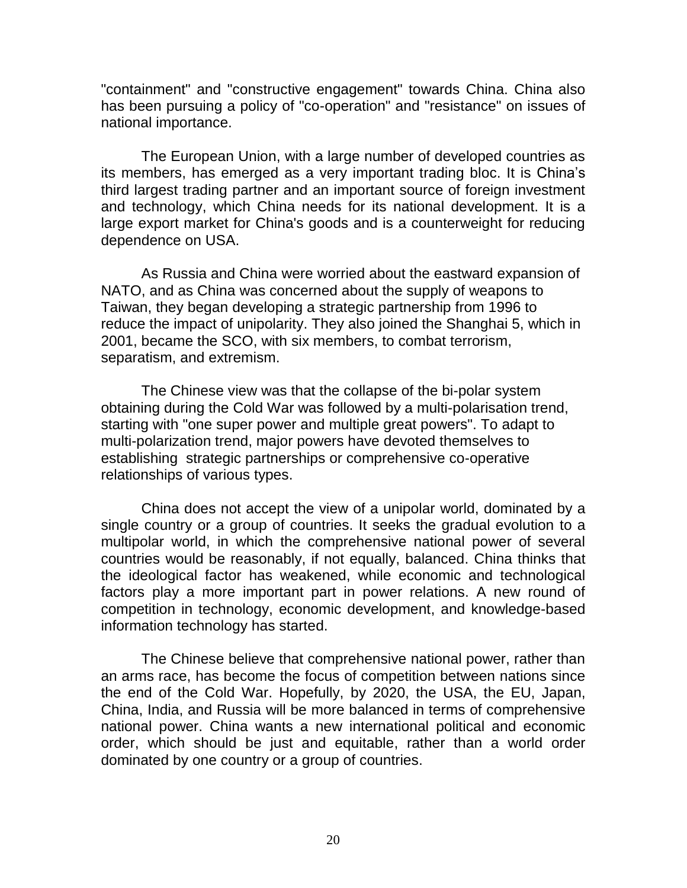"containment" and "constructive engagement" towards China. China also has been pursuing a policy of "co-operation" and "resistance" on issues of national importance.

The European Union, with a large number of developed countries as its members, has emerged as a very important trading bloc. It is China"s third largest trading partner and an important source of foreign investment and technology, which China needs for its national development. It is a large export market for China's goods and is a counterweight for reducing dependence on USA.

As Russia and China were worried about the eastward expansion of NATO, and as China was concerned about the supply of weapons to Taiwan, they began developing a strategic partnership from 1996 to reduce the impact of unipolarity. They also joined the Shanghai 5, which in 2001, became the SCO, with six members, to combat terrorism, separatism, and extremism.

The Chinese view was that the collapse of the bi-polar system obtaining during the Cold War was followed by a multi-polarisation trend, starting with "one super power and multiple great powers". To adapt to multi-polarization trend, major powers have devoted themselves to establishing strategic partnerships or comprehensive co-operative relationships of various types.

China does not accept the view of a unipolar world, dominated by a single country or a group of countries. It seeks the gradual evolution to a multipolar world, in which the comprehensive national power of several countries would be reasonably, if not equally, balanced. China thinks that the ideological factor has weakened, while economic and technological factors play a more important part in power relations. A new round of competition in technology, economic development, and knowledge-based information technology has started.

The Chinese believe that comprehensive national power, rather than an arms race, has become the focus of competition between nations since the end of the Cold War. Hopefully, by 2020, the USA, the EU, Japan, China, India, and Russia will be more balanced in terms of comprehensive national power. China wants a new international political and economic order, which should be just and equitable, rather than a world order dominated by one country or a group of countries.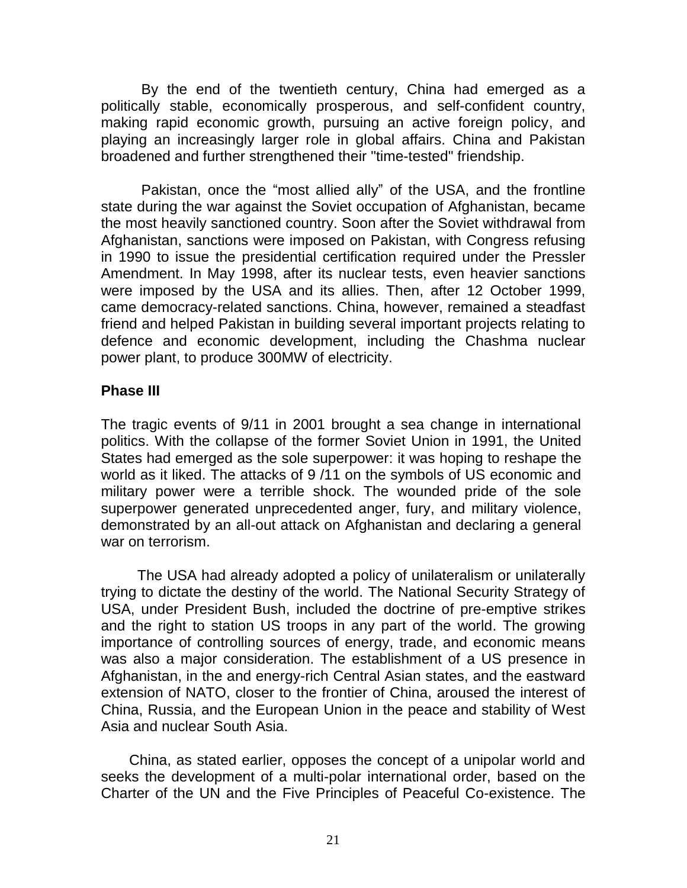By the end of the twentieth century, China had emerged as a politically stable, economically prosperous, and self-confident country, making rapid economic growth, pursuing an active foreign policy, and playing an increasingly larger role in global affairs. China and Pakistan broadened and further strengthened their "time-tested" friendship.

Pakistan, once the "most allied ally" of the USA, and the frontline state during the war against the Soviet occupation of Afghanistan, became the most heavily sanctioned country. Soon after the Soviet withdrawal from Afghanistan, sanctions were imposed on Pakistan, with Congress refusing in 1990 to issue the presidential certification required under the Pressler Amendment. In May 1998, after its nuclear tests, even heavier sanctions were imposed by the USA and its allies. Then, after 12 October 1999, came democracy-related sanctions. China, however, remained a steadfast friend and helped Pakistan in building several important projects relating to defence and economic development, including the Chashma nuclear power plant, to produce 300MW of electricity.

## **Phase III**

The tragic events of 9/11 in 2001 brought a sea change in international politics. With the collapse of the former Soviet Union in 1991, the United States had emerged as the sole superpower: it was hoping to reshape the world as it liked. The attacks of 9 /11 on the symbols of US economic and military power were a terrible shock. The wounded pride of the sole superpower generated unprecedented anger, fury, and military violence, demonstrated by an all-out attack on Afghanistan and declaring a general war on terrorism.

The USA had already adopted a policy of unilateralism or unilaterally trying to dictate the destiny of the world. The National Security Strategy of USA, under President Bush, included the doctrine of pre-emptive strikes and the right to station US troops in any part of the world. The growing importance of controlling sources of energy, trade, and economic means was also a major consideration. The establishment of a US presence in Afghanistan, in the and energy-rich Central Asian states, and the eastward extension of NATO, closer to the frontier of China, aroused the interest of China, Russia, and the European Union in the peace and stability of West Asia and nuclear South Asia.

China, as stated earlier, opposes the concept of a unipolar world and seeks the development of a multi-polar international order, based on the Charter of the UN and the Five Principles of Peaceful Co-existence. The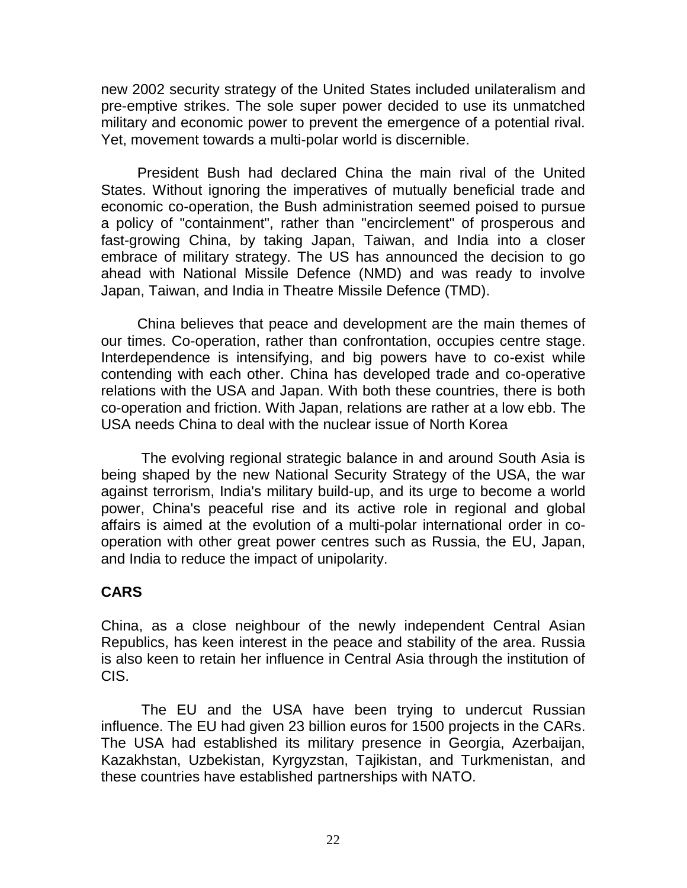new 2002 security strategy of the United States included unilateralism and pre-emptive strikes. The sole super power decided to use its unmatched military and economic power to prevent the emergence of a potential rival. Yet, movement towards a multi-polar world is discernible.

President Bush had declared China the main rival of the United States. Without ignoring the imperatives of mutually beneficial trade and economic co-operation, the Bush administration seemed poised to pursue a policy of "containment", rather than "encirclement" of prosperous and fast-growing China, by taking Japan, Taiwan, and India into a closer embrace of military strategy. The US has announced the decision to go ahead with National Missile Defence (NMD) and was ready to involve Japan, Taiwan, and India in Theatre Missile Defence (TMD).

China believes that peace and development are the main themes of our times. Co-operation, rather than confrontation, occupies centre stage. Interdependence is intensifying, and big powers have to co-exist while contending with each other. China has developed trade and co-operative relations with the USA and Japan. With both these countries, there is both co-operation and friction. With Japan, relations are rather at a low ebb. The USA needs China to deal with the nuclear issue of North Korea

The evolving regional strategic balance in and around South Asia is being shaped by the new National Security Strategy of the USA, the war against terrorism, India's military build-up, and its urge to become a world power, China's peaceful rise and its active role in regional and global affairs is aimed at the evolution of a multi-polar international order in cooperation with other great power centres such as Russia, the EU, Japan, and India to reduce the impact of unipolarity.

# **CARS**

China, as a close neighbour of the newly independent Central Asian Republics, has keen interest in the peace and stability of the area. Russia is also keen to retain her influence in Central Asia through the institution of CIS.

The EU and the USA have been trying to undercut Russian influence. The EU had given 23 billion euros for 1500 projects in the CARs. The USA had established its military presence in Georgia, Azerbaijan, Kazakhstan, Uzbekistan, Kyrgyzstan, Tajikistan, and Turkmenistan, and these countries have established partnerships with NATO.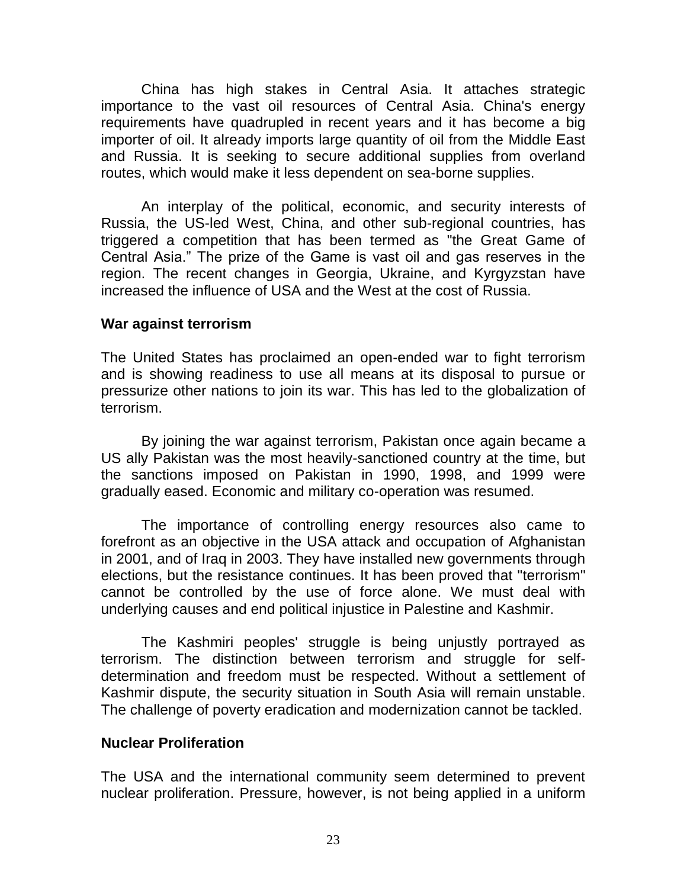China has high stakes in Central Asia. It attaches strategic importance to the vast oil resources of Central Asia. China's energy requirements have quadrupled in recent years and it has become a big importer of oil. It already imports large quantity of oil from the Middle East and Russia. It is seeking to secure additional supplies from overland routes, which would make it less dependent on sea-borne supplies.

An interplay of the political, economic, and security interests of Russia, the US-led West, China, and other sub-regional countries, has triggered a competition that has been termed as "the Great Game of Central Asia." The prize of the Game is vast oil and gas reserves in the region. The recent changes in Georgia, Ukraine, and Kyrgyzstan have increased the influence of USA and the West at the cost of Russia.

### **War against terrorism**

The United States has proclaimed an open-ended war to fight terrorism and is showing readiness to use all means at its disposal to pursue or pressurize other nations to join its war. This has led to the globalization of terrorism.

By joining the war against terrorism, Pakistan once again became a US ally Pakistan was the most heavily-sanctioned country at the time, but the sanctions imposed on Pakistan in 1990, 1998, and 1999 were gradually eased. Economic and military co-operation was resumed.

The importance of controlling energy resources also came to forefront as an objective in the USA attack and occupation of Afghanistan in 2001, and of Iraq in 2003. They have installed new governments through elections, but the resistance continues. It has been proved that "terrorism" cannot be controlled by the use of force alone. We must deal with underlying causes and end political injustice in Palestine and Kashmir.

The Kashmiri peoples' struggle is being unjustly portrayed as terrorism. The distinction between terrorism and struggle for selfdetermination and freedom must be respected. Without a settlement of Kashmir dispute, the security situation in South Asia will remain unstable. The challenge of poverty eradication and modernization cannot be tackled.

### **Nuclear Proliferation**

The USA and the international community seem determined to prevent nuclear proliferation. Pressure, however, is not being applied in a uniform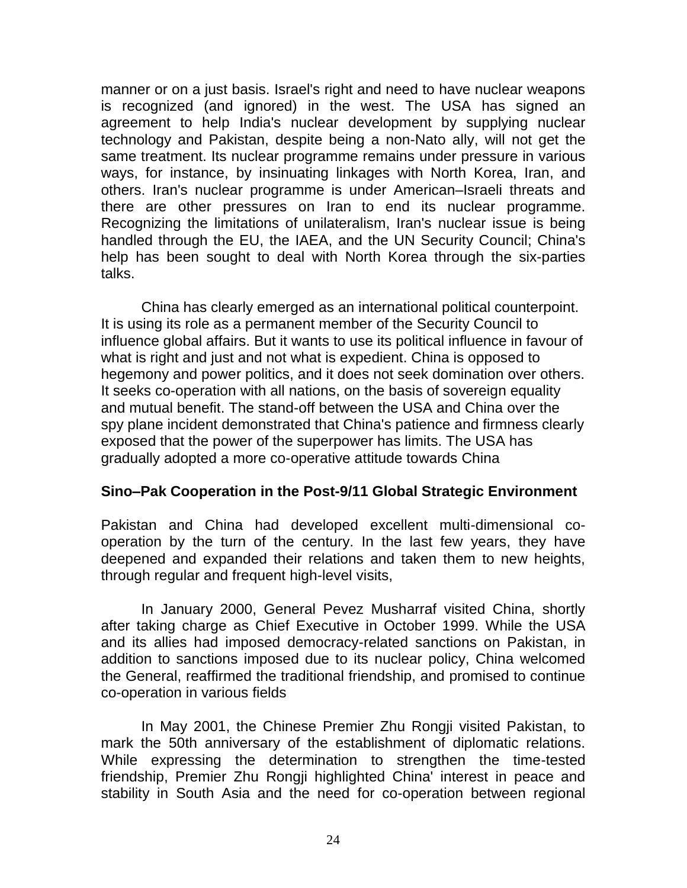manner or on a just basis. Israel's right and need to have nuclear weapons is recognized (and ignored) in the west. The USA has signed an agreement to help India's nuclear development by supplying nuclear technology and Pakistan, despite being a non-Nato ally, will not get the same treatment. Its nuclear programme remains under pressure in various ways, for instance, by insinuating linkages with North Korea, Iran, and others. Iran's nuclear programme is under American–Israeli threats and there are other pressures on Iran to end its nuclear programme. Recognizing the limitations of unilateralism, Iran's nuclear issue is being handled through the EU, the IAEA, and the UN Security Council; China's help has been sought to deal with North Korea through the six-parties talks.

China has clearly emerged as an international political counterpoint. It is using its role as a permanent member of the Security Council to influence global affairs. But it wants to use its political influence in favour of what is right and just and not what is expedient. China is opposed to hegemony and power politics, and it does not seek domination over others. It seeks co-operation with all nations, on the basis of sovereign equality and mutual benefit. The stand-off between the USA and China over the spy plane incident demonstrated that China's patience and firmness clearly exposed that the power of the superpower has limits. The USA has gradually adopted a more co-operative attitude towards China

### **Sino–Pak Cooperation in the Post-9/11 Global Strategic Environment**

Pakistan and China had developed excellent multi-dimensional cooperation by the turn of the century. In the last few years, they have deepened and expanded their relations and taken them to new heights, through regular and frequent high-level visits,

In January 2000, General Pevez Musharraf visited China, shortly after taking charge as Chief Executive in October 1999. While the USA and its allies had imposed democracy-related sanctions on Pakistan, in addition to sanctions imposed due to its nuclear policy, China welcomed the General, reaffirmed the traditional friendship, and promised to continue co-operation in various fields

In May 2001, the Chinese Premier Zhu Rongji visited Pakistan, to mark the 50th anniversary of the establishment of diplomatic relations. While expressing the determination to strengthen the time-tested friendship, Premier Zhu Rongji highlighted China' interest in peace and stability in South Asia and the need for co-operation between regional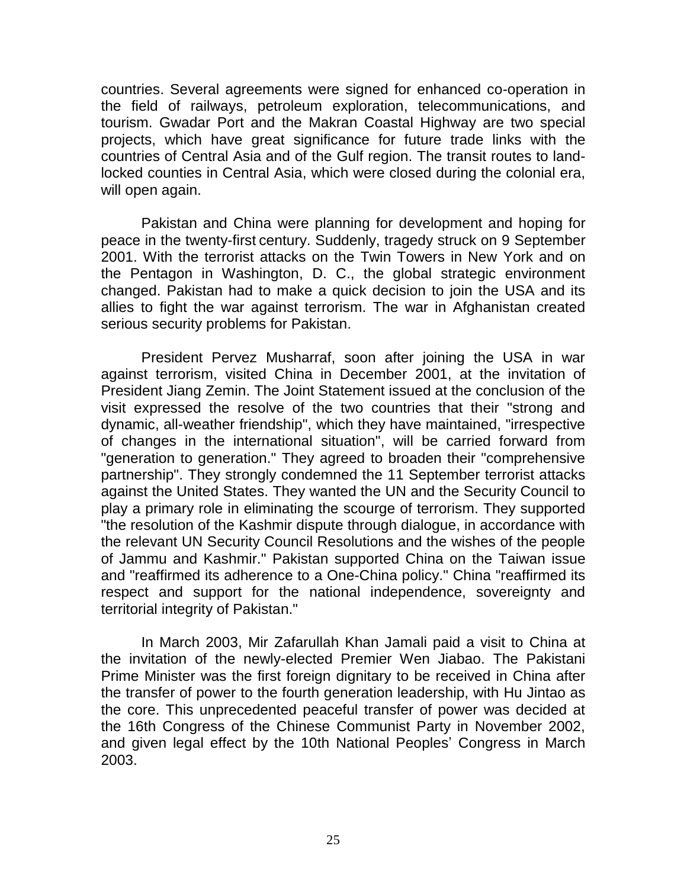countries. Several agreements were signed for enhanced co-operation in the field of railways, petroleum exploration, telecommunications, and tourism. Gwadar Port and the Makran Coastal Highway are two special projects, which have great significance for future trade links with the countries of Central Asia and of the Gulf region. The transit routes to landlocked counties in Central Asia, which were closed during the colonial era, will open again.

Pakistan and China were planning for development and hoping for peace in the twenty-first century. Suddenly, tragedy struck on 9 September 2001. With the terrorist attacks on the Twin Towers in New York and on the Pentagon in Washington, D. C., the global strategic environment changed. Pakistan had to make a quick decision to join the USA and its allies to fight the war against terrorism. The war in Afghanistan created serious security problems for Pakistan.

President Pervez Musharraf, soon after joining the USA in war against terrorism, visited China in December 2001, at the invitation of President Jiang Zemin. The Joint Statement issued at the conclusion of the visit expressed the resolve of the two countries that their "strong and dynamic, all-weather friendship", which they have maintained, "irrespective of changes in the international situation", will be carried forward from "generation to generation." They agreed to broaden their "comprehensive partnership". They strongly condemned the 11 September terrorist attacks against the United States. They wanted the UN and the Security Council to play a primary role in eliminating the scourge of terrorism. They supported "the resolution of the Kashmir dispute through dialogue, in accordance with the relevant UN Security Council Resolutions and the wishes of the people of Jammu and Kashmir." Pakistan supported China on the Taiwan issue and "reaffirmed its adherence to a One-China policy." China "reaffirmed its respect and support for the national independence, sovereignty and territorial integrity of Pakistan."

In March 2003, Mir Zafarullah Khan Jamali paid a visit to China at the invitation of the newly-elected Premier Wen Jiabao. The Pakistani Prime Minister was the first foreign dignitary to be received in China after the transfer of power to the fourth generation leadership, with Hu Jintao as the core. This unprecedented peaceful transfer of power was decided at the 16th Congress of the Chinese Communist Party in November 2002, and given legal effect by the 10th National Peoples' Congress in March 2003.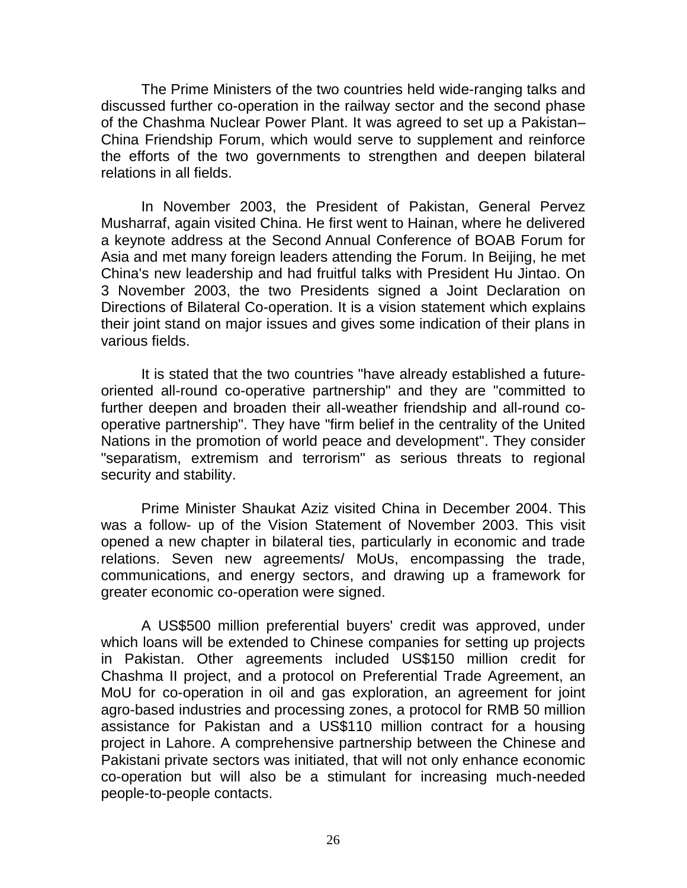The Prime Ministers of the two countries held wide-ranging talks and discussed further co-operation in the railway sector and the second phase of the Chashma Nuclear Power Plant. It was agreed to set up a Pakistan– China Friendship Forum, which would serve to supplement and reinforce the efforts of the two governments to strengthen and deepen bilateral relations in all fields.

In November 2003, the President of Pakistan, General Pervez Musharraf, again visited China. He first went to Hainan, where he delivered a keynote address at the Second Annual Conference of BOAB Forum for Asia and met many foreign leaders attending the Forum. In Beijing, he met China's new leadership and had fruitful talks with President Hu Jintao. On 3 November 2003, the two Presidents signed a Joint Declaration on Directions of Bilateral Co-operation. It is a vision statement which explains their joint stand on major issues and gives some indication of their plans in various fields.

It is stated that the two countries "have already established a futureoriented all-round co-operative partnership" and they are "committed to further deepen and broaden their all-weather friendship and all-round cooperative partnership". They have "firm belief in the centrality of the United Nations in the promotion of world peace and development". They consider "separatism, extremism and terrorism" as serious threats to regional security and stability.

Prime Minister Shaukat Aziz visited China in December 2004. This was a follow- up of the Vision Statement of November 2003. This visit opened a new chapter in bilateral ties, particularly in economic and trade relations. Seven new agreements/ MoUs, encompassing the trade, communications, and energy sectors, and drawing up a framework for greater economic co-operation were signed.

A US\$500 million preferential buyers' credit was approved, under which loans will be extended to Chinese companies for setting up projects in Pakistan. Other agreements included US\$150 million credit for Chashma II project, and a protocol on Preferential Trade Agreement, an MoU for co-operation in oil and gas exploration, an agreement for joint agro-based industries and processing zones, a protocol for RMB 50 million assistance for Pakistan and a US\$110 million contract for a housing project in Lahore. A comprehensive partnership between the Chinese and Pakistani private sectors was initiated, that will not only enhance economic co-operation but will also be a stimulant for increasing much-needed people-to-people contacts.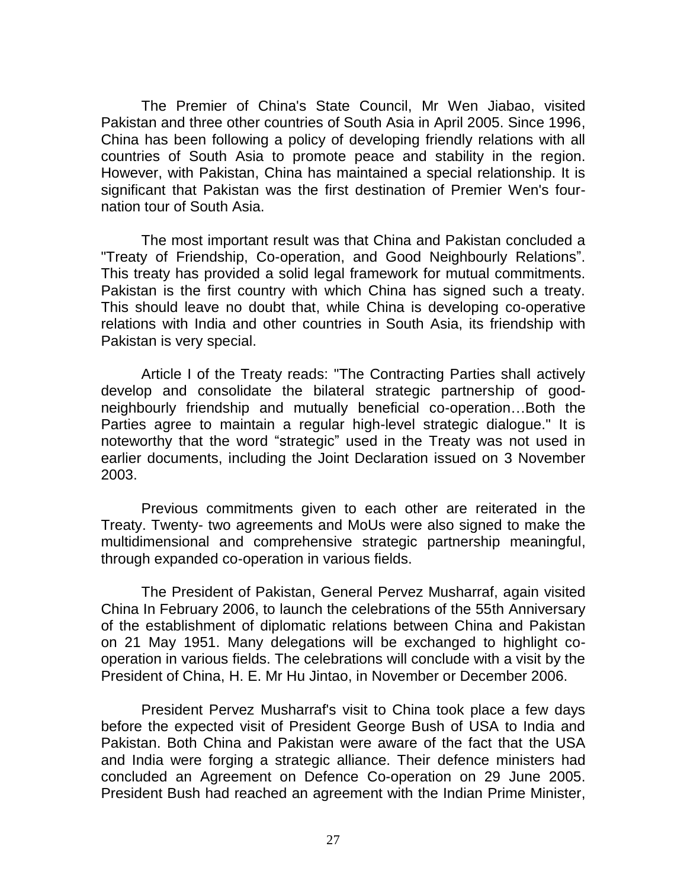The Premier of China's State Council, Mr Wen Jiabao, visited Pakistan and three other countries of South Asia in April 2005. Since 1996, China has been following a policy of developing friendly relations with all countries of South Asia to promote peace and stability in the region. However, with Pakistan, China has maintained a special relationship. It is significant that Pakistan was the first destination of Premier Wen's fournation tour of South Asia.

The most important result was that China and Pakistan concluded a "Treaty of Friendship, Co-operation, and Good Neighbourly Relations". This treaty has provided a solid legal framework for mutual commitments. Pakistan is the first country with which China has signed such a treaty. This should leave no doubt that, while China is developing co-operative relations with India and other countries in South Asia, its friendship with Pakistan is very special.

Article I of the Treaty reads: "The Contracting Parties shall actively develop and consolidate the bilateral strategic partnership of goodneighbourly friendship and mutually beneficial co-operation…Both the Parties agree to maintain a regular high-level strategic dialogue." It is noteworthy that the word "strategic" used in the Treaty was not used in earlier documents, including the Joint Declaration issued on 3 November 2003.

Previous commitments given to each other are reiterated in the Treaty. Twenty- two agreements and MoUs were also signed to make the multidimensional and comprehensive strategic partnership meaningful, through expanded co-operation in various fields.

The President of Pakistan, General Pervez Musharraf, again visited China In February 2006, to launch the celebrations of the 55th Anniversary of the establishment of diplomatic relations between China and Pakistan on 21 May 1951. Many delegations will be exchanged to highlight cooperation in various fields. The celebrations will conclude with a visit by the President of China, H. E. Mr Hu Jintao, in November or December 2006.

President Pervez Musharraf's visit to China took place a few days before the expected visit of President George Bush of USA to India and Pakistan. Both China and Pakistan were aware of the fact that the USA and India were forging a strategic alliance. Their defence ministers had concluded an Agreement on Defence Co-operation on 29 June 2005. President Bush had reached an agreement with the Indian Prime Minister,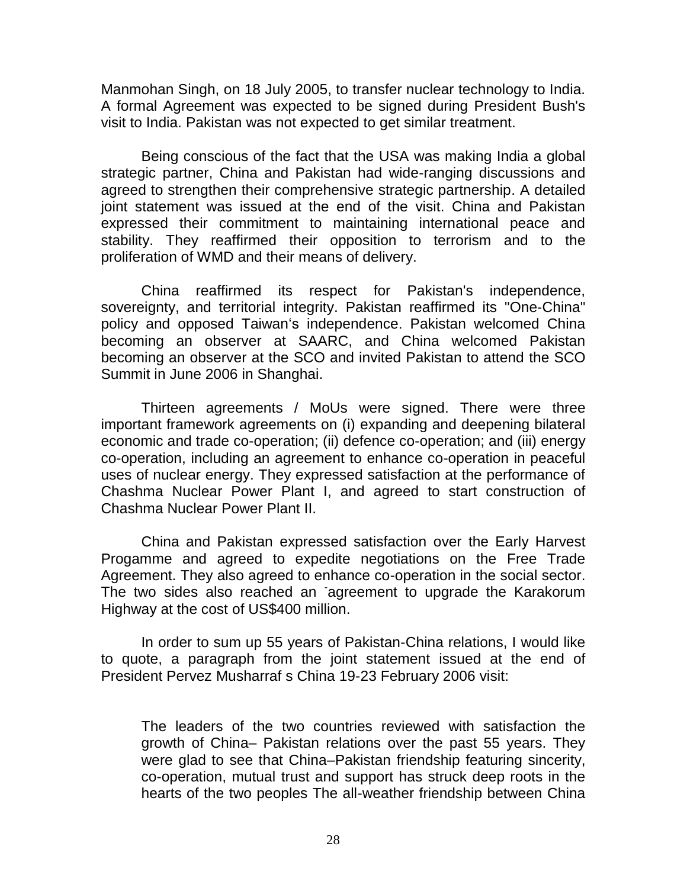Manmohan Singh, on 18 July 2005, to transfer nuclear technology to India. A formal Agreement was expected to be signed during President Bush's visit to India. Pakistan was not expected to get similar treatment.

Being conscious of the fact that the USA was making India a global strategic partner, China and Pakistan had wide-ranging discussions and agreed to strengthen their comprehensive strategic partnership. A detailed joint statement was issued at the end of the visit. China and Pakistan expressed their commitment to maintaining international peace and stability. They reaffirmed their opposition to terrorism and to the proliferation of WMD and their means of delivery.

China reaffirmed its respect for Pakistan's independence, sovereignty, and territorial integrity. Pakistan reaffirmed its "One-China" policy and opposed Taiwan"s independence. Pakistan welcomed China becoming an observer at SAARC, and China welcomed Pakistan becoming an observer at the SCO and invited Pakistan to attend the SCO Summit in June 2006 in Shanghai.

Thirteen agreements / MoUs were signed. There were three important framework agreements on (i) expanding and deepening bilateral economic and trade co-operation; (ii) defence co-operation; and (iii) energy co-operation, including an agreement to enhance co-operation in peaceful uses of nuclear energy. They expressed satisfaction at the performance of Chashma Nuclear Power Plant I, and agreed to start construction of Chashma Nuclear Power Plant II.

China and Pakistan expressed satisfaction over the Early Harvest Progamme and agreed to expedite negotiations on the Free Trade Agreement. They also agreed to enhance co-operation in the social sector. The two sides also reached an agreement to upgrade the Karakorum Highway at the cost of US\$400 million.

In order to sum up 55 years of Pakistan-China relations, I would like to quote, a paragraph from the joint statement issued at the end of President Pervez Musharraf s China 19-23 February 2006 visit:

The leaders of the two countries reviewed with satisfaction the growth of China– Pakistan relations over the past 55 years. They were glad to see that China–Pakistan friendship featuring sincerity, co-operation, mutual trust and support has struck deep roots in the hearts of the two peoples The all-weather friendship between China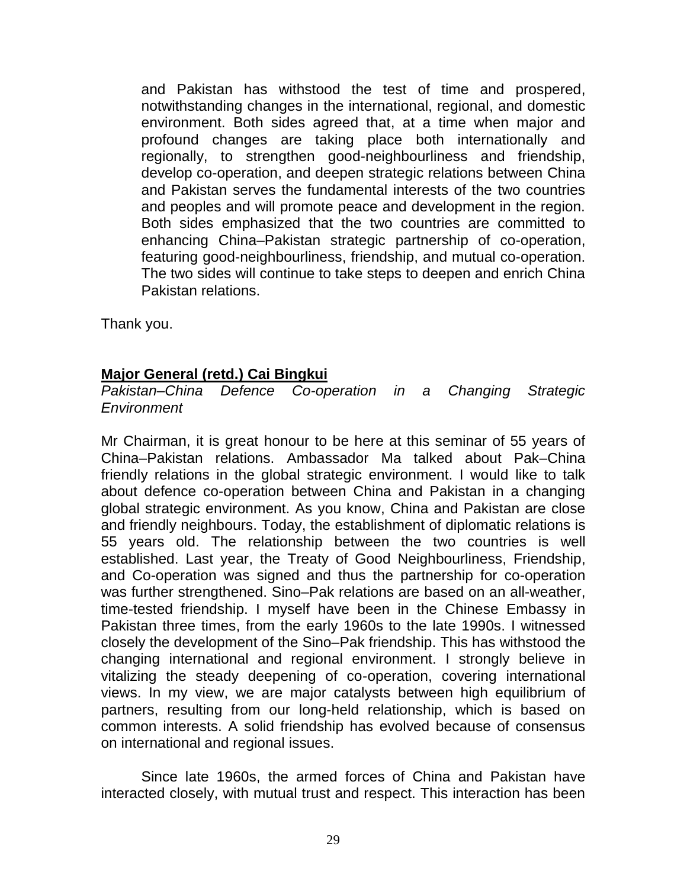and Pakistan has withstood the test of time and prospered, notwithstanding changes in the international, regional, and domestic environment. Both sides agreed that, at a time when major and profound changes are taking place both internationally and regionally, to strengthen good-neighbourliness and friendship, develop co-operation, and deepen strategic relations between China and Pakistan serves the fundamental interests of the two countries and peoples and will promote peace and development in the region. Both sides emphasized that the two countries are committed to enhancing China–Pakistan strategic partnership of co-operation, featuring good-neighbourliness, friendship, and mutual co-operation. The two sides will continue to take steps to deepen and enrich China Pakistan relations.

Thank you.

# **Major General (retd.) Cai Bingkui**

*Pakistan–China Defence Co-operation in a Changing Strategic Environment*

Mr Chairman, it is great honour to be here at this seminar of 55 years of China–Pakistan relations. Ambassador Ma talked about Pak–China friendly relations in the global strategic environment. I would like to talk about defence co-operation between China and Pakistan in a changing global strategic environment. As you know, China and Pakistan are close and friendly neighbours. Today, the establishment of diplomatic relations is 55 years old. The relationship between the two countries is well established. Last year, the Treaty of Good Neighbourliness, Friendship, and Co-operation was signed and thus the partnership for co-operation was further strengthened. Sino–Pak relations are based on an all-weather, time-tested friendship. I myself have been in the Chinese Embassy in Pakistan three times, from the early 1960s to the late 1990s. I witnessed closely the development of the Sino–Pak friendship. This has withstood the changing international and regional environment. I strongly believe in vitalizing the steady deepening of co-operation, covering international views. In my view, we are major catalysts between high equilibrium of partners, resulting from our long-held relationship, which is based on common interests. A solid friendship has evolved because of consensus on international and regional issues.

Since late 1960s, the armed forces of China and Pakistan have interacted closely, with mutual trust and respect. This interaction has been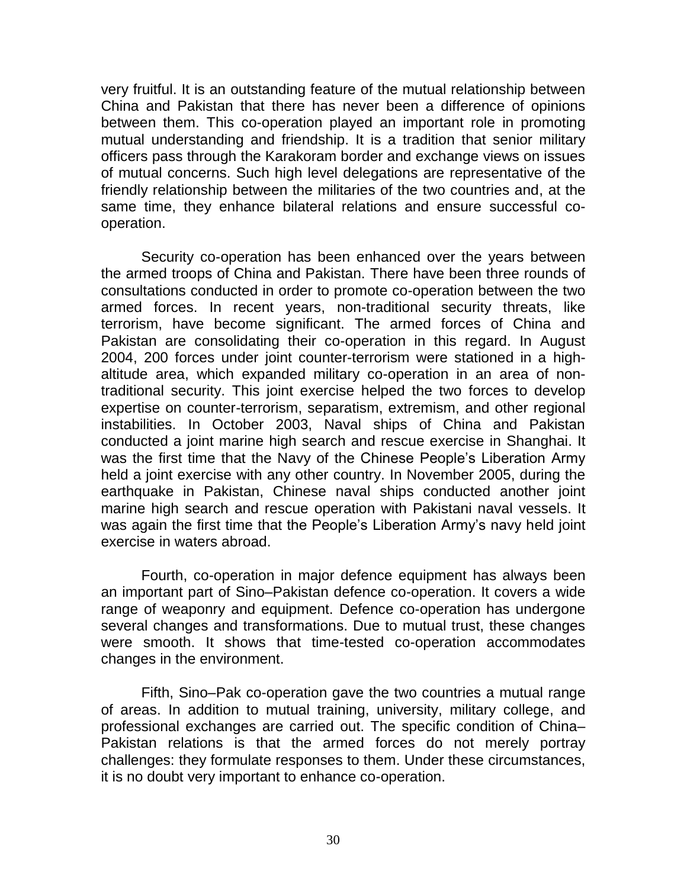very fruitful. It is an outstanding feature of the mutual relationship between China and Pakistan that there has never been a difference of opinions between them. This co-operation played an important role in promoting mutual understanding and friendship. It is a tradition that senior military officers pass through the Karakoram border and exchange views on issues of mutual concerns. Such high level delegations are representative of the friendly relationship between the militaries of the two countries and, at the same time, they enhance bilateral relations and ensure successful cooperation.

Security co-operation has been enhanced over the years between the armed troops of China and Pakistan. There have been three rounds of consultations conducted in order to promote co-operation between the two armed forces. In recent years, non-traditional security threats, like terrorism, have become significant. The armed forces of China and Pakistan are consolidating their co-operation in this regard. In August 2004, 200 forces under joint counter-terrorism were stationed in a highaltitude area, which expanded military co-operation in an area of nontraditional security. This joint exercise helped the two forces to develop expertise on counter-terrorism, separatism, extremism, and other regional instabilities. In October 2003, Naval ships of China and Pakistan conducted a joint marine high search and rescue exercise in Shanghai. It was the first time that the Navy of the Chinese People's Liberation Army held a joint exercise with any other country. In November 2005, during the earthquake in Pakistan, Chinese naval ships conducted another joint marine high search and rescue operation with Pakistani naval vessels. It was again the first time that the People's Liberation Army's navy held joint exercise in waters abroad.

Fourth, co-operation in major defence equipment has always been an important part of Sino–Pakistan defence co-operation. It covers a wide range of weaponry and equipment. Defence co-operation has undergone several changes and transformations. Due to mutual trust, these changes were smooth. It shows that time-tested co-operation accommodates changes in the environment.

Fifth, Sino–Pak co-operation gave the two countries a mutual range of areas. In addition to mutual training, university, military college, and professional exchanges are carried out. The specific condition of China– Pakistan relations is that the armed forces do not merely portray challenges: they formulate responses to them. Under these circumstances, it is no doubt very important to enhance co-operation.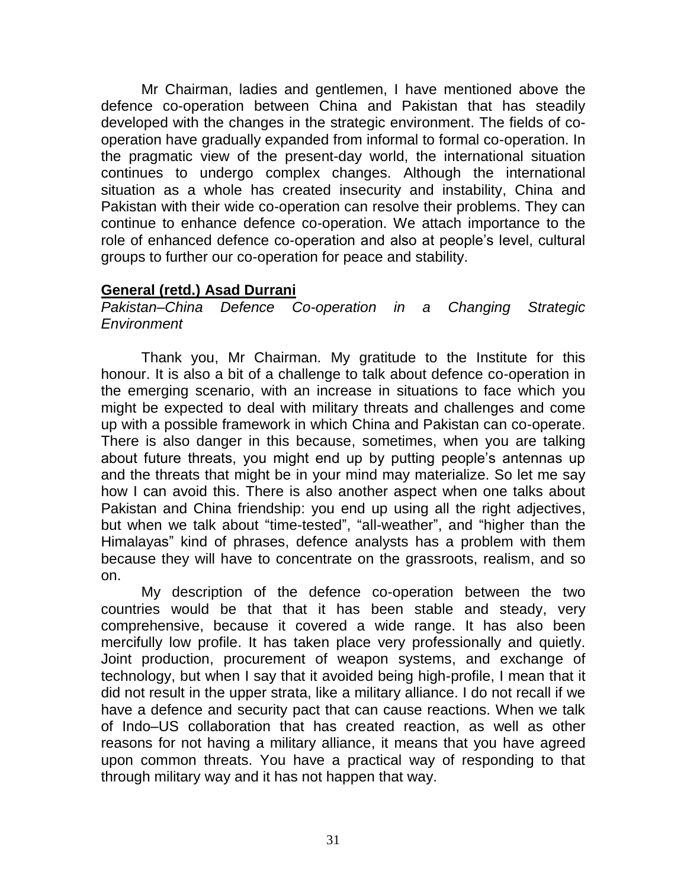Mr Chairman, ladies and gentlemen, I have mentioned above the defence co-operation between China and Pakistan that has steadily developed with the changes in the strategic environment. The fields of cooperation have gradually expanded from informal to formal co-operation. In the pragmatic view of the present-day world, the international situation continues to undergo complex changes. Although the international situation as a whole has created insecurity and instability, China and Pakistan with their wide co-operation can resolve their problems. They can continue to enhance defence co-operation. We attach importance to the role of enhanced defence co-operation and also at people"s level, cultural groups to further our co-operation for peace and stability.

# **General (retd.) Asad Durrani**

*Pakistan–China Defence Co-operation in a Changing Strategic Environment*

Thank you, Mr Chairman. My gratitude to the Institute for this honour. It is also a bit of a challenge to talk about defence co-operation in the emerging scenario, with an increase in situations to face which you might be expected to deal with military threats and challenges and come up with a possible framework in which China and Pakistan can co-operate. There is also danger in this because, sometimes, when you are talking about future threats, you might end up by putting people"s antennas up and the threats that might be in your mind may materialize. So let me say how I can avoid this. There is also another aspect when one talks about Pakistan and China friendship: you end up using all the right adjectives, but when we talk about "time-tested", "all-weather", and "higher than the Himalayas" kind of phrases, defence analysts has a problem with them because they will have to concentrate on the grassroots, realism, and so on.

My description of the defence co-operation between the two countries would be that that it has been stable and steady, very comprehensive, because it covered a wide range. It has also been mercifully low profile. It has taken place very professionally and quietly. Joint production, procurement of weapon systems, and exchange of technology, but when I say that it avoided being high-profile, I mean that it did not result in the upper strata, like a military alliance. I do not recall if we have a defence and security pact that can cause reactions. When we talk of Indo–US collaboration that has created reaction, as well as other reasons for not having a military alliance, it means that you have agreed upon common threats. You have a practical way of responding to that through military way and it has not happen that way.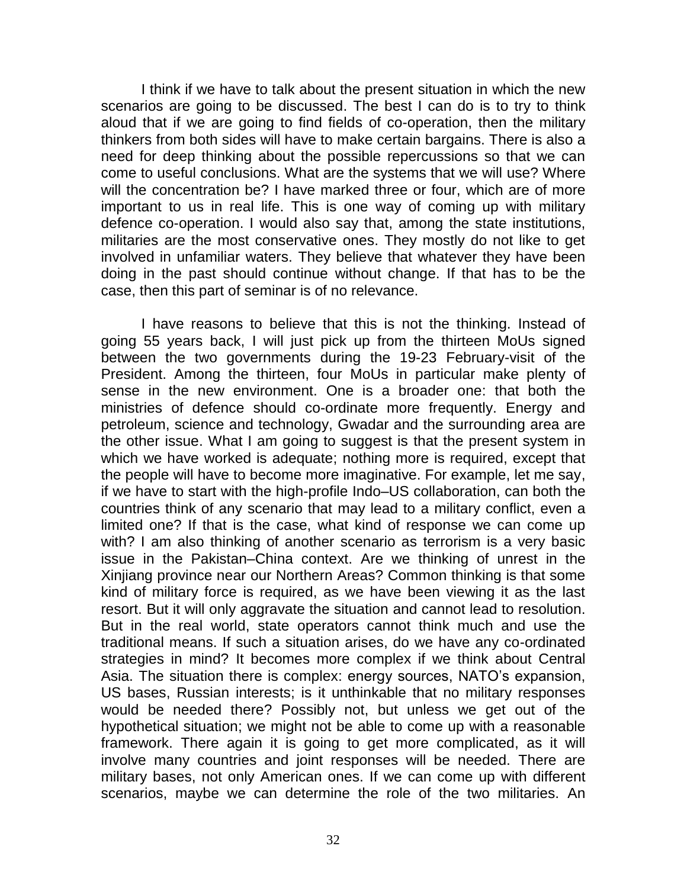I think if we have to talk about the present situation in which the new scenarios are going to be discussed. The best I can do is to try to think aloud that if we are going to find fields of co-operation, then the military thinkers from both sides will have to make certain bargains. There is also a need for deep thinking about the possible repercussions so that we can come to useful conclusions. What are the systems that we will use? Where will the concentration be? I have marked three or four, which are of more important to us in real life. This is one way of coming up with military defence co-operation. I would also say that, among the state institutions, militaries are the most conservative ones. They mostly do not like to get involved in unfamiliar waters. They believe that whatever they have been doing in the past should continue without change. If that has to be the case, then this part of seminar is of no relevance.

I have reasons to believe that this is not the thinking. Instead of going 55 years back, I will just pick up from the thirteen MoUs signed between the two governments during the 19-23 February-visit of the President. Among the thirteen, four MoUs in particular make plenty of sense in the new environment. One is a broader one: that both the ministries of defence should co-ordinate more frequently. Energy and petroleum, science and technology, Gwadar and the surrounding area are the other issue. What I am going to suggest is that the present system in which we have worked is adequate; nothing more is required, except that the people will have to become more imaginative. For example, let me say, if we have to start with the high-profile Indo–US collaboration, can both the countries think of any scenario that may lead to a military conflict, even a limited one? If that is the case, what kind of response we can come up with? I am also thinking of another scenario as terrorism is a very basic issue in the Pakistan–China context. Are we thinking of unrest in the Xinjiang province near our Northern Areas? Common thinking is that some kind of military force is required, as we have been viewing it as the last resort. But it will only aggravate the situation and cannot lead to resolution. But in the real world, state operators cannot think much and use the traditional means. If such a situation arises, do we have any co-ordinated strategies in mind? It becomes more complex if we think about Central Asia. The situation there is complex: energy sources, NATO"s expansion, US bases, Russian interests; is it unthinkable that no military responses would be needed there? Possibly not, but unless we get out of the hypothetical situation; we might not be able to come up with a reasonable framework. There again it is going to get more complicated, as it will involve many countries and joint responses will be needed. There are military bases, not only American ones. If we can come up with different scenarios, maybe we can determine the role of the two militaries. An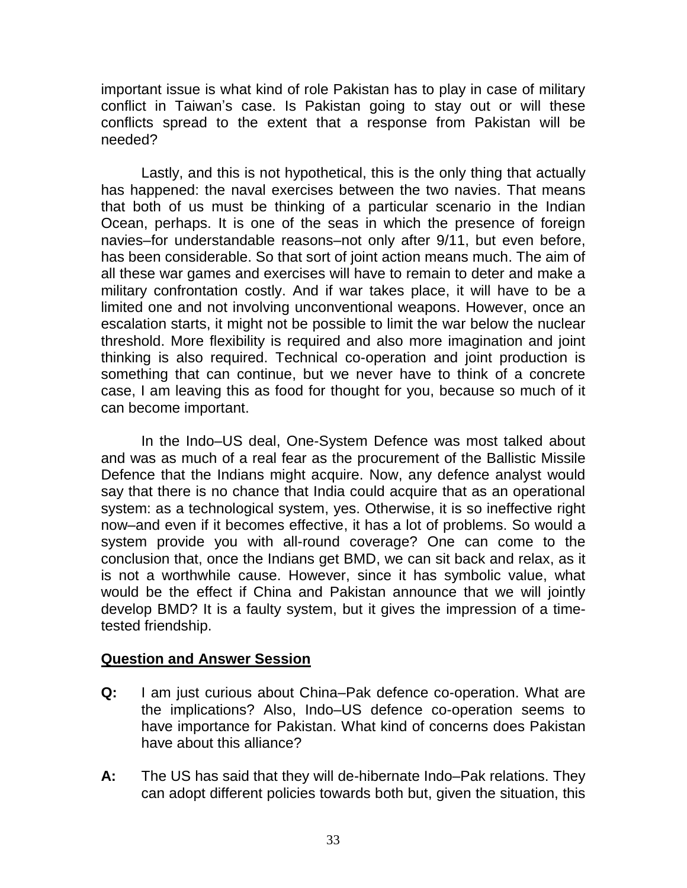important issue is what kind of role Pakistan has to play in case of military conflict in Taiwan"s case. Is Pakistan going to stay out or will these conflicts spread to the extent that a response from Pakistan will be needed?

Lastly, and this is not hypothetical, this is the only thing that actually has happened: the naval exercises between the two navies. That means that both of us must be thinking of a particular scenario in the Indian Ocean, perhaps. It is one of the seas in which the presence of foreign navies–for understandable reasons–not only after 9/11, but even before, has been considerable. So that sort of joint action means much. The aim of all these war games and exercises will have to remain to deter and make a military confrontation costly. And if war takes place, it will have to be a limited one and not involving unconventional weapons. However, once an escalation starts, it might not be possible to limit the war below the nuclear threshold. More flexibility is required and also more imagination and joint thinking is also required. Technical co-operation and joint production is something that can continue, but we never have to think of a concrete case, I am leaving this as food for thought for you, because so much of it can become important.

In the Indo–US deal, One-System Defence was most talked about and was as much of a real fear as the procurement of the Ballistic Missile Defence that the Indians might acquire. Now, any defence analyst would say that there is no chance that India could acquire that as an operational system: as a technological system, yes. Otherwise, it is so ineffective right now–and even if it becomes effective, it has a lot of problems. So would a system provide you with all-round coverage? One can come to the conclusion that, once the Indians get BMD, we can sit back and relax, as it is not a worthwhile cause. However, since it has symbolic value, what would be the effect if China and Pakistan announce that we will jointly develop BMD? It is a faulty system, but it gives the impression of a timetested friendship.

### **Question and Answer Session**

- **Q:** I am just curious about China–Pak defence co-operation. What are the implications? Also, Indo–US defence co-operation seems to have importance for Pakistan. What kind of concerns does Pakistan have about this alliance?
- **A:** The US has said that they will de-hibernate Indo–Pak relations. They can adopt different policies towards both but, given the situation, this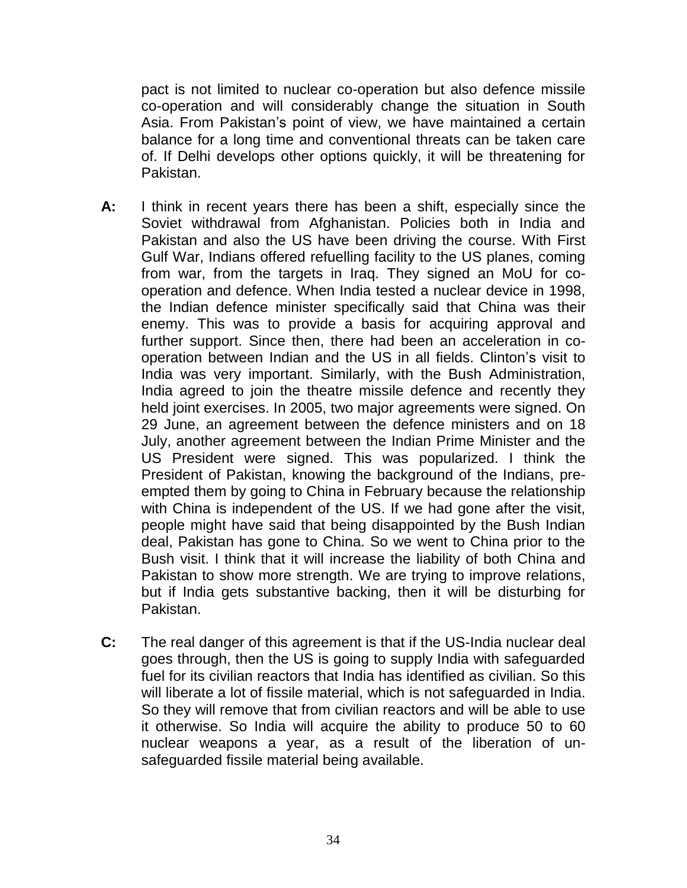pact is not limited to nuclear co-operation but also defence missile co-operation and will considerably change the situation in South Asia. From Pakistan's point of view, we have maintained a certain balance for a long time and conventional threats can be taken care of. If Delhi develops other options quickly, it will be threatening for Pakistan.

- **A:** I think in recent years there has been a shift, especially since the Soviet withdrawal from Afghanistan. Policies both in India and Pakistan and also the US have been driving the course. With First Gulf War, Indians offered refuelling facility to the US planes, coming from war, from the targets in Iraq. They signed an MoU for cooperation and defence. When India tested a nuclear device in 1998, the Indian defence minister specifically said that China was their enemy. This was to provide a basis for acquiring approval and further support. Since then, there had been an acceleration in cooperation between Indian and the US in all fields. Clinton"s visit to India was very important. Similarly, with the Bush Administration, India agreed to join the theatre missile defence and recently they held joint exercises. In 2005, two major agreements were signed. On 29 June, an agreement between the defence ministers and on 18 July, another agreement between the Indian Prime Minister and the US President were signed. This was popularized. I think the President of Pakistan, knowing the background of the Indians, preempted them by going to China in February because the relationship with China is independent of the US. If we had gone after the visit, people might have said that being disappointed by the Bush Indian deal, Pakistan has gone to China. So we went to China prior to the Bush visit. I think that it will increase the liability of both China and Pakistan to show more strength. We are trying to improve relations, but if India gets substantive backing, then it will be disturbing for Pakistan.
- **C:** The real danger of this agreement is that if the US-India nuclear deal goes through, then the US is going to supply India with safeguarded fuel for its civilian reactors that India has identified as civilian. So this will liberate a lot of fissile material, which is not safeguarded in India. So they will remove that from civilian reactors and will be able to use it otherwise. So India will acquire the ability to produce 50 to 60 nuclear weapons a year, as a result of the liberation of unsafeguarded fissile material being available.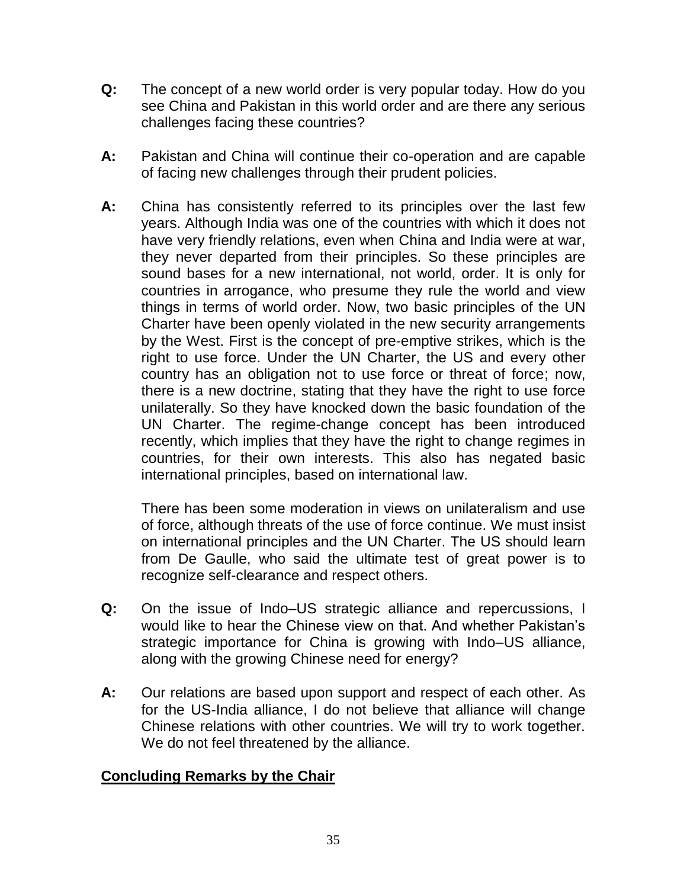- **Q:** The concept of a new world order is very popular today. How do you see China and Pakistan in this world order and are there any serious challenges facing these countries?
- **A:** Pakistan and China will continue their co-operation and are capable of facing new challenges through their prudent policies.
- **A:** China has consistently referred to its principles over the last few years. Although India was one of the countries with which it does not have very friendly relations, even when China and India were at war, they never departed from their principles. So these principles are sound bases for a new international, not world, order. It is only for countries in arrogance, who presume they rule the world and view things in terms of world order. Now, two basic principles of the UN Charter have been openly violated in the new security arrangements by the West. First is the concept of pre-emptive strikes, which is the right to use force. Under the UN Charter, the US and every other country has an obligation not to use force or threat of force; now, there is a new doctrine, stating that they have the right to use force unilaterally. So they have knocked down the basic foundation of the UN Charter. The regime-change concept has been introduced recently, which implies that they have the right to change regimes in countries, for their own interests. This also has negated basic international principles, based on international law.

There has been some moderation in views on unilateralism and use of force, although threats of the use of force continue. We must insist on international principles and the UN Charter. The US should learn from De Gaulle, who said the ultimate test of great power is to recognize self-clearance and respect others.

- **Q:** On the issue of Indo–US strategic alliance and repercussions, I would like to hear the Chinese view on that. And whether Pakistan"s strategic importance for China is growing with Indo–US alliance, along with the growing Chinese need for energy?
- **A:** Our relations are based upon support and respect of each other. As for the US-India alliance, I do not believe that alliance will change Chinese relations with other countries. We will try to work together. We do not feel threatened by the alliance.

# **Concluding Remarks by the Chair**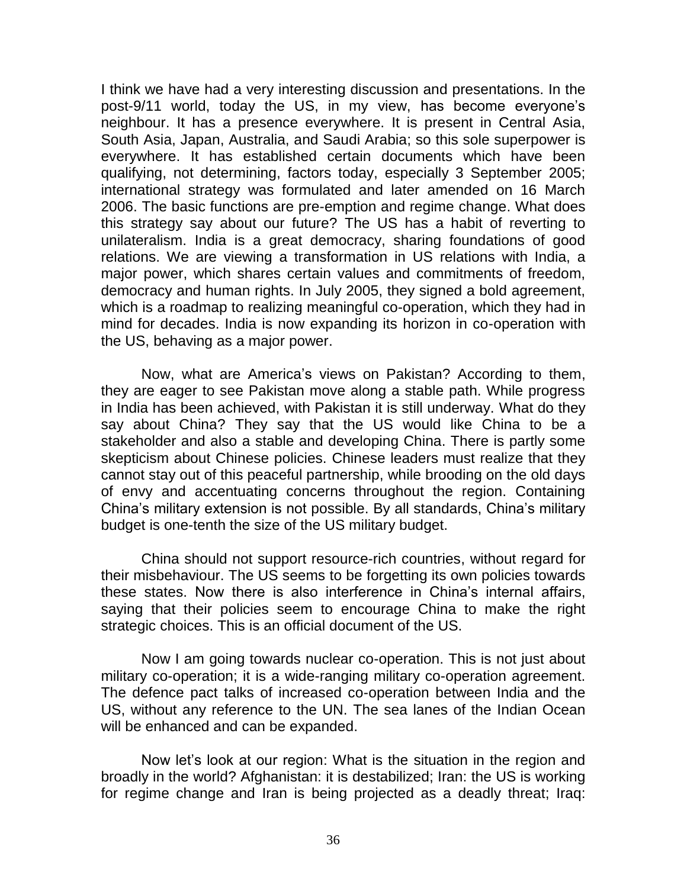I think we have had a very interesting discussion and presentations. In the post-9/11 world, today the US, in my view, has become everyone's neighbour. It has a presence everywhere. It is present in Central Asia, South Asia, Japan, Australia, and Saudi Arabia; so this sole superpower is everywhere. It has established certain documents which have been qualifying, not determining, factors today, especially 3 September 2005; international strategy was formulated and later amended on 16 March 2006. The basic functions are pre-emption and regime change. What does this strategy say about our future? The US has a habit of reverting to unilateralism. India is a great democracy, sharing foundations of good relations. We are viewing a transformation in US relations with India, a major power, which shares certain values and commitments of freedom, democracy and human rights. In July 2005, they signed a bold agreement, which is a roadmap to realizing meaningful co-operation, which they had in mind for decades. India is now expanding its horizon in co-operation with the US, behaving as a major power.

Now, what are America"s views on Pakistan? According to them, they are eager to see Pakistan move along a stable path. While progress in India has been achieved, with Pakistan it is still underway. What do they say about China? They say that the US would like China to be a stakeholder and also a stable and developing China. There is partly some skepticism about Chinese policies. Chinese leaders must realize that they cannot stay out of this peaceful partnership, while brooding on the old days of envy and accentuating concerns throughout the region. Containing China"s military extension is not possible. By all standards, China"s military budget is one-tenth the size of the US military budget.

China should not support resource-rich countries, without regard for their misbehaviour. The US seems to be forgetting its own policies towards these states. Now there is also interference in China"s internal affairs, saying that their policies seem to encourage China to make the right strategic choices. This is an official document of the US.

Now I am going towards nuclear co-operation. This is not just about military co-operation; it is a wide-ranging military co-operation agreement. The defence pact talks of increased co-operation between India and the US, without any reference to the UN. The sea lanes of the Indian Ocean will be enhanced and can be expanded.

Now let"s look at our region: What is the situation in the region and broadly in the world? Afghanistan: it is destabilized; Iran: the US is working for regime change and Iran is being projected as a deadly threat; Iraq: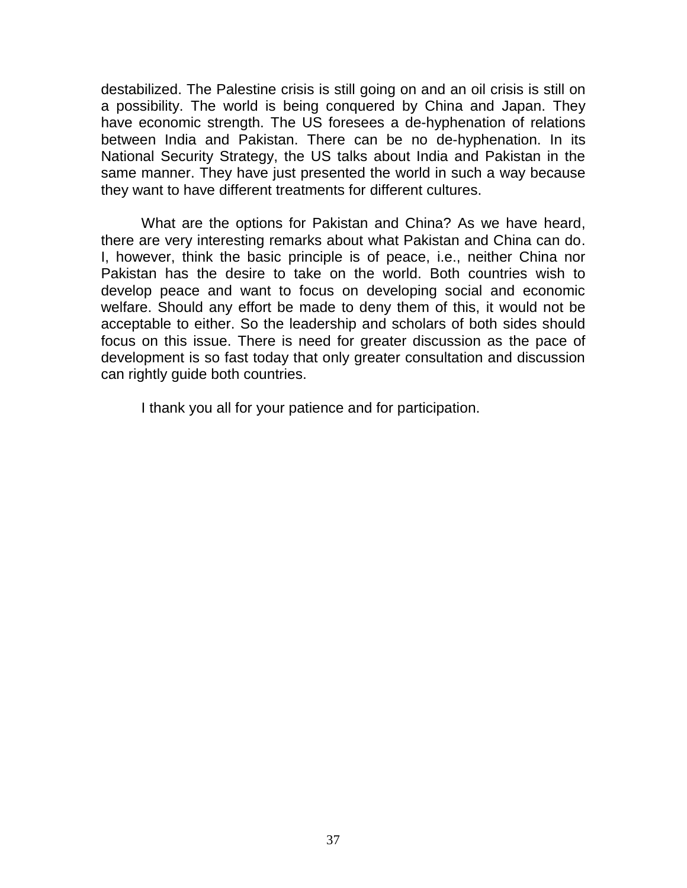destabilized. The Palestine crisis is still going on and an oil crisis is still on a possibility. The world is being conquered by China and Japan. They have economic strength. The US foresees a de-hyphenation of relations between India and Pakistan. There can be no de-hyphenation. In its National Security Strategy, the US talks about India and Pakistan in the same manner. They have just presented the world in such a way because they want to have different treatments for different cultures.

What are the options for Pakistan and China? As we have heard, there are very interesting remarks about what Pakistan and China can do. I, however, think the basic principle is of peace, i.e., neither China nor Pakistan has the desire to take on the world. Both countries wish to develop peace and want to focus on developing social and economic welfare. Should any effort be made to deny them of this, it would not be acceptable to either. So the leadership and scholars of both sides should focus on this issue. There is need for greater discussion as the pace of development is so fast today that only greater consultation and discussion can rightly guide both countries.

I thank you all for your patience and for participation.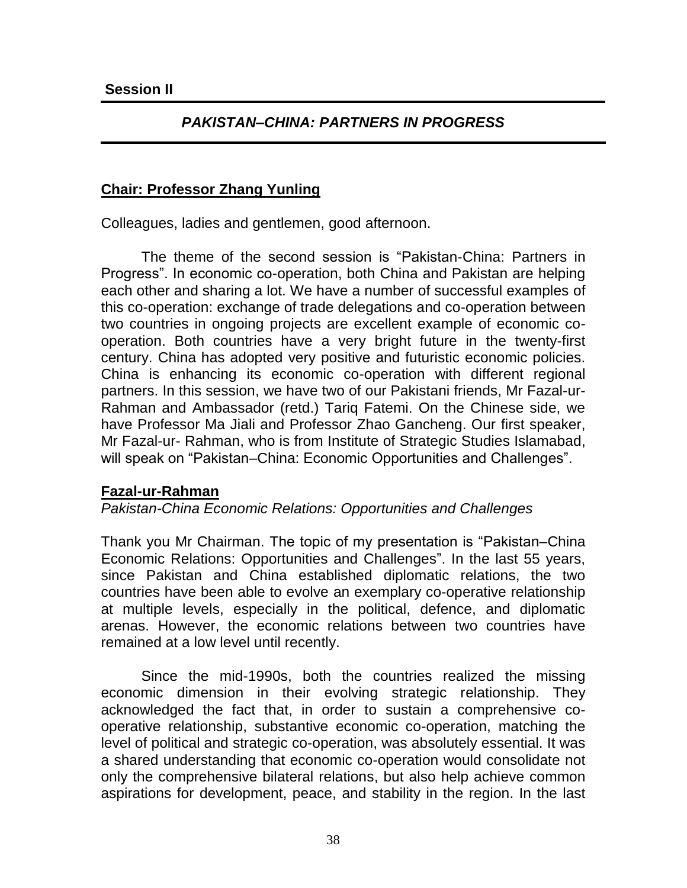## *PAKISTAN–CHINA: PARTNERS IN PROGRESS*

## **Chair: Professor Zhang Yunling**

Colleagues, ladies and gentlemen, good afternoon.

The theme of the second session is "Pakistan-China: Partners in Progress". In economic co-operation, both China and Pakistan are helping each other and sharing a lot. We have a number of successful examples of this co-operation: exchange of trade delegations and co-operation between two countries in ongoing projects are excellent example of economic cooperation. Both countries have a very bright future in the twenty-first century. China has adopted very positive and futuristic economic policies. China is enhancing its economic co-operation with different regional partners. In this session, we have two of our Pakistani friends, Mr Fazal-ur-Rahman and Ambassador (retd.) Tariq Fatemi. On the Chinese side, we have Professor Ma Jiali and Professor Zhao Gancheng. Our first speaker, Mr Fazal-ur- Rahman, who is from Institute of Strategic Studies Islamabad, will speak on "Pakistan–China: Economic Opportunities and Challenges".

### **Fazal-ur-Rahman**

### *Pakistan-China Economic Relations: Opportunities and Challenges*

Thank you Mr Chairman. The topic of my presentation is "Pakistan–China Economic Relations: Opportunities and Challenges". In the last 55 years, since Pakistan and China established diplomatic relations, the two countries have been able to evolve an exemplary co-operative relationship at multiple levels, especially in the political, defence, and diplomatic arenas. However, the economic relations between two countries have remained at a low level until recently.

Since the mid-1990s, both the countries realized the missing economic dimension in their evolving strategic relationship. They acknowledged the fact that, in order to sustain a comprehensive cooperative relationship, substantive economic co-operation, matching the level of political and strategic co-operation, was absolutely essential. It was a shared understanding that economic co-operation would consolidate not only the comprehensive bilateral relations, but also help achieve common aspirations for development, peace, and stability in the region. In the last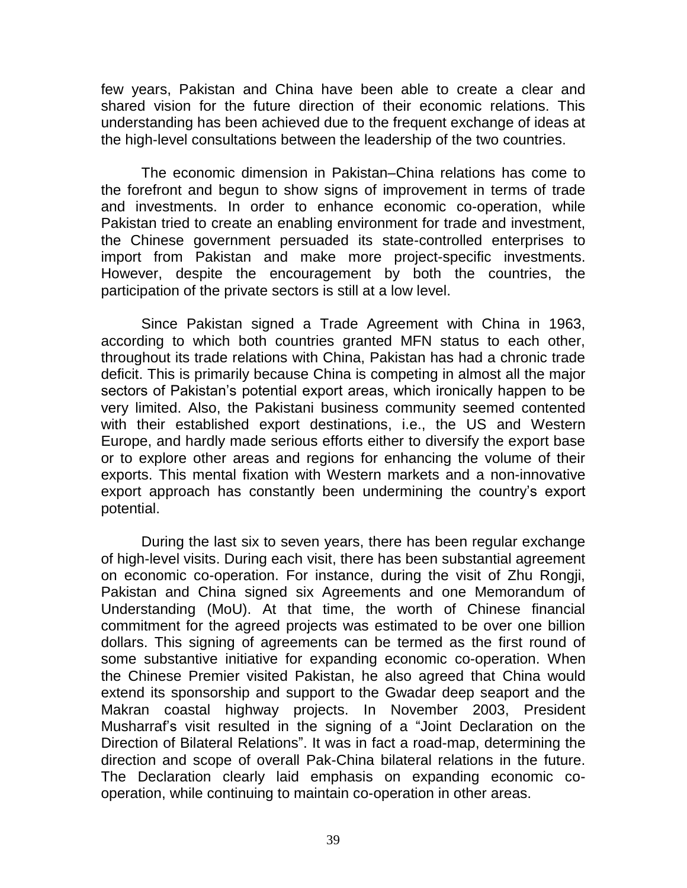few years, Pakistan and China have been able to create a clear and shared vision for the future direction of their economic relations. This understanding has been achieved due to the frequent exchange of ideas at the high-level consultations between the leadership of the two countries.

The economic dimension in Pakistan–China relations has come to the forefront and begun to show signs of improvement in terms of trade and investments. In order to enhance economic co-operation, while Pakistan tried to create an enabling environment for trade and investment, the Chinese government persuaded its state-controlled enterprises to import from Pakistan and make more project-specific investments. However, despite the encouragement by both the countries, the participation of the private sectors is still at a low level.

Since Pakistan signed a Trade Agreement with China in 1963, according to which both countries granted MFN status to each other, throughout its trade relations with China, Pakistan has had a chronic trade deficit. This is primarily because China is competing in almost all the major sectors of Pakistan's potential export areas, which ironically happen to be very limited. Also, the Pakistani business community seemed contented with their established export destinations, i.e., the US and Western Europe, and hardly made serious efforts either to diversify the export base or to explore other areas and regions for enhancing the volume of their exports. This mental fixation with Western markets and a non-innovative export approach has constantly been undermining the country's export potential.

During the last six to seven years, there has been regular exchange of high-level visits. During each visit, there has been substantial agreement on economic co-operation. For instance, during the visit of Zhu Rongji, Pakistan and China signed six Agreements and one Memorandum of Understanding (MoU). At that time, the worth of Chinese financial commitment for the agreed projects was estimated to be over one billion dollars. This signing of agreements can be termed as the first round of some substantive initiative for expanding economic co-operation. When the Chinese Premier visited Pakistan, he also agreed that China would extend its sponsorship and support to the Gwadar deep seaport and the Makran coastal highway projects. In November 2003, President Musharraf"s visit resulted in the signing of a "Joint Declaration on the Direction of Bilateral Relations". It was in fact a road-map, determining the direction and scope of overall Pak-China bilateral relations in the future. The Declaration clearly laid emphasis on expanding economic cooperation, while continuing to maintain co-operation in other areas.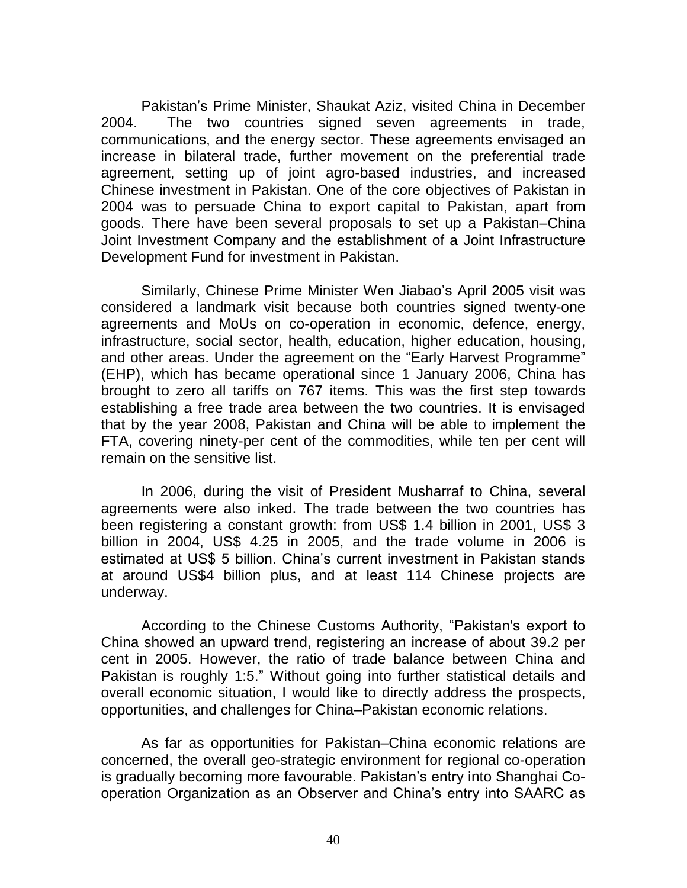Pakistan"s Prime Minister, Shaukat Aziz, visited China in December 2004. The two countries signed seven agreements in trade, communications, and the energy sector. These agreements envisaged an increase in bilateral trade, further movement on the preferential trade agreement, setting up of joint agro-based industries, and increased Chinese investment in Pakistan. One of the core objectives of Pakistan in 2004 was to persuade China to export capital to Pakistan, apart from goods. There have been several proposals to set up a Pakistan–China Joint Investment Company and the establishment of a Joint Infrastructure Development Fund for investment in Pakistan.

Similarly, Chinese Prime Minister Wen Jiabao"s April 2005 visit was considered a landmark visit because both countries signed twenty-one agreements and MoUs on co-operation in economic, defence, energy, infrastructure, social sector, health, education, higher education, housing, and other areas. Under the agreement on the "Early Harvest Programme" (EHP), which has became operational since 1 January 2006, China has brought to zero all tariffs on 767 items. This was the first step towards establishing a free trade area between the two countries. It is envisaged that by the year 2008, Pakistan and China will be able to implement the FTA, covering ninety-per cent of the commodities, while ten per cent will remain on the sensitive list.

In 2006, during the visit of President Musharraf to China, several agreements were also inked. The trade between the two countries has been registering a constant growth: from US\$ 1.4 billion in 2001, US\$ 3 billion in 2004, US\$ 4.25 in 2005, and the trade volume in 2006 is estimated at US\$ 5 billion. China"s current investment in Pakistan stands at around US\$4 billion plus, and at least 114 Chinese projects are underway.

According to the Chinese Customs Authority, "Pakistan's export to China showed an upward trend, registering an increase of about 39.2 per cent in 2005. However, the ratio of trade balance between China and Pakistan is roughly 1:5." Without going into further statistical details and overall economic situation, I would like to directly address the prospects, opportunities, and challenges for China–Pakistan economic relations.

As far as opportunities for Pakistan–China economic relations are concerned, the overall geo-strategic environment for regional co-operation is gradually becoming more favourable. Pakistan"s entry into Shanghai Cooperation Organization as an Observer and China"s entry into SAARC as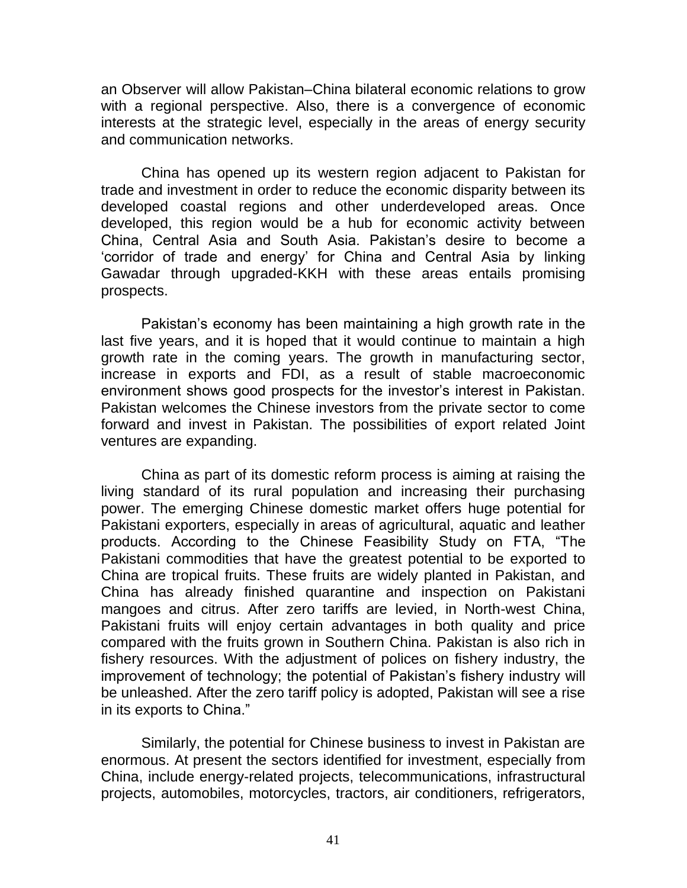an Observer will allow Pakistan–China bilateral economic relations to grow with a regional perspective. Also, there is a convergence of economic interests at the strategic level, especially in the areas of energy security and communication networks.

China has opened up its western region adjacent to Pakistan for trade and investment in order to reduce the economic disparity between its developed coastal regions and other underdeveloped areas. Once developed, this region would be a hub for economic activity between China, Central Asia and South Asia. Pakistan"s desire to become a "corridor of trade and energy" for China and Central Asia by linking Gawadar through upgraded-KKH with these areas entails promising prospects.

Pakistan's economy has been maintaining a high growth rate in the last five years, and it is hoped that it would continue to maintain a high growth rate in the coming years. The growth in manufacturing sector, increase in exports and FDI, as a result of stable macroeconomic environment shows good prospects for the investor's interest in Pakistan. Pakistan welcomes the Chinese investors from the private sector to come forward and invest in Pakistan. The possibilities of export related Joint ventures are expanding.

China as part of its domestic reform process is aiming at raising the living standard of its rural population and increasing their purchasing power. The emerging Chinese domestic market offers huge potential for Pakistani exporters, especially in areas of agricultural, aquatic and leather products. According to the Chinese Feasibility Study on FTA, "The Pakistani commodities that have the greatest potential to be exported to China are tropical fruits. These fruits are widely planted in Pakistan, and China has already finished quarantine and inspection on Pakistani mangoes and citrus. After zero tariffs are levied, in North-west China, Pakistani fruits will enjoy certain advantages in both quality and price compared with the fruits grown in Southern China. Pakistan is also rich in fishery resources. With the adjustment of polices on fishery industry, the improvement of technology; the potential of Pakistan's fishery industry will be unleashed. After the zero tariff policy is adopted, Pakistan will see a rise in its exports to China."

Similarly, the potential for Chinese business to invest in Pakistan are enormous. At present the sectors identified for investment, especially from China, include energy-related projects, telecommunications, infrastructural projects, automobiles, motorcycles, tractors, air conditioners, refrigerators,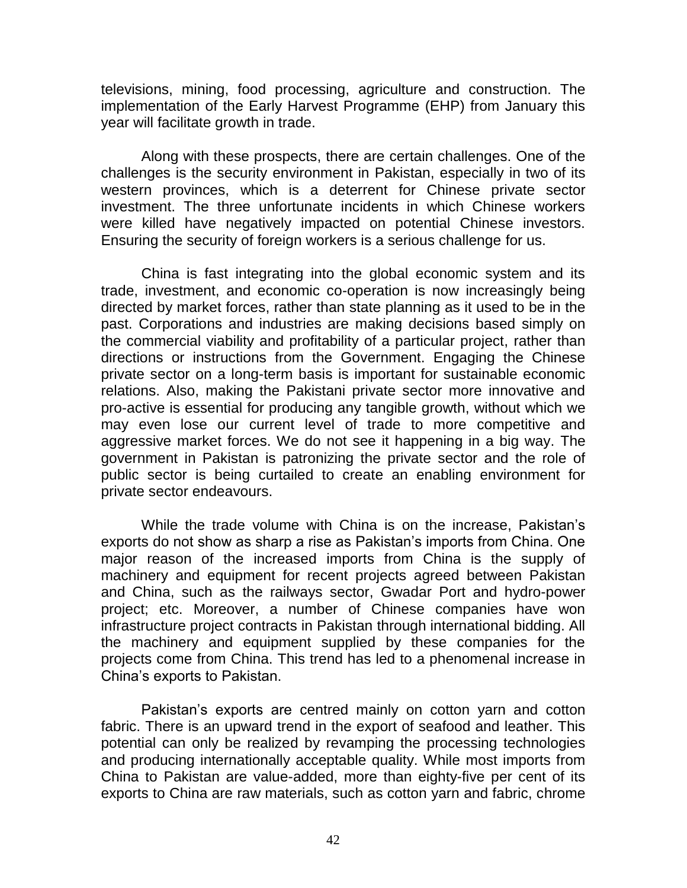televisions, mining, food processing, agriculture and construction. The implementation of the Early Harvest Programme (EHP) from January this year will facilitate growth in trade.

Along with these prospects, there are certain challenges. One of the challenges is the security environment in Pakistan, especially in two of its western provinces, which is a deterrent for Chinese private sector investment. The three unfortunate incidents in which Chinese workers were killed have negatively impacted on potential Chinese investors. Ensuring the security of foreign workers is a serious challenge for us.

China is fast integrating into the global economic system and its trade, investment, and economic co-operation is now increasingly being directed by market forces, rather than state planning as it used to be in the past. Corporations and industries are making decisions based simply on the commercial viability and profitability of a particular project, rather than directions or instructions from the Government. Engaging the Chinese private sector on a long-term basis is important for sustainable economic relations. Also, making the Pakistani private sector more innovative and pro-active is essential for producing any tangible growth, without which we may even lose our current level of trade to more competitive and aggressive market forces. We do not see it happening in a big way. The government in Pakistan is patronizing the private sector and the role of public sector is being curtailed to create an enabling environment for private sector endeavours.

While the trade volume with China is on the increase. Pakistan's exports do not show as sharp a rise as Pakistan's imports from China. One major reason of the increased imports from China is the supply of machinery and equipment for recent projects agreed between Pakistan and China, such as the railways sector, Gwadar Port and hydro-power project; etc. Moreover, a number of Chinese companies have won infrastructure project contracts in Pakistan through international bidding. All the machinery and equipment supplied by these companies for the projects come from China. This trend has led to a phenomenal increase in China"s exports to Pakistan.

Pakistan's exports are centred mainly on cotton yarn and cotton fabric. There is an upward trend in the export of seafood and leather. This potential can only be realized by revamping the processing technologies and producing internationally acceptable quality. While most imports from China to Pakistan are value-added, more than eighty-five per cent of its exports to China are raw materials, such as cotton yarn and fabric, chrome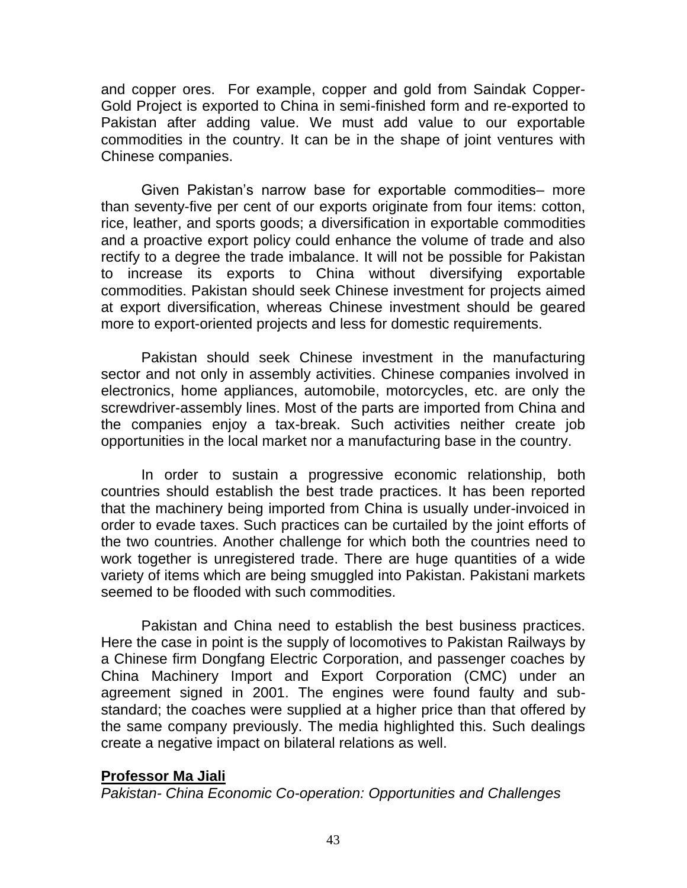and copper ores. For example, copper and gold from Saindak Copper-Gold Project is exported to China in semi-finished form and re-exported to Pakistan after adding value. We must add value to our exportable commodities in the country. It can be in the shape of joint ventures with Chinese companies.

Given Pakistan"s narrow base for exportable commodities– more than seventy-five per cent of our exports originate from four items: cotton, rice, leather, and sports goods; a diversification in exportable commodities and a proactive export policy could enhance the volume of trade and also rectify to a degree the trade imbalance. It will not be possible for Pakistan to increase its exports to China without diversifying exportable commodities. Pakistan should seek Chinese investment for projects aimed at export diversification, whereas Chinese investment should be geared more to export-oriented projects and less for domestic requirements.

Pakistan should seek Chinese investment in the manufacturing sector and not only in assembly activities. Chinese companies involved in electronics, home appliances, automobile, motorcycles, etc. are only the screwdriver-assembly lines. Most of the parts are imported from China and the companies enjoy a tax-break. Such activities neither create job opportunities in the local market nor a manufacturing base in the country.

In order to sustain a progressive economic relationship, both countries should establish the best trade practices. It has been reported that the machinery being imported from China is usually under-invoiced in order to evade taxes. Such practices can be curtailed by the joint efforts of the two countries. Another challenge for which both the countries need to work together is unregistered trade. There are huge quantities of a wide variety of items which are being smuggled into Pakistan. Pakistani markets seemed to be flooded with such commodities.

Pakistan and China need to establish the best business practices. Here the case in point is the supply of locomotives to Pakistan Railways by a Chinese firm Dongfang Electric Corporation, and passenger coaches by China Machinery Import and Export Corporation (CMC) under an agreement signed in 2001. The engines were found faulty and substandard; the coaches were supplied at a higher price than that offered by the same company previously. The media highlighted this. Such dealings create a negative impact on bilateral relations as well.

### **Professor Ma Jiali**

*Pakistan- China Economic Co-operation: Opportunities and Challenges*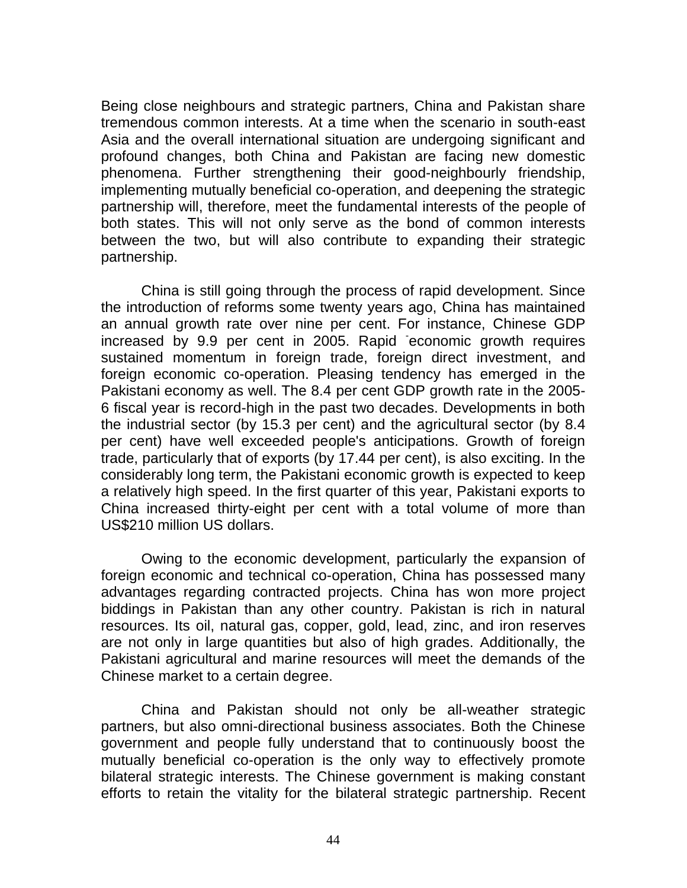Being close neighbours and strategic partners, China and Pakistan share tremendous common interests. At a time when the scenario in south-east Asia and the overall international situation are undergoing significant and profound changes, both China and Pakistan are facing new domestic phenomena. Further strengthening their good-neighbourly friendship, implementing mutually beneficial co-operation, and deepening the strategic partnership will, therefore, meet the fundamental interests of the people of both states. This will not only serve as the bond of common interests between the two, but will also contribute to expanding their strategic partnership.

China is still going through the process of rapid development. Since the introduction of reforms some twenty years ago, China has maintained an annual growth rate over nine per cent. For instance, Chinese GDP increased by 9.9 per cent in 2005. Rapid economic growth requires sustained momentum in foreign trade, foreign direct investment, and foreign economic co-operation. Pleasing tendency has emerged in the Pakistani economy as well. The 8.4 per cent GDP growth rate in the 2005- 6 fiscal year is record-high in the past two decades. Developments in both the industrial sector (by 15.3 per cent) and the agricultural sector (by 8.4 per cent) have well exceeded people's anticipations. Growth of foreign trade, particularly that of exports (by 17.44 per cent), is also exciting. In the considerably long term, the Pakistani economic growth is expected to keep a relatively high speed. In the first quarter of this year, Pakistani exports to China increased thirty-eight per cent with a total volume of more than US\$210 million US dollars.

Owing to the economic development, particularly the expansion of foreign economic and technical co-operation, China has possessed many advantages regarding contracted projects. China has won more project biddings in Pakistan than any other country. Pakistan is rich in natural resources. Its oil, natural gas, copper, gold, lead, zinc, and iron reserves are not only in large quantities but also of high grades. Additionally, the Pakistani agricultural and marine resources will meet the demands of the Chinese market to a certain degree.

China and Pakistan should not only be all-weather strategic partners, but also omni-directional business associates. Both the Chinese government and people fully understand that to continuously boost the mutually beneficial co-operation is the only way to effectively promote bilateral strategic interests. The Chinese government is making constant efforts to retain the vitality for the bilateral strategic partnership. Recent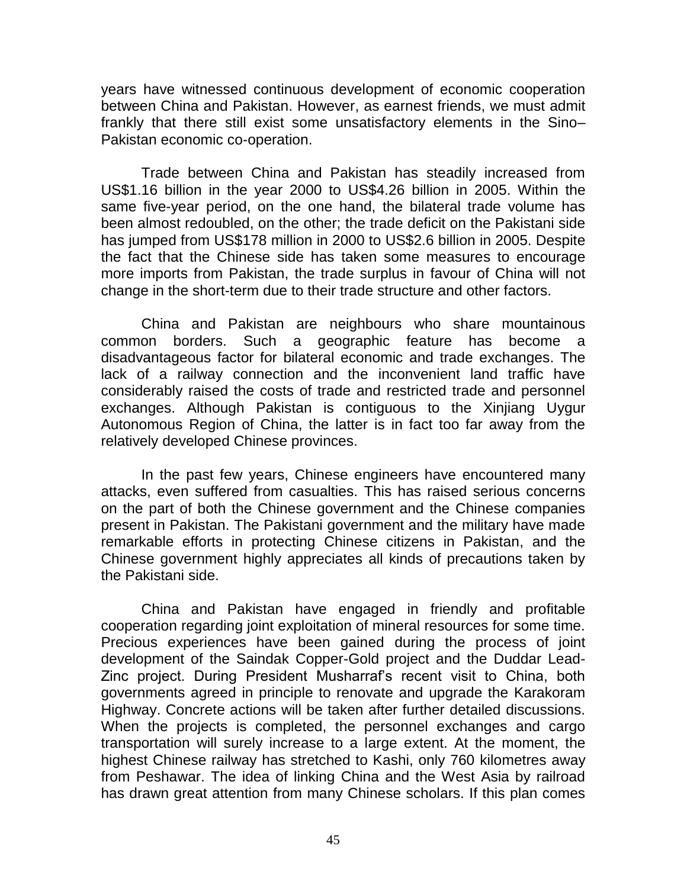years have witnessed continuous development of economic cooperation between China and Pakistan. However, as earnest friends, we must admit frankly that there still exist some unsatisfactory elements in the Sino– Pakistan economic co-operation.

Trade between China and Pakistan has steadily increased from US\$1.16 billion in the year 2000 to US\$4.26 billion in 2005. Within the same five-year period, on the one hand, the bilateral trade volume has been almost redoubled, on the other; the trade deficit on the Pakistani side has jumped from US\$178 million in 2000 to US\$2.6 billion in 2005. Despite the fact that the Chinese side has taken some measures to encourage more imports from Pakistan, the trade surplus in favour of China will not change in the short-term due to their trade structure and other factors.

China and Pakistan are neighbours who share mountainous common borders. Such a geographic feature has become a disadvantageous factor for bilateral economic and trade exchanges. The lack of a railway connection and the inconvenient land traffic have considerably raised the costs of trade and restricted trade and personnel exchanges. Although Pakistan is contiguous to the Xinjiang Uygur Autonomous Region of China, the latter is in fact too far away from the relatively developed Chinese provinces.

In the past few years, Chinese engineers have encountered many attacks, even suffered from casualties. This has raised serious concerns on the part of both the Chinese government and the Chinese companies present in Pakistan. The Pakistani government and the military have made remarkable efforts in protecting Chinese citizens in Pakistan, and the Chinese government highly appreciates all kinds of precautions taken by the Pakistani side.

China and Pakistan have engaged in friendly and profitable cooperation regarding joint exploitation of mineral resources for some time. Precious experiences have been gained during the process of joint development of the Saindak Copper-Gold project and the Duddar Lead-Zinc project. During President Musharraf's recent visit to China, both governments agreed in principle to renovate and upgrade the Karakoram Highway. Concrete actions will be taken after further detailed discussions. When the projects is completed, the personnel exchanges and cargo transportation will surely increase to a large extent. At the moment, the highest Chinese railway has stretched to Kashi, only 760 kilometres away from Peshawar. The idea of linking China and the West Asia by railroad has drawn great attention from many Chinese scholars. If this plan comes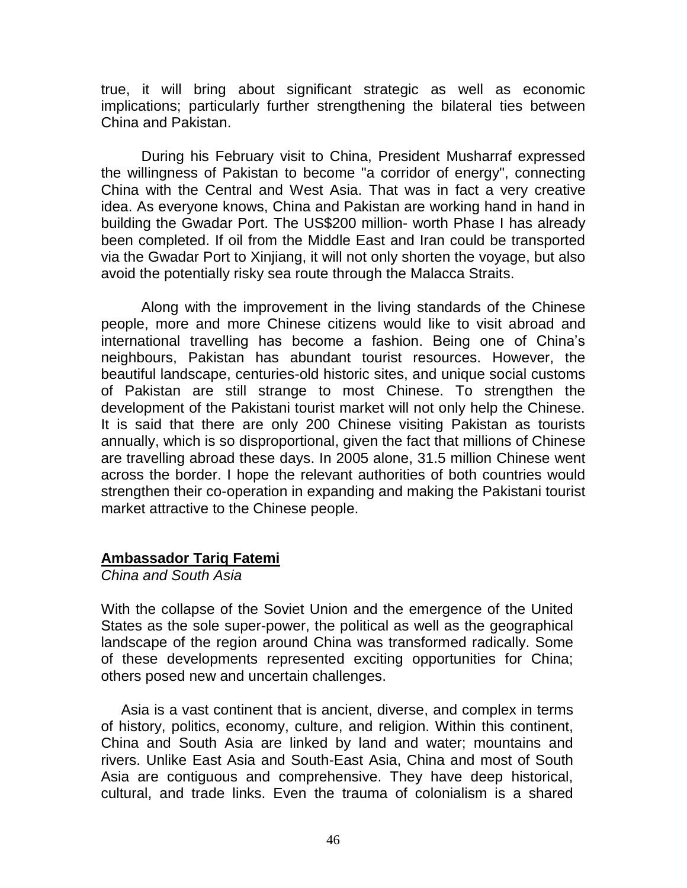true, it will bring about significant strategic as well as economic implications; particularly further strengthening the bilateral ties between China and Pakistan.

During his February visit to China, President Musharraf expressed the willingness of Pakistan to become "a corridor of energy", connecting China with the Central and West Asia. That was in fact a very creative idea. As everyone knows, China and Pakistan are working hand in hand in building the Gwadar Port. The US\$200 million- worth Phase I has already been completed. If oil from the Middle East and Iran could be transported via the Gwadar Port to Xinjiang, it will not only shorten the voyage, but also avoid the potentially risky sea route through the Malacca Straits.

Along with the improvement in the living standards of the Chinese people, more and more Chinese citizens would like to visit abroad and international travelling has become a fashion. Being one of China"s neighbours, Pakistan has abundant tourist resources. However, the beautiful landscape, centuries-old historic sites, and unique social customs of Pakistan are still strange to most Chinese. To strengthen the development of the Pakistani tourist market will not only help the Chinese. It is said that there are only 200 Chinese visiting Pakistan as tourists annually, which is so disproportional, given the fact that millions of Chinese are travelling abroad these days. In 2005 alone, 31.5 million Chinese went across the border. I hope the relevant authorities of both countries would strengthen their co-operation in expanding and making the Pakistani tourist market attractive to the Chinese people.

### **Ambassador Tariq Fatemi**

*China and South Asia*

With the collapse of the Soviet Union and the emergence of the United States as the sole super-power, the political as well as the geographical landscape of the region around China was transformed radically. Some of these developments represented exciting opportunities for China; others posed new and uncertain challenges.

Asia is a vast continent that is ancient, diverse, and complex in terms of history, politics, economy, culture, and religion. Within this continent, China and South Asia are linked by land and water; mountains and rivers. Unlike East Asia and South-East Asia, China and most of South Asia are contiguous and comprehensive. They have deep historical, cultural, and trade links. Even the trauma of colonialism is a shared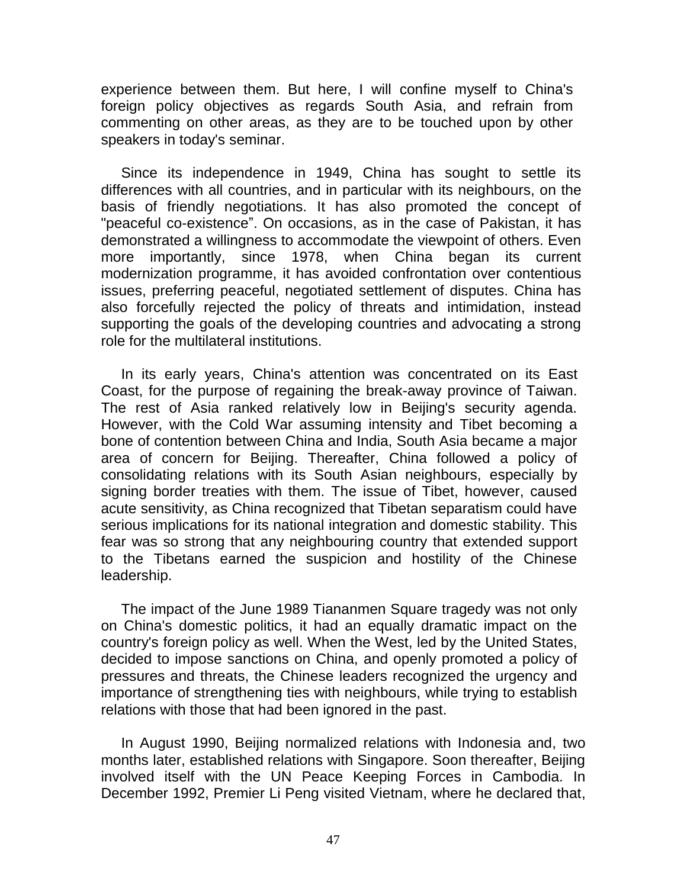experience between them. But here, I will confine myself to China's foreign policy objectives as regards South Asia, and refrain from commenting on other areas, as they are to be touched upon by other speakers in today's seminar.

Since its independence in 1949, China has sought to settle its differences with all countries, and in particular with its neighbours, on the basis of friendly negotiations. It has also promoted the concept of "peaceful co-existence". On occasions, as in the case of Pakistan, it has demonstrated a willingness to accommodate the viewpoint of others. Even more importantly, since 1978, when China began its current modernization programme, it has avoided confrontation over contentious issues, preferring peaceful, negotiated settlement of disputes. China has also forcefully rejected the policy of threats and intimidation, instead supporting the goals of the developing countries and advocating a strong role for the multilateral institutions.

In its early years, China's attention was concentrated on its East Coast, for the purpose of regaining the break-away province of Taiwan. The rest of Asia ranked relatively low in Beijing's security agenda. However, with the Cold War assuming intensity and Tibet becoming a bone of contention between China and India, South Asia became a major area of concern for Beijing. Thereafter, China followed a policy of consolidating relations with its South Asian neighbours, especially by signing border treaties with them. The issue of Tibet, however, caused acute sensitivity, as China recognized that Tibetan separatism could have serious implications for its national integration and domestic stability. This fear was so strong that any neighbouring country that extended support to the Tibetans earned the suspicion and hostility of the Chinese leadership.

The impact of the June 1989 Tiananmen Square tragedy was not only on China's domestic politics, it had an equally dramatic impact on the country's foreign policy as well. When the West, led by the United States, decided to impose sanctions on China, and openly promoted a policy of pressures and threats, the Chinese leaders recognized the urgency and importance of strengthening ties with neighbours, while trying to establish relations with those that had been ignored in the past.

In August 1990, Beijing normalized relations with Indonesia and, two months later, established relations with Singapore. Soon thereafter, Beijing involved itself with the UN Peace Keeping Forces in Cambodia. In December 1992, Premier Li Peng visited Vietnam, where he declared that,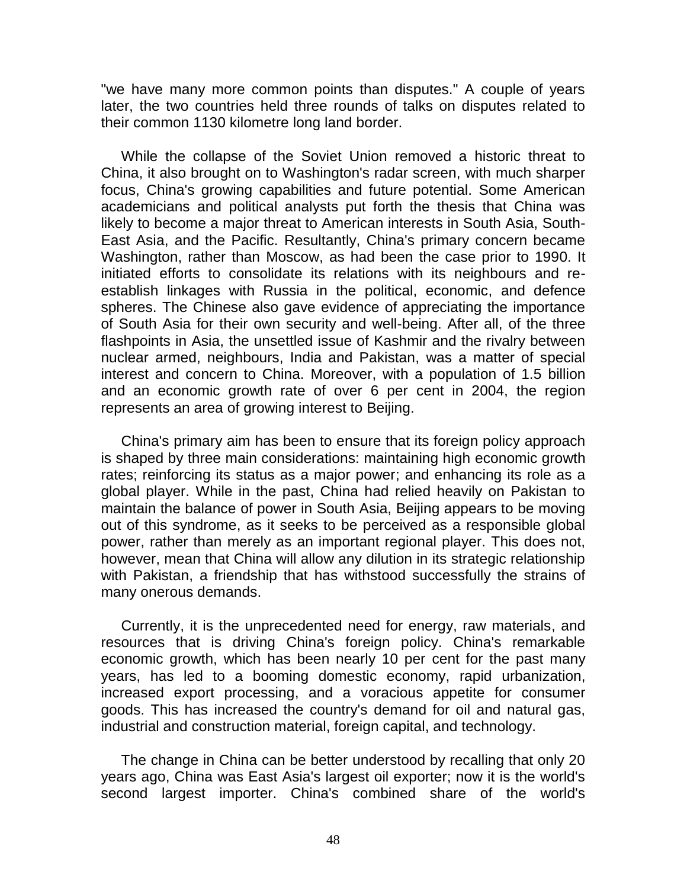"we have many more common points than disputes." A couple of years later, the two countries held three rounds of talks on disputes related to their common 1130 kilometre long land border.

While the collapse of the Soviet Union removed a historic threat to China, it also brought on to Washington's radar screen, with much sharper focus, China's growing capabilities and future potential. Some American academicians and political analysts put forth the thesis that China was likely to become a major threat to American interests in South Asia, South-East Asia, and the Pacific. Resultantly, China's primary concern became Washington, rather than Moscow, as had been the case prior to 1990. It initiated efforts to consolidate its relations with its neighbours and reestablish linkages with Russia in the political, economic, and defence spheres. The Chinese also gave evidence of appreciating the importance of South Asia for their own security and well-being. After all, of the three flashpoints in Asia, the unsettled issue of Kashmir and the rivalry between nuclear armed, neighbours, India and Pakistan, was a matter of special interest and concern to China. Moreover, with a population of 1.5 billion and an economic growth rate of over 6 per cent in 2004, the region represents an area of growing interest to Beijing.

China's primary aim has been to ensure that its foreign policy approach is shaped by three main considerations: maintaining high economic growth rates; reinforcing its status as a major power; and enhancing its role as a global player. While in the past, China had relied heavily on Pakistan to maintain the balance of power in South Asia, Beijing appears to be moving out of this syndrome, as it seeks to be perceived as a responsible global power, rather than merely as an important regional player. This does not, however, mean that China will allow any dilution in its strategic relationship with Pakistan, a friendship that has withstood successfully the strains of many onerous demands.

Currently, it is the unprecedented need for energy, raw materials, and resources that is driving China's foreign policy. China's remarkable economic growth, which has been nearly 10 per cent for the past many years, has led to a booming domestic economy, rapid urbanization, increased export processing, and a voracious appetite for consumer goods. This has increased the country's demand for oil and natural gas, industrial and construction material, foreign capital, and technology.

The change in China can be better understood by recalling that only 20 years ago, China was East Asia's largest oil exporter; now it is the world's second largest importer. China's combined share of the world's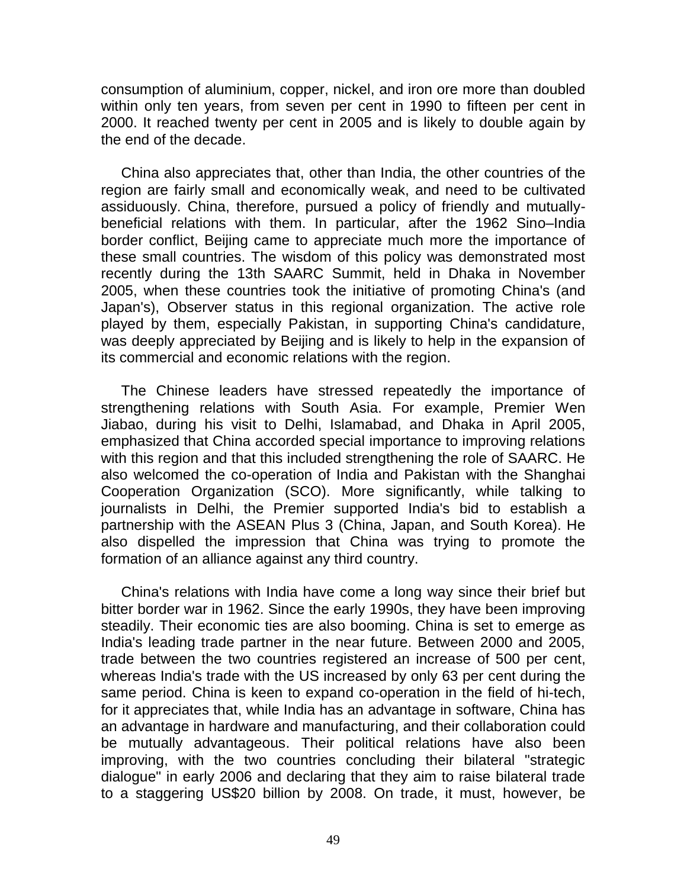consumption of aluminium, copper, nickel, and iron ore more than doubled within only ten years, from seven per cent in 1990 to fifteen per cent in 2000. It reached twenty per cent in 2005 and is likely to double again by the end of the decade.

China also appreciates that, other than India, the other countries of the region are fairly small and economically weak, and need to be cultivated assiduously. China, therefore, pursued a policy of friendly and mutuallybeneficial relations with them. In particular, after the 1962 Sino–India border conflict, Beijing came to appreciate much more the importance of these small countries. The wisdom of this policy was demonstrated most recently during the 13th SAARC Summit, held in Dhaka in November 2005, when these countries took the initiative of promoting China's (and Japan's), Observer status in this regional organization. The active role played by them, especially Pakistan, in supporting China's candidature, was deeply appreciated by Beijing and is likely to help in the expansion of its commercial and economic relations with the region.

The Chinese leaders have stressed repeatedly the importance of strengthening relations with South Asia. For example, Premier Wen Jiabao, during his visit to Delhi, Islamabad, and Dhaka in April 2005, emphasized that China accorded special importance to improving relations with this region and that this included strengthening the role of SAARC. He also welcomed the co-operation of India and Pakistan with the Shanghai Cooperation Organization (SCO). More significantly, while talking to journalists in Delhi, the Premier supported India's bid to establish a partnership with the ASEAN Plus 3 (China, Japan, and South Korea). He also dispelled the impression that China was trying to promote the formation of an alliance against any third country.

China's relations with India have come a long way since their brief but bitter border war in 1962. Since the early 1990s, they have been improving steadily. Their economic ties are also booming. China is set to emerge as India's leading trade partner in the near future. Between 2000 and 2005, trade between the two countries registered an increase of 500 per cent, whereas India's trade with the US increased by only 63 per cent during the same period. China is keen to expand co-operation in the field of hi-tech, for it appreciates that, while India has an advantage in software, China has an advantage in hardware and manufacturing, and their collaboration could be mutually advantageous. Their political relations have also been improving, with the two countries concluding their bilateral "strategic dialogue" in early 2006 and declaring that they aim to raise bilateral trade to a staggering US\$20 billion by 2008. On trade, it must, however, be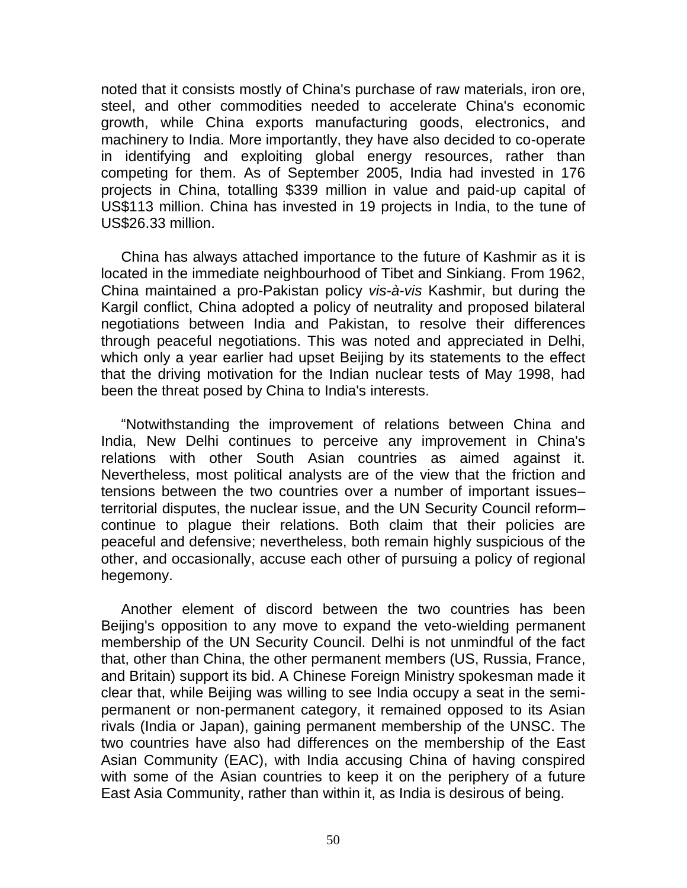noted that it consists mostly of China's purchase of raw materials, iron ore, steel, and other commodities needed to accelerate China's economic growth, while China exports manufacturing goods, electronics, and machinery to India. More importantly, they have also decided to co-operate in identifying and exploiting global energy resources, rather than competing for them. As of September 2005, India had invested in 176 projects in China, totalling \$339 million in value and paid-up capital of US\$113 million. China has invested in 19 projects in India, to the tune of US\$26.33 million.

China has always attached importance to the future of Kashmir as it is located in the immediate neighbourhood of Tibet and Sinkiang. From 1962, China maintained a pro-Pakistan policy *vis-à-vis* Kashmir, but during the Kargil conflict, China adopted a policy of neutrality and proposed bilateral negotiations between India and Pakistan, to resolve their differences through peaceful negotiations. This was noted and appreciated in Delhi, which only a year earlier had upset Beijing by its statements to the effect that the driving motivation for the Indian nuclear tests of May 1998, had been the threat posed by China to India's interests.

"Notwithstanding the improvement of relations between China and India, New Delhi continues to perceive any improvement in China's relations with other South Asian countries as aimed against it. Nevertheless, most political analysts are of the view that the friction and tensions between the two countries over a number of important issues– territorial disputes, the nuclear issue, and the UN Security Council reform– continue to plague their relations. Both claim that their policies are peaceful and defensive; nevertheless, both remain highly suspicious of the other, and occasionally, accuse each other of pursuing a policy of regional hegemony.

Another element of discord between the two countries has been Beijing's opposition to any move to expand the veto-wielding permanent membership of the UN Security Council. Delhi is not unmindful of the fact that, other than China, the other permanent members (US, Russia, France, and Britain) support its bid. A Chinese Foreign Ministry spokesman made it clear that, while Beijing was willing to see India occupy a seat in the semipermanent or non-permanent category, it remained opposed to its Asian rivals (India or Japan), gaining permanent membership of the UNSC. The two countries have also had differences on the membership of the East Asian Community (EAC), with India accusing China of having conspired with some of the Asian countries to keep it on the periphery of a future East Asia Community, rather than within it, as India is desirous of being.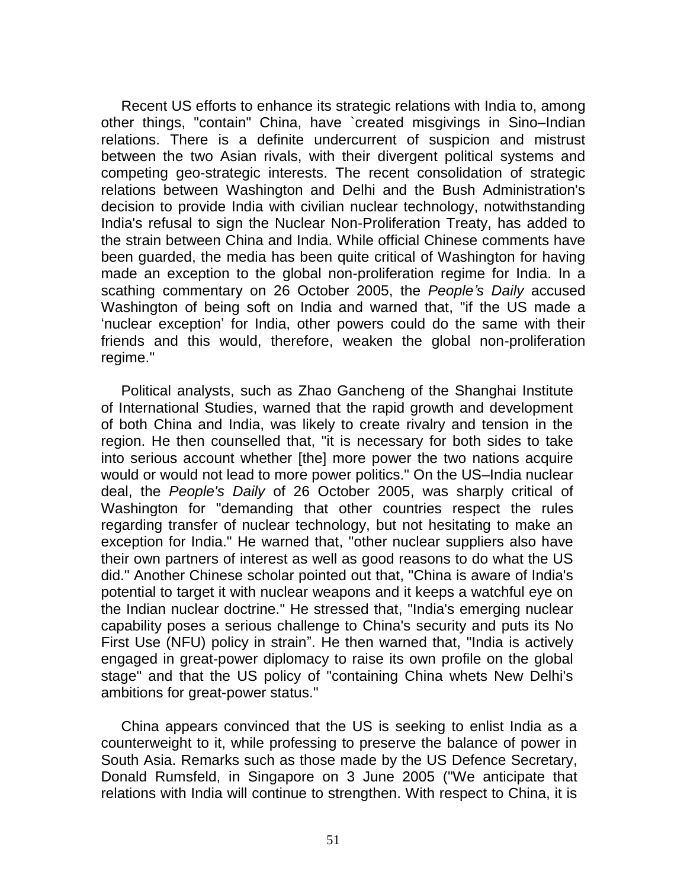Recent US efforts to enhance its strategic relations with India to, among other things, "contain" China, have `created misgivings in Sino–Indian relations. There is a definite undercurrent of suspicion and mistrust between the two Asian rivals, with their divergent political systems and competing geo-strategic interests. The recent consolidation of strategic relations between Washington and Delhi and the Bush Administration's decision to provide India with civilian nuclear technology, notwithstanding India's refusal to sign the Nuclear Non-Proliferation Treaty, has added to the strain between China and India. While official Chinese comments have been guarded, the media has been quite critical of Washington for having made an exception to the global non-proliferation regime for India. In a scathing commentary on 26 October 2005, the *People's Daily* accused Washington of being soft on India and warned that, "if the US made a "nuclear exception" for India, other powers could do the same with their friends and this would, therefore, weaken the global non-proliferation regime."

Political analysts, such as Zhao Gancheng of the Shanghai Institute of International Studies, warned that the rapid growth and development of both China and India, was likely to create rivalry and tension in the region. He then counselled that, "it is necessary for both sides to take into serious account whether [the] more power the two nations acquire would or would not lead to more power politics." On the US–India nuclear deal, the *People's Daily* of 26 October 2005, was sharply critical of Washington for "demanding that other countries respect the rules regarding transfer of nuclear technology, but not hesitating to make an exception for India." He warned that, "other nuclear suppliers also have their own partners of interest as well as good reasons to do what the US did." Another Chinese scholar pointed out that, "China is aware of India's potential to target it with nuclear weapons and it keeps a watchful eye on the Indian nuclear doctrine." He stressed that, "India's emerging nuclear capability poses a serious challenge to China's security and puts its No First Use (NFU) policy in strain". He then warned that, "India is actively engaged in great-power diplomacy to raise its own profile on the global stage" and that the US policy of "containing China whets New Delhi's ambitions for great-power status."

China appears convinced that the US is seeking to enlist India as a counterweight to it, while professing to preserve the balance of power in South Asia. Remarks such as those made by the US Defence Secretary, Donald Rumsfeld, in Singapore on 3 June 2005 ("We anticipate that relations with India will continue to strengthen. With respect to China, it is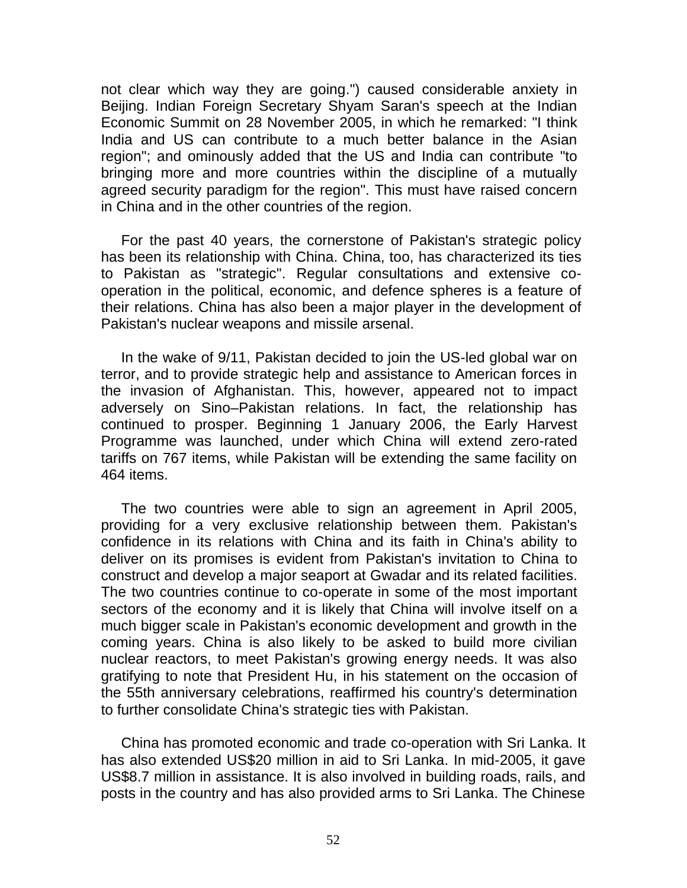not clear which way they are going.") caused considerable anxiety in Beijing. Indian Foreign Secretary Shyam Saran's speech at the Indian Economic Summit on 28 November 2005, in which he remarked: "I think India and US can contribute to a much better balance in the Asian region"; and ominously added that the US and India can contribute "to bringing more and more countries within the discipline of a mutually agreed security paradigm for the region". This must have raised concern in China and in the other countries of the region.

For the past 40 years, the cornerstone of Pakistan's strategic policy has been its relationship with China. China, too, has characterized its ties to Pakistan as "strategic". Regular consultations and extensive cooperation in the political, economic, and defence spheres is a feature of their relations. China has also been a major player in the development of Pakistan's nuclear weapons and missile arsenal.

In the wake of 9/11, Pakistan decided to join the US-led global war on terror, and to provide strategic help and assistance to American forces in the invasion of Afghanistan. This, however, appeared not to impact adversely on Sino–Pakistan relations. In fact, the relationship has continued to prosper. Beginning 1 January 2006, the Early Harvest Programme was launched, under which China will extend zero-rated tariffs on 767 items, while Pakistan will be extending the same facility on 464 items.

The two countries were able to sign an agreement in April 2005, providing for a very exclusive relationship between them. Pakistan's confidence in its relations with China and its faith in China's ability to deliver on its promises is evident from Pakistan's invitation to China to construct and develop a major seaport at Gwadar and its related facilities. The two countries continue to co-operate in some of the most important sectors of the economy and it is likely that China will involve itself on a much bigger scale in Pakistan's economic development and growth in the coming years. China is also likely to be asked to build more civilian nuclear reactors, to meet Pakistan's growing energy needs. It was also gratifying to note that President Hu, in his statement on the occasion of the 55th anniversary celebrations, reaffirmed his country's determination to further consolidate China's strategic ties with Pakistan.

China has promoted economic and trade co-operation with Sri Lanka. It has also extended US\$20 million in aid to Sri Lanka. In mid-2005, it gave US\$8.7 million in assistance. It is also involved in building roads, rails, and posts in the country and has also provided arms to Sri Lanka. The Chinese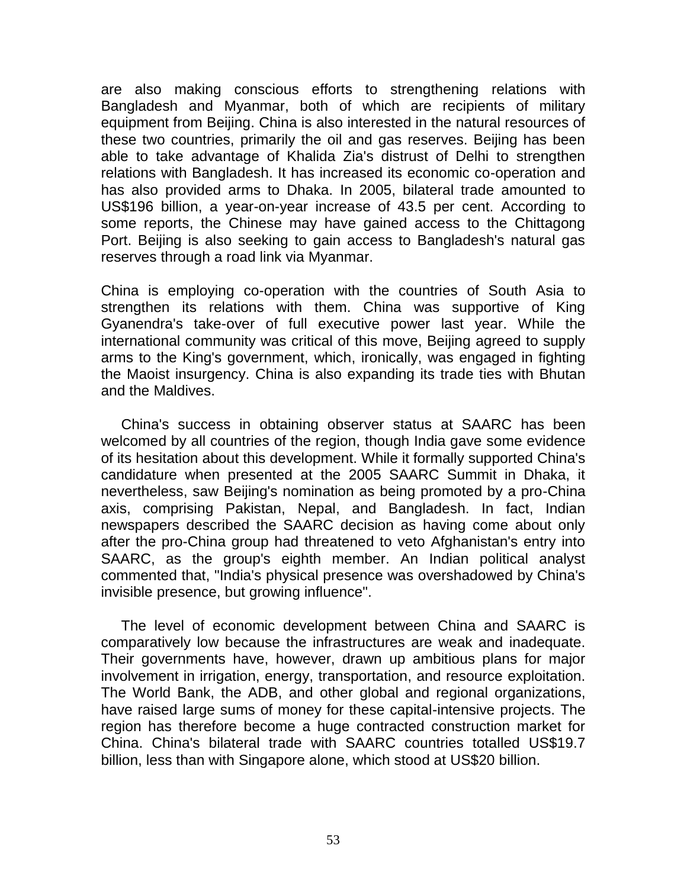are also making conscious efforts to strengthening relations with Bangladesh and Myanmar, both of which are recipients of military equipment from Beijing. China is also interested in the natural resources of these two countries, primarily the oil and gas reserves. Beijing has been able to take advantage of Khalida Zia's distrust of Delhi to strengthen relations with Bangladesh. It has increased its economic co-operation and has also provided arms to Dhaka. In 2005, bilateral trade amounted to US\$196 billion, a year-on-year increase of 43.5 per cent. According to some reports, the Chinese may have gained access to the Chittagong Port. Beijing is also seeking to gain access to Bangladesh's natural gas reserves through a road link via Myanmar.

China is employing co-operation with the countries of South Asia to strengthen its relations with them. China was supportive of King Gyanendra's take-over of full executive power last year. While the international community was critical of this move, Beijing agreed to supply arms to the King's government, which, ironically, was engaged in fighting the Maoist insurgency. China is also expanding its trade ties with Bhutan and the Maldives.

China's success in obtaining observer status at SAARC has been welcomed by all countries of the region, though India gave some evidence of its hesitation about this development. While it formally supported China's candidature when presented at the 2005 SAARC Summit in Dhaka, it nevertheless, saw Beijing's nomination as being promoted by a pro-China axis, comprising Pakistan, Nepal, and Bangladesh. In fact, Indian newspapers described the SAARC decision as having come about only after the pro-China group had threatened to veto Afghanistan's entry into SAARC, as the group's eighth member. An Indian political analyst commented that, "India's physical presence was overshadowed by China's invisible presence, but growing influence".

The level of economic development between China and SAARC is comparatively low because the infrastructures are weak and inadequate. Their governments have, however, drawn up ambitious plans for major involvement in irrigation, energy, transportation, and resource exploitation. The World Bank, the ADB, and other global and regional organizations, have raised large sums of money for these capital-intensive projects. The region has therefore become a huge contracted construction market for China. China's bilateral trade with SAARC countries totalled US\$19.7 billion, less than with Singapore alone, which stood at US\$20 billion.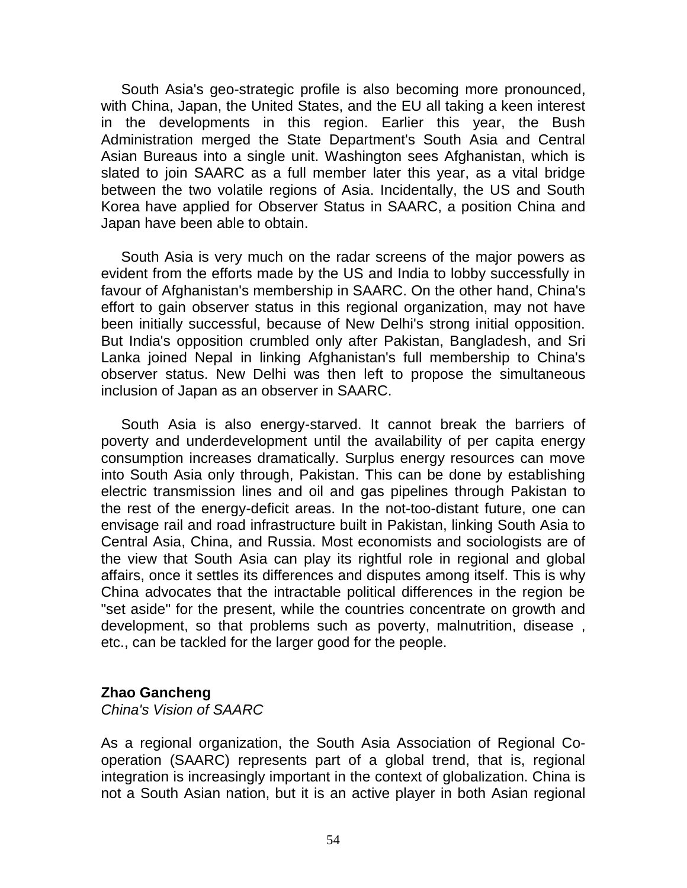South Asia's geo-strategic profile is also becoming more pronounced, with China, Japan, the United States, and the EU all taking a keen interest in the developments in this region. Earlier this year, the Bush Administration merged the State Department's South Asia and Central Asian Bureaus into a single unit. Washington sees Afghanistan, which is slated to join SAARC as a full member later this year, as a vital bridge between the two volatile regions of Asia. Incidentally, the US and South Korea have applied for Observer Status in SAARC, a position China and Japan have been able to obtain.

South Asia is very much on the radar screens of the major powers as evident from the efforts made by the US and India to lobby successfully in favour of Afghanistan's membership in SAARC. On the other hand, China's effort to gain observer status in this regional organization, may not have been initially successful, because of New Delhi's strong initial opposition. But India's opposition crumbled only after Pakistan, Bangladesh, and Sri Lanka joined Nepal in linking Afghanistan's full membership to China's observer status. New Delhi was then left to propose the simultaneous inclusion of Japan as an observer in SAARC.

South Asia is also energy-starved. It cannot break the barriers of poverty and underdevelopment until the availability of per capita energy consumption increases dramatically. Surplus energy resources can move into South Asia only through, Pakistan. This can be done by establishing electric transmission lines and oil and gas pipelines through Pakistan to the rest of the energy-deficit areas. In the not-too-distant future, one can envisage rail and road infrastructure built in Pakistan, linking South Asia to Central Asia, China, and Russia. Most economists and sociologists are of the view that South Asia can play its rightful role in regional and global affairs, once it settles its differences and disputes among itself. This is why China advocates that the intractable political differences in the region be "set aside" for the present, while the countries concentrate on growth and development, so that problems such as poverty, malnutrition, disease , etc., can be tackled for the larger good for the people.

### **Zhao Gancheng**

*China's Vision of SAARC*

As a regional organization, the South Asia Association of Regional Cooperation (SAARC) represents part of a global trend, that is, regional integration is increasingly important in the context of globalization. China is not a South Asian nation, but it is an active player in both Asian regional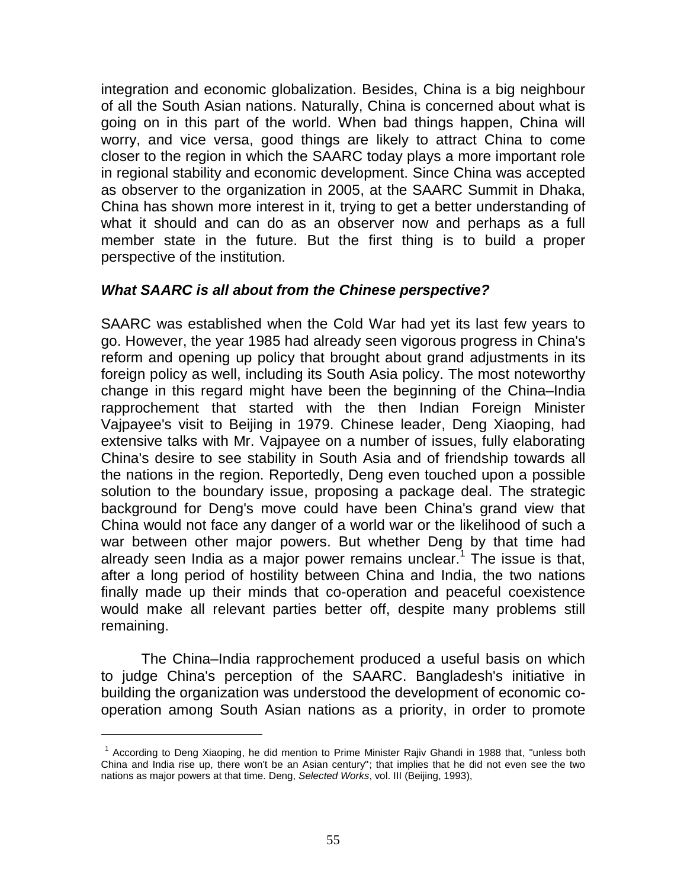integration and economic globalization. Besides, China is a big neighbour of all the South Asian nations. Naturally, China is concerned about what is going on in this part of the world. When bad things happen, China will worry, and vice versa, good things are likely to attract China to come closer to the region in which the SAARC today plays a more important role in regional stability and economic development. Since China was accepted as observer to the organization in 2005, at the SAARC Summit in Dhaka, China has shown more interest in it, trying to get a better understanding of what it should and can do as an observer now and perhaps as a full member state in the future. But the first thing is to build a proper perspective of the institution.

### *What SAARC is all about from the Chinese perspective?*

SAARC was established when the Cold War had yet its last few years to go. However, the year 1985 had already seen vigorous progress in China's reform and opening up policy that brought about grand adjustments in its foreign policy as well, including its South Asia policy. The most noteworthy change in this regard might have been the beginning of the China–India rapprochement that started with the then Indian Foreign Minister Vajpayee's visit to Beijing in 1979. Chinese leader, Deng Xiaoping, had extensive talks with Mr. Vajpayee on a number of issues, fully elaborating China's desire to see stability in South Asia and of friendship towards all the nations in the region. Reportedly, Deng even touched upon a possible solution to the boundary issue, proposing a package deal. The strategic background for Deng's move could have been China's grand view that China would not face any danger of a world war or the likelihood of such a war between other major powers. But whether Deng by that time had already seen India as a major power remains unclear.<sup>1</sup> The issue is that, after a long period of hostility between China and India, the two nations finally made up their minds that co-operation and peaceful coexistence would make all relevant parties better off, despite many problems still remaining.

The China–India rapprochement produced a useful basis on which to judge China's perception of the SAARC. Bangladesh's initiative in building the organization was understood the development of economic cooperation among South Asian nations as a priority, in order to promote

 $\overline{a}$ 

<sup>&</sup>lt;sup>1</sup> According to Deng Xiaoping, he did mention to Prime Minister Rajiv Ghandi in 1988 that, "unless both China and India rise up, there won't be an Asian century"; that implies that he did not even see the two nations as major powers at that time. Deng, *Selected Works*, vol. III (Beijing, 1993),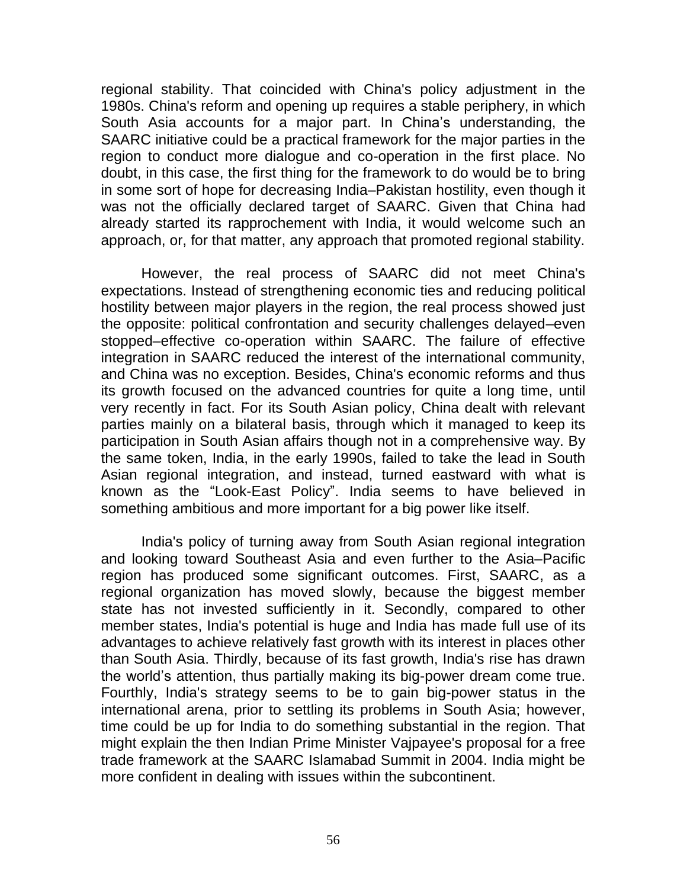regional stability. That coincided with China's policy adjustment in the 1980s. China's reform and opening up requires a stable periphery, in which South Asia accounts for a major part. In China's understanding, the SAARC initiative could be a practical framework for the major parties in the region to conduct more dialogue and co-operation in the first place. No doubt, in this case, the first thing for the framework to do would be to bring in some sort of hope for decreasing India–Pakistan hostility, even though it was not the officially declared target of SAARC. Given that China had already started its rapprochement with India, it would welcome such an approach, or, for that matter, any approach that promoted regional stability.

However, the real process of SAARC did not meet China's expectations. Instead of strengthening economic ties and reducing political hostility between major players in the region, the real process showed just the opposite: political confrontation and security challenges delayed–even stopped–effective co-operation within SAARC. The failure of effective integration in SAARC reduced the interest of the international community, and China was no exception. Besides, China's economic reforms and thus its growth focused on the advanced countries for quite a long time, until very recently in fact. For its South Asian policy, China dealt with relevant parties mainly on a bilateral basis, through which it managed to keep its participation in South Asian affairs though not in a comprehensive way. By the same token, India, in the early 1990s, failed to take the lead in South Asian regional integration, and instead, turned eastward with what is known as the "Look-East Policy". India seems to have believed in something ambitious and more important for a big power like itself.

India's policy of turning away from South Asian regional integration and looking toward Southeast Asia and even further to the Asia–Pacific region has produced some significant outcomes. First, SAARC, as a regional organization has moved slowly, because the biggest member state has not invested sufficiently in it. Secondly, compared to other member states, India's potential is huge and India has made full use of its advantages to achieve relatively fast growth with its interest in places other than South Asia. Thirdly, because of its fast growth, India's rise has drawn the world"s attention, thus partially making its big-power dream come true. Fourthly, India's strategy seems to be to gain big-power status in the international arena, prior to settling its problems in South Asia; however, time could be up for India to do something substantial in the region. That might explain the then Indian Prime Minister Vajpayee's proposal for a free trade framework at the SAARC Islamabad Summit in 2004. India might be more confident in dealing with issues within the subcontinent.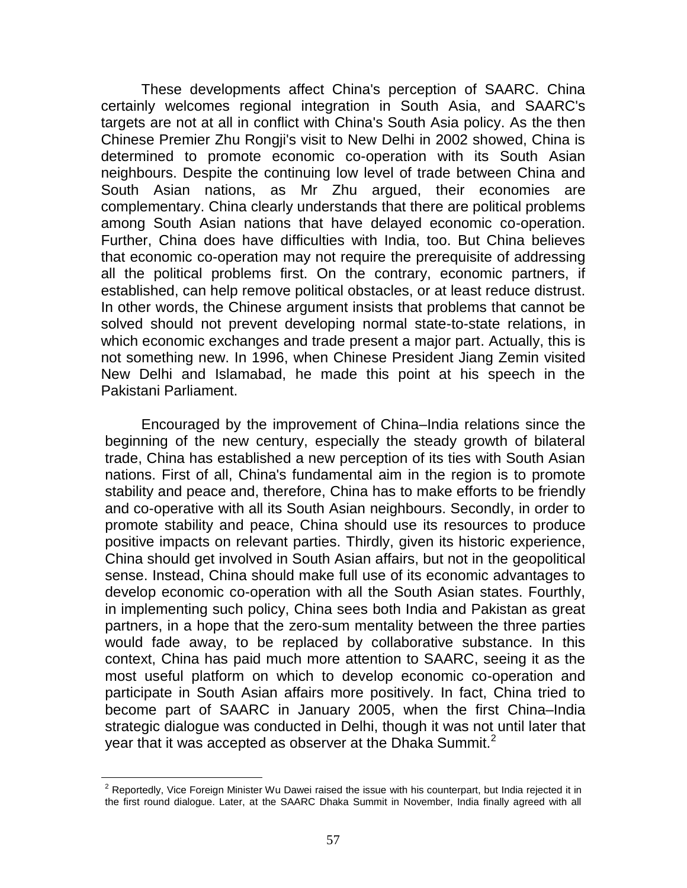These developments affect China's perception of SAARC. China certainly welcomes regional integration in South Asia, and SAARC's targets are not at all in conflict with China's South Asia policy. As the then Chinese Premier Zhu Rongji's visit to New Delhi in 2002 showed, China is determined to promote economic co-operation with its South Asian neighbours. Despite the continuing low level of trade between China and South Asian nations, as Mr Zhu argued, their economies are complementary. China clearly understands that there are political problems among South Asian nations that have delayed economic co-operation. Further, China does have difficulties with India, too. But China believes that economic co-operation may not require the prerequisite of addressing all the political problems first. On the contrary, economic partners, if established, can help remove political obstacles, or at least reduce distrust. In other words, the Chinese argument insists that problems that cannot be solved should not prevent developing normal state-to-state relations, in which economic exchanges and trade present a major part. Actually, this is not something new. In 1996, when Chinese President Jiang Zemin visited New Delhi and Islamabad, he made this point at his speech in the Pakistani Parliament.

Encouraged by the improvement of China–India relations since the beginning of the new century, especially the steady growth of bilateral trade, China has established a new perception of its ties with South Asian nations. First of all, China's fundamental aim in the region is to promote stability and peace and, therefore, China has to make efforts to be friendly and co-operative with all its South Asian neighbours. Secondly, in order to promote stability and peace, China should use its resources to produce positive impacts on relevant parties. Thirdly, given its historic experience, China should get involved in South Asian affairs, but not in the geopolitical sense. Instead, China should make full use of its economic advantages to develop economic co-operation with all the South Asian states. Fourthly, in implementing such policy, China sees both India and Pakistan as great partners, in a hope that the zero-sum mentality between the three parties would fade away, to be replaced by collaborative substance. In this context, China has paid much more attention to SAARC, seeing it as the most useful platform on which to develop economic co-operation and participate in South Asian affairs more positively. In fact, China tried to become part of SAARC in January 2005, when the first China–India strategic dialogue was conducted in Delhi, though it was not until later that year that it was accepted as observer at the Dhaka Summit.<sup>2</sup>

 $\overline{a}$ 

 $2$  Reportedly, Vice Foreign Minister Wu Dawei raised the issue with his counterpart, but India rejected it in the first round dialogue. Later, at the SAARC Dhaka Summit in November, India finally agreed with all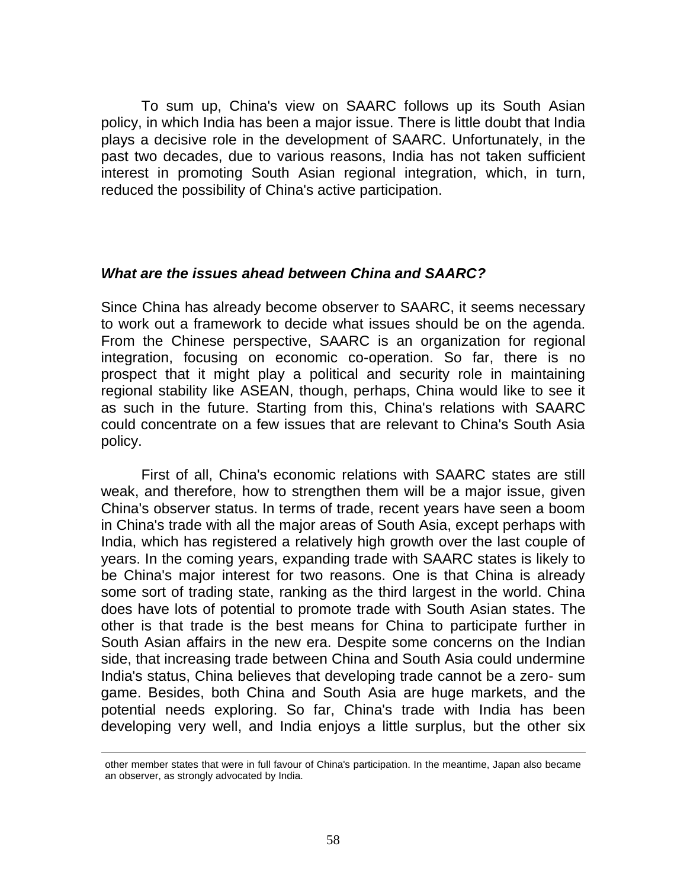To sum up, China's view on SAARC follows up its South Asian policy, in which India has been a major issue. There is little doubt that India plays a decisive role in the development of SAARC. Unfortunately, in the past two decades, due to various reasons, India has not taken sufficient interest in promoting South Asian regional integration, which, in turn, reduced the possibility of China's active participation.

### *What are the issues ahead between China and SAARC?*

Since China has already become observer to SAARC, it seems necessary to work out a framework to decide what issues should be on the agenda. From the Chinese perspective, SAARC is an organization for regional integration, focusing on economic co-operation. So far, there is no prospect that it might play a political and security role in maintaining regional stability like ASEAN, though, perhaps, China would like to see it as such in the future. Starting from this, China's relations with SAARC could concentrate on a few issues that are relevant to China's South Asia policy.

First of all, China's economic relations with SAARC states are still weak, and therefore, how to strengthen them will be a major issue, given China's observer status. In terms of trade, recent years have seen a boom in China's trade with all the major areas of South Asia, except perhaps with India, which has registered a relatively high growth over the last couple of years. In the coming years, expanding trade with SAARC states is likely to be China's major interest for two reasons. One is that China is already some sort of trading state, ranking as the third largest in the world. China does have lots of potential to promote trade with South Asian states. The other is that trade is the best means for China to participate further in South Asian affairs in the new era. Despite some concerns on the Indian side, that increasing trade between China and South Asia could undermine India's status, China believes that developing trade cannot be a zero- sum game. Besides, both China and South Asia are huge markets, and the potential needs exploring. So far, China's trade with India has been developing very well, and India enjoys a little surplus, but the other six

 $\overline{a}$ 

other member states that were in full favour of China's participation. In the meantime, Japan also became an observer, as strongly advocated by India.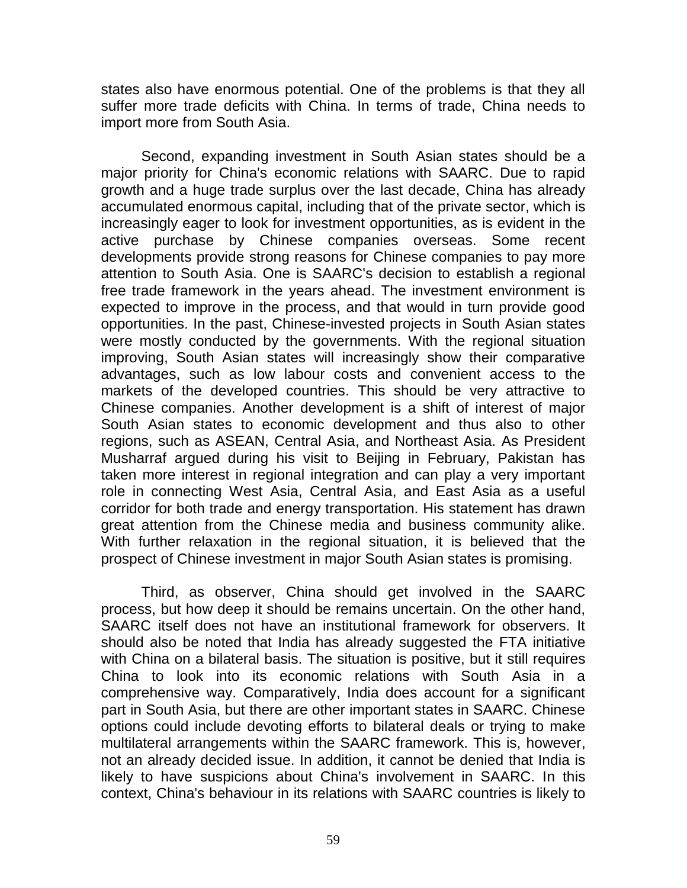states also have enormous potential. One of the problems is that they all suffer more trade deficits with China. In terms of trade, China needs to import more from South Asia.

Second, expanding investment in South Asian states should be a major priority for China's economic relations with SAARC. Due to rapid growth and a huge trade surplus over the last decade, China has already accumulated enormous capital, including that of the private sector, which is increasingly eager to look for investment opportunities, as is evident in the active purchase by Chinese companies overseas. Some recent developments provide strong reasons for Chinese companies to pay more attention to South Asia. One is SAARC's decision to establish a regional free trade framework in the years ahead. The investment environment is expected to improve in the process, and that would in turn provide good opportunities. In the past, Chinese-invested projects in South Asian states were mostly conducted by the governments. With the regional situation improving, South Asian states will increasingly show their comparative advantages, such as low labour costs and convenient access to the markets of the developed countries. This should be very attractive to Chinese companies. Another development is a shift of interest of major South Asian states to economic development and thus also to other regions, such as ASEAN, Central Asia, and Northeast Asia. As President Musharraf argued during his visit to Beijing in February, Pakistan has taken more interest in regional integration and can play a very important role in connecting West Asia, Central Asia, and East Asia as a useful corridor for both trade and energy transportation. His statement has drawn great attention from the Chinese media and business community alike. With further relaxation in the regional situation, it is believed that the prospect of Chinese investment in major South Asian states is promising.

Third, as observer, China should get involved in the SAARC process, but how deep it should be remains uncertain. On the other hand, SAARC itself does not have an institutional framework for observers. It should also be noted that India has already suggested the FTA initiative with China on a bilateral basis. The situation is positive, but it still requires China to look into its economic relations with South Asia in a comprehensive way. Comparatively, India does account for a significant part in South Asia, but there are other important states in SAARC. Chinese options could include devoting efforts to bilateral deals or trying to make multilateral arrangements within the SAARC framework. This is, however, not an already decided issue. In addition, it cannot be denied that India is likely to have suspicions about China's involvement in SAARC. In this context, China's behaviour in its relations with SAARC countries is likely to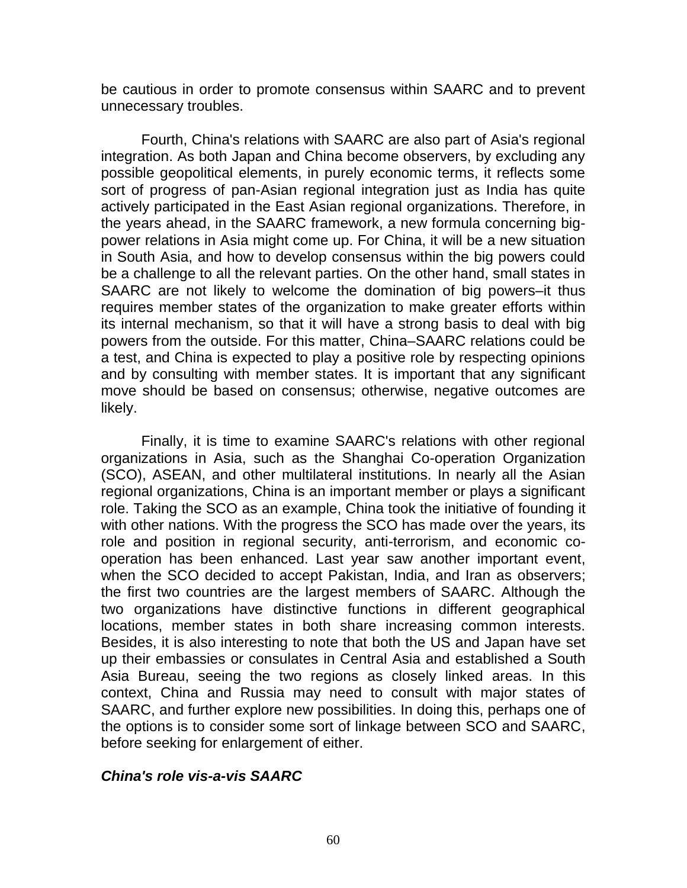be cautious in order to promote consensus within SAARC and to prevent unnecessary troubles.

Fourth, China's relations with SAARC are also part of Asia's regional integration. As both Japan and China become observers, by excluding any possible geopolitical elements, in purely economic terms, it reflects some sort of progress of pan-Asian regional integration just as India has quite actively participated in the East Asian regional organizations. Therefore, in the years ahead, in the SAARC framework, a new formula concerning bigpower relations in Asia might come up. For China, it will be a new situation in South Asia, and how to develop consensus within the big powers could be a challenge to all the relevant parties. On the other hand, small states in SAARC are not likely to welcome the domination of big powers–it thus requires member states of the organization to make greater efforts within its internal mechanism, so that it will have a strong basis to deal with big powers from the outside. For this matter, China–SAARC relations could be a test, and China is expected to play a positive role by respecting opinions and by consulting with member states. It is important that any significant move should be based on consensus; otherwise, negative outcomes are likely.

Finally, it is time to examine SAARC's relations with other regional organizations in Asia, such as the Shanghai Co-operation Organization (SCO), ASEAN, and other multilateral institutions. In nearly all the Asian regional organizations, China is an important member or plays a significant role. Taking the SCO as an example, China took the initiative of founding it with other nations. With the progress the SCO has made over the years, its role and position in regional security, anti-terrorism, and economic cooperation has been enhanced. Last year saw another important event, when the SCO decided to accept Pakistan, India, and Iran as observers; the first two countries are the largest members of SAARC. Although the two organizations have distinctive functions in different geographical locations, member states in both share increasing common interests. Besides, it is also interesting to note that both the US and Japan have set up their embassies or consulates in Central Asia and established a South Asia Bureau, seeing the two regions as closely linked areas. In this context, China and Russia may need to consult with major states of SAARC, and further explore new possibilities. In doing this, perhaps one of the options is to consider some sort of linkage between SCO and SAARC, before seeking for enlargement of either.

### *China's role vis-a-vis SAARC*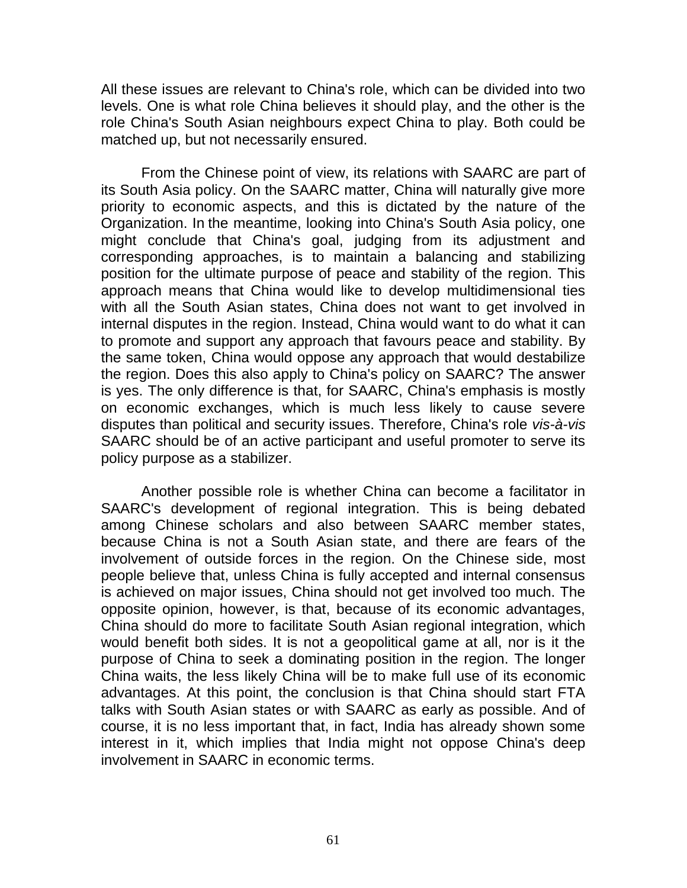All these issues are relevant to China's role, which can be divided into two levels. One is what role China believes it should play, and the other is the role China's South Asian neighbours expect China to play. Both could be matched up, but not necessarily ensured.

From the Chinese point of view, its relations with SAARC are part of its South Asia policy. On the SAARC matter, China will naturally give more priority to economic aspects, and this is dictated by the nature of the Organization. In the meantime, looking into China's South Asia policy, one might conclude that China's goal, judging from its adjustment and corresponding approaches, is to maintain a balancing and stabilizing position for the ultimate purpose of peace and stability of the region. This approach means that China would like to develop multidimensional ties with all the South Asian states, China does not want to get involved in internal disputes in the region. Instead, China would want to do what it can to promote and support any approach that favours peace and stability. By the same token, China would oppose any approach that would destabilize the region. Does this also apply to China's policy on SAARC? The answer is yes. The only difference is that, for SAARC, China's emphasis is mostly on economic exchanges, which is much less likely to cause severe disputes than political and security issues. Therefore, China's role *vis-à-vis* SAARC should be of an active participant and useful promoter to serve its policy purpose as a stabilizer.

Another possible role is whether China can become a facilitator in SAARC's development of regional integration. This is being debated among Chinese scholars and also between SAARC member states, because China is not a South Asian state, and there are fears of the involvement of outside forces in the region. On the Chinese side, most people believe that, unless China is fully accepted and internal consensus is achieved on major issues, China should not get involved too much. The opposite opinion, however, is that, because of its economic advantages, China should do more to facilitate South Asian regional integration, which would benefit both sides. It is not a geopolitical game at all, nor is it the purpose of China to seek a dominating position in the region. The longer China waits, the less likely China will be to make full use of its economic advantages. At this point, the conclusion is that China should start FTA talks with South Asian states or with SAARC as early as possible. And of course, it is no less important that, in fact, India has already shown some interest in it, which implies that India might not oppose China's deep involvement in SAARC in economic terms.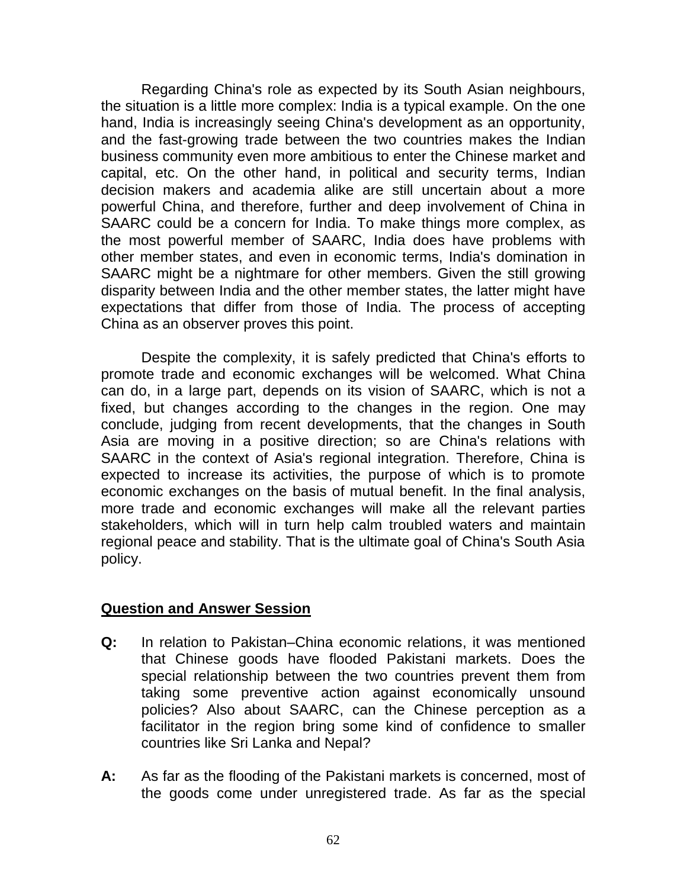Regarding China's role as expected by its South Asian neighbours, the situation is a little more complex: India is a typical example. On the one hand, India is increasingly seeing China's development as an opportunity, and the fast-growing trade between the two countries makes the Indian business community even more ambitious to enter the Chinese market and capital, etc. On the other hand, in political and security terms, Indian decision makers and academia alike are still uncertain about a more powerful China, and therefore, further and deep involvement of China in SAARC could be a concern for India. To make things more complex, as the most powerful member of SAARC, India does have problems with other member states, and even in economic terms, India's domination in SAARC might be a nightmare for other members. Given the still growing disparity between India and the other member states, the latter might have expectations that differ from those of India. The process of accepting China as an observer proves this point.

Despite the complexity, it is safely predicted that China's efforts to promote trade and economic exchanges will be welcomed. What China can do, in a large part, depends on its vision of SAARC, which is not a fixed, but changes according to the changes in the region. One may conclude, judging from recent developments, that the changes in South Asia are moving in a positive direction; so are China's relations with SAARC in the context of Asia's regional integration. Therefore, China is expected to increase its activities, the purpose of which is to promote economic exchanges on the basis of mutual benefit. In the final analysis, more trade and economic exchanges will make all the relevant parties stakeholders, which will in turn help calm troubled waters and maintain regional peace and stability. That is the ultimate goal of China's South Asia policy.

### **Question and Answer Session**

- **Q:** In relation to Pakistan–China economic relations, it was mentioned that Chinese goods have flooded Pakistani markets. Does the special relationship between the two countries prevent them from taking some preventive action against economically unsound policies? Also about SAARC, can the Chinese perception as a facilitator in the region bring some kind of confidence to smaller countries like Sri Lanka and Nepal?
- **A:** As far as the flooding of the Pakistani markets is concerned, most of the goods come under unregistered trade. As far as the special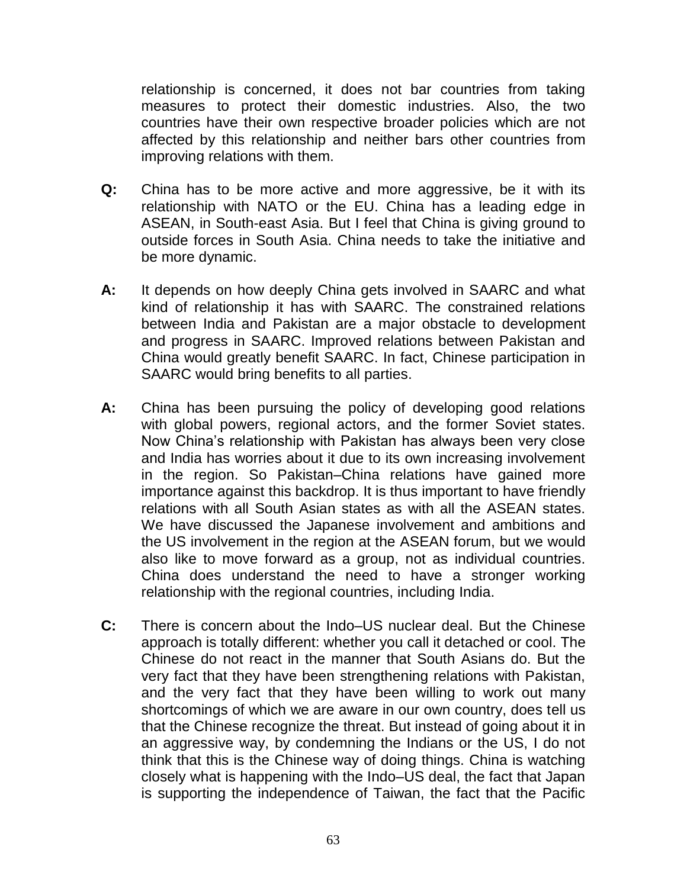relationship is concerned, it does not bar countries from taking measures to protect their domestic industries. Also, the two countries have their own respective broader policies which are not affected by this relationship and neither bars other countries from improving relations with them.

- **Q:** China has to be more active and more aggressive, be it with its relationship with NATO or the EU. China has a leading edge in ASEAN, in South-east Asia. But I feel that China is giving ground to outside forces in South Asia. China needs to take the initiative and be more dynamic.
- **A:** It depends on how deeply China gets involved in SAARC and what kind of relationship it has with SAARC. The constrained relations between India and Pakistan are a major obstacle to development and progress in SAARC. Improved relations between Pakistan and China would greatly benefit SAARC. In fact, Chinese participation in SAARC would bring benefits to all parties.
- **A:** China has been pursuing the policy of developing good relations with global powers, regional actors, and the former Soviet states. Now China"s relationship with Pakistan has always been very close and India has worries about it due to its own increasing involvement in the region. So Pakistan–China relations have gained more importance against this backdrop. It is thus important to have friendly relations with all South Asian states as with all the ASEAN states. We have discussed the Japanese involvement and ambitions and the US involvement in the region at the ASEAN forum, but we would also like to move forward as a group, not as individual countries. China does understand the need to have a stronger working relationship with the regional countries, including India.
- **C:** There is concern about the Indo–US nuclear deal. But the Chinese approach is totally different: whether you call it detached or cool. The Chinese do not react in the manner that South Asians do. But the very fact that they have been strengthening relations with Pakistan, and the very fact that they have been willing to work out many shortcomings of which we are aware in our own country, does tell us that the Chinese recognize the threat. But instead of going about it in an aggressive way, by condemning the Indians or the US, I do not think that this is the Chinese way of doing things. China is watching closely what is happening with the Indo–US deal, the fact that Japan is supporting the independence of Taiwan, the fact that the Pacific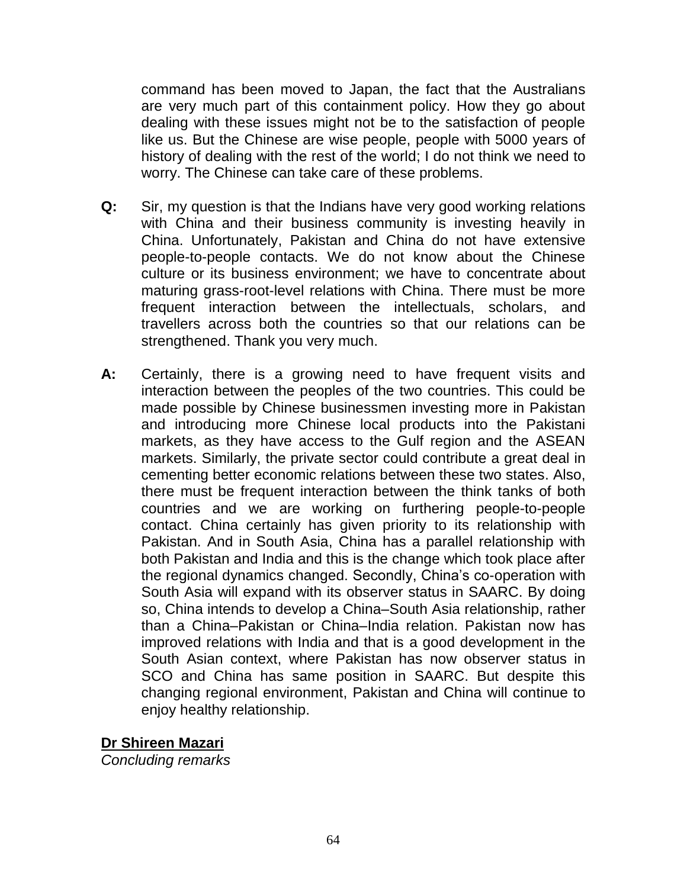command has been moved to Japan, the fact that the Australians are very much part of this containment policy. How they go about dealing with these issues might not be to the satisfaction of people like us. But the Chinese are wise people, people with 5000 years of history of dealing with the rest of the world; I do not think we need to worry. The Chinese can take care of these problems.

- **Q:** Sir, my question is that the Indians have very good working relations with China and their business community is investing heavily in China. Unfortunately, Pakistan and China do not have extensive people-to-people contacts. We do not know about the Chinese culture or its business environment; we have to concentrate about maturing grass-root-level relations with China. There must be more frequent interaction between the intellectuals, scholars, and travellers across both the countries so that our relations can be strengthened. Thank you very much.
- **A:** Certainly, there is a growing need to have frequent visits and interaction between the peoples of the two countries. This could be made possible by Chinese businessmen investing more in Pakistan and introducing more Chinese local products into the Pakistani markets, as they have access to the Gulf region and the ASEAN markets. Similarly, the private sector could contribute a great deal in cementing better economic relations between these two states. Also, there must be frequent interaction between the think tanks of both countries and we are working on furthering people-to-people contact. China certainly has given priority to its relationship with Pakistan. And in South Asia, China has a parallel relationship with both Pakistan and India and this is the change which took place after the regional dynamics changed. Secondly, China"s co-operation with South Asia will expand with its observer status in SAARC. By doing so, China intends to develop a China–South Asia relationship, rather than a China–Pakistan or China–India relation. Pakistan now has improved relations with India and that is a good development in the South Asian context, where Pakistan has now observer status in SCO and China has same position in SAARC. But despite this changing regional environment, Pakistan and China will continue to enjoy healthy relationship.

**Dr Shireen Mazari**

*Concluding remarks*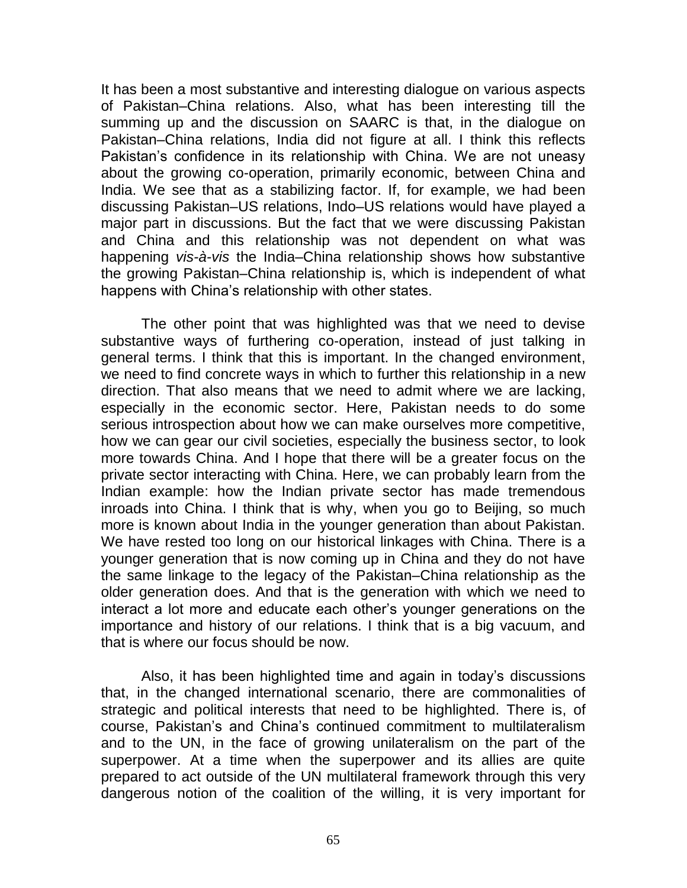It has been a most substantive and interesting dialogue on various aspects of Pakistan–China relations. Also, what has been interesting till the summing up and the discussion on SAARC is that, in the dialogue on Pakistan–China relations, India did not figure at all. I think this reflects Pakistan's confidence in its relationship with China. We are not uneasy about the growing co-operation, primarily economic, between China and India. We see that as a stabilizing factor. If, for example, we had been discussing Pakistan–US relations, Indo–US relations would have played a major part in discussions. But the fact that we were discussing Pakistan and China and this relationship was not dependent on what was happening *vis-à-vis* the India–China relationship shows how substantive the growing Pakistan–China relationship is, which is independent of what happens with China"s relationship with other states.

The other point that was highlighted was that we need to devise substantive ways of furthering co-operation, instead of just talking in general terms. I think that this is important. In the changed environment, we need to find concrete ways in which to further this relationship in a new direction. That also means that we need to admit where we are lacking, especially in the economic sector. Here, Pakistan needs to do some serious introspection about how we can make ourselves more competitive, how we can gear our civil societies, especially the business sector, to look more towards China. And I hope that there will be a greater focus on the private sector interacting with China. Here, we can probably learn from the Indian example: how the Indian private sector has made tremendous inroads into China. I think that is why, when you go to Beijing, so much more is known about India in the younger generation than about Pakistan. We have rested too long on our historical linkages with China. There is a younger generation that is now coming up in China and they do not have the same linkage to the legacy of the Pakistan–China relationship as the older generation does. And that is the generation with which we need to interact a lot more and educate each other"s younger generations on the importance and history of our relations. I think that is a big vacuum, and that is where our focus should be now.

Also, it has been highlighted time and again in today"s discussions that, in the changed international scenario, there are commonalities of strategic and political interests that need to be highlighted. There is, of course, Pakistan"s and China"s continued commitment to multilateralism and to the UN, in the face of growing unilateralism on the part of the superpower. At a time when the superpower and its allies are quite prepared to act outside of the UN multilateral framework through this very dangerous notion of the coalition of the willing, it is very important for